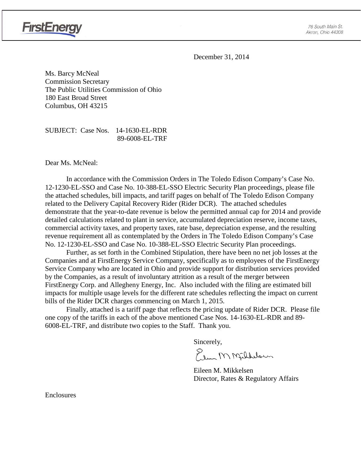

December 31, 2014

Ms. Barcy McNeal Commission Secretary The Public Utilities Commission of Ohio 180 East Broad Street Columbus, OH 43215

SUBJECT: Case Nos. 14-1630-EL-RDR 89-6008-EL-TRF

Dear Ms. McNeal:

**FirstEnergy** 

In accordance with the Commission Orders in The Toledo Edison Company's Case No. 12-1230-EL-SSO and Case No. 10-388-EL-SSO Electric Security Plan proceedings, please file the attached schedules, bill impacts, and tariff pages on behalf of The Toledo Edison Company related to the Delivery Capital Recovery Rider (Rider DCR). The attached schedules demonstrate that the year-to-date revenue is below the permitted annual cap for 2014 and provide detailed calculations related to plant in service, accumulated depreciation reserve, income taxes, commercial activity taxes, and property taxes, rate base, depreciation expense, and the resulting revenue requirement all as contemplated by the Orders in The Toledo Edison Company's Case No. 12-1230-EL-SSO and Case No. 10-388-EL-SSO Electric Security Plan proceedings.

Further, as set forth in the Combined Stipulation, there have been no net job losses at the Companies and at FirstEnergy Service Company, specifically as to employees of the FirstEnergy Service Company who are located in Ohio and provide support for distribution services provided by the Companies, as a result of involuntary attrition as a result of the merger between FirstEnergy Corp. and Allegheny Energy, Inc. Also included with the filing are estimated bill impacts for multiple usage levels for the different rate schedules reflecting the impact on current bills of the Rider DCR charges commencing on March 1, 2015.

Finally, attached is a tariff page that reflects the pricing update of Rider DCR. Please file one copy of the tariffs in each of the above mentioned Case Nos. 14-1630-EL-RDR and 89- 6008-EL-TRF, and distribute two copies to the Staff. Thank you.

Sincerely,

Elem M Millblown

Eileen M. Mikkelsen Director, Rates & Regulatory Affairs

Enclosures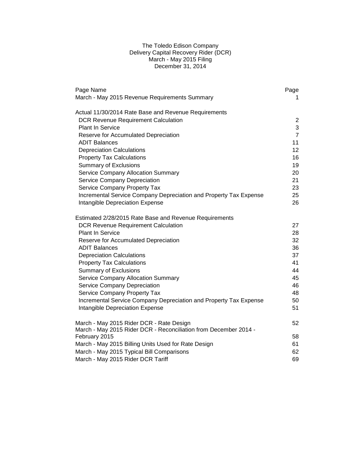# The Toledo Edison Company Delivery Capital Recovery Rider (DCR) March - May 2015 Filing December 31, 2014

| Page Name                                                         | Page            |
|-------------------------------------------------------------------|-----------------|
| March - May 2015 Revenue Requirements Summary                     | 1.              |
| Actual 11/30/2014 Rate Base and Revenue Requirements              |                 |
| <b>DCR Revenue Requirement Calculation</b>                        | $\overline{2}$  |
| <b>Plant In Service</b>                                           | 3               |
| Reserve for Accumulated Depreciation                              | $\overline{7}$  |
| ADIT Balances                                                     | 11              |
| <b>Depreciation Calculations</b>                                  | 12 <sup>2</sup> |
| <b>Property Tax Calculations</b>                                  | 16              |
| <b>Summary of Exclusions</b>                                      | 19              |
| Service Company Allocation Summary                                | 20              |
| Service Company Depreciation                                      | 21              |
| Service Company Property Tax                                      | 23              |
| Incremental Service Company Depreciation and Property Tax Expense | 25              |
| Intangible Depreciation Expense                                   | 26              |
| Estimated 2/28/2015 Rate Base and Revenue Requirements            |                 |
| <b>DCR Revenue Requirement Calculation</b>                        | 27              |
| <b>Plant In Service</b>                                           | 28              |
| Reserve for Accumulated Depreciation                              | 32              |
| <b>ADIT Balances</b>                                              | 36              |
| <b>Depreciation Calculations</b>                                  | 37              |
| <b>Property Tax Calculations</b>                                  | 41              |
| <b>Summary of Exclusions</b>                                      | 44              |
| <b>Service Company Allocation Summary</b>                         | 45              |
| Service Company Depreciation                                      | 46              |
| Service Company Property Tax                                      | 48              |
| Incremental Service Company Depreciation and Property Tax Expense | 50              |
| Intangible Depreciation Expense                                   | 51              |
| March - May 2015 Rider DCR - Rate Design                          | 52              |
| March - May 2015 Rider DCR - Reconciliation from December 2014 -  |                 |
| February 2015                                                     | 58              |
| March - May 2015 Billing Units Used for Rate Design               | 61              |
| March - May 2015 Typical Bill Comparisons                         | 62              |
| March - May 2015 Rider DCR Tariff                                 | 69              |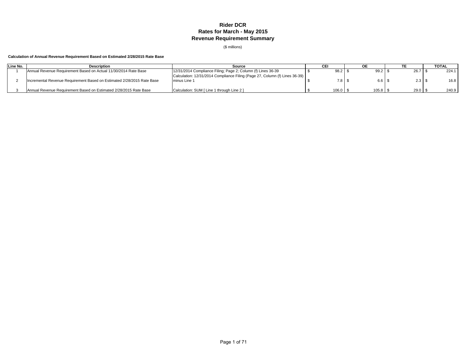# **Rider DCR Rates for March - May 2015 Revenue Requirement Summary**

(\$ millions)

# **Calculation of Annual Revenue Requirement Based on Estimated 2/28/2015 Rate Base**

| Line No. | <b>Description</b>                                                     | Source                                                                                      |                  |       |      | <b>TOTAL</b> |
|----------|------------------------------------------------------------------------|---------------------------------------------------------------------------------------------|------------------|-------|------|--------------|
|          | Annual Revenue Requirement Based on Actual 11/30/2014 Rate Base        | 12/31/2014 Compliance Filing; Page 2; Column (f) Lines 36-39                                | $98.2$   \$      | 99.2  | 26.7 | 224.1        |
|          | Incremental Revenue Requirement Based on Estimated 2/28/2015 Rate Base | Calculation: 12/31/2014 Compliance Filing (Page 27, Column (f) Lines 36-39)<br>minus Line 1 | 7.8 <sup>°</sup> | 6.6   | 2.3  | 16.8         |
|          | Annual Revenue Requirement Based on Estimated 2/28/2015 Rate Base      | Calculation: SUM [ Line 1 through Line 2 ]                                                  | $106.0$ \;       | 105.8 | 29.0 | 240.9        |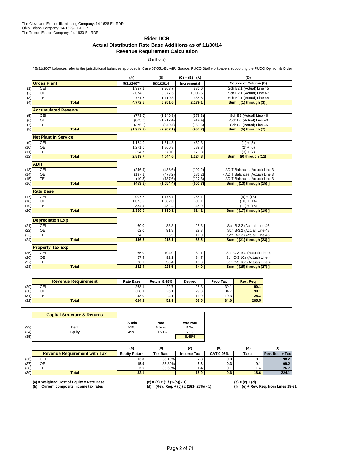# **Rider DCR Actual Distribution Rate Base Additions as of 11/30/14 Revenue Requirement Calculation**

(\$ millions)

\* 5/31/2007 balances refer to the jurisdictional balances approved in Case 07-551-EL-AIR. Source: PUCO Staff workpapers supporting the PUCO Opinion & Order

|      |                             | (A)        | (B)        | $(C) = (B) - (A)$ | (D)                             |
|------|-----------------------------|------------|------------|-------------------|---------------------------------|
|      | <b>Gross Plant</b>          | 5/31/2007* | 8/31/2014  | Incremental       | Source of Column (B)            |
| (1)  | CEI                         | 1,927.1    | 2,763.7    | 836.6             | Sch B2.1 (Actual) Line 45       |
| (2)  | <b>OE</b>                   | 2,074.0    | 3,077.6    | 1,003.6           | Sch B2.1 (Actual) Line 47       |
| (3)  | <b>TE</b>                   | 771.5      | 1,110.3    | 338.8             | Sch B2.1 (Actual) Line 44       |
| (4)  | <b>Total</b>                | 4,772.5    | 6,951.6    | 2,179.1           | Sum: [(1) through (3) ]         |
|      | <b>Accumulated Reserve</b>  |            |            |                   |                                 |
| (5)  | CEI                         | (773.0)    | (1, 149.3) | (376.3)           | -Sch B3 (Actual) Line 46        |
| (6)  | <b>OE</b>                   | (803.0)    | (1, 217.4) | (414.4)           | -Sch B3 (Actual) Line 48        |
| (7)  | <b>TE</b>                   | (376.8)    | (540.4)    | (163.6)           | -Sch B3 (Actual) Line 45        |
| (8)  | <b>Total</b>                | (1,952.8)  | (2,907.1)  | (954.2)           | Sum: [(5) through (7) ]         |
|      | <b>Net Plant In Service</b> |            |            |                   |                                 |
| (9)  | CEI                         | 1,154.0    | 1,614.3    | 460.3             | $(1) + (5)$                     |
| (10) | <b>OE</b>                   | 1,271.0    | 1,860.3    | 589.3             | $(2) + (6)$                     |
| (11) | <b>TE</b>                   | 394.7      | 570.0      | 175.3             | $(3) + (7)$                     |
| (12) | <b>Total</b>                | 2,819.7    | 4,044.6    | 1,224.8           | Sum: [ (9) through (11) ]       |
|      | <b>ADIT</b>                 |            |            |                   |                                 |
| (13) | CEI                         | (246.4)    | (438.6)    | (192.2)           | - ADIT Balances (Actual) Line 3 |
| (14) | <b>OE</b>                   | (197.1)    | (478.2)    | (281.2)           | - ADIT Balances (Actual) Line 3 |
| (15) | TE                          | (10.3)     | (137.6)    | (127.3)           | - ADIT Balances (Actual) Line 3 |
| (16) | <b>Total</b>                | (453.8)    | (1,054.4)  | (600.7)           | Sum: [ (13) through (15) ]      |
|      | <b>Rate Base</b>            |            |            |                   |                                 |
| (17) | CEI                         | 907.7      | 1,175.7    | 268.1             | $(9) + (13)$                    |
| (18) | <b>OE</b>                   | 1,073.9    | 1,382.0    | 308.1             | $(10) + (14)$                   |
| (19) | <b>TE</b>                   | 384.4      | 432.4      | 48.0              | $(11) + (15)$                   |
| (20) | <b>Total</b>                | 2,366.0    | 2,990.1    | 624.2             | (17) through (19) ]<br>Sum:     |
|      | <b>Depreciation Exp</b>     |            |            |                   |                                 |
| (21) | CEI                         | 60.0       | 88.3       | 28.3              | Sch B-3.2 (Actual) Line 46      |
| (22) | <b>OE</b>                   | 62.0       | 91.3       | 29.3              | Sch B-3.2 (Actual) Line 48      |
| (23) | <b>TE</b>                   | 24.5       | 35.5       | 11.0              | Sch B-3.2 (Actual) Line 45      |
| (24) | <b>Total</b>                | 146.5      | 215.1      | 68.5              | Sum: [ (21) through (23) ]      |
|      | <b>Property Tax Exp</b>     |            |            |                   |                                 |
| (25) | CEI                         | 65.0       | 104.0      | 39.1              | Sch C-3.10a (Actual) Line 4     |
| (26) | <b>OE</b>                   | 57.4       | 92.1       | 34.7              | Sch C-3.10a (Actual) Line 4     |
| (27) | <b>TE</b>                   | 20.1       | 30.4       | 10.3              | Sch C-3.10a (Actual) Line 4     |
| (28) | <b>Total</b>                | 142.4      | 226.5      | 84.0              | Sum: [ (25) through (27) ]      |
|      |                             |            |            |                   |                                 |
|      |                             |            |            |                   |                                 |

|      | <b>Revenue Requirement</b> | <b>Rate Base</b> | <b>Return 8.48%</b> | <b>Deprec</b> | <b>Prop Tax</b> | Rev. Rea. |
|------|----------------------------|------------------|---------------------|---------------|-----------------|-----------|
| (29) | CEI                        | 268.1            | 22.7                | 28.3          | 39.1            | 90.1      |
| (30) | ОE                         | 308.1            | 26.1                | 29.3          | 34.7            | 90.1      |
| (31) | ТE                         | 48.0             | 4.1                 | 11.0          | 10.3            | 25.3      |
| (32) | <b>Total</b>               | 624.2            | 52.9                | 68.5          | 84.0            | 205.5     |

|      | <b>Capital Structure &amp; Returns</b> |         |        |          |
|------|----------------------------------------|---------|--------|----------|
|      |                                        | $%$ mix | rate   | wtd rate |
| (33) | Debt                                   | 51%     | 6.54%  | 3.3%     |
| (34) | Equity                                 | 49%     | 10.50% | 5.1%     |
| (35) |                                        |         |        | 8.48%    |

|      |                                     | (a)                  | (b)             | (c                | (d)              | (e)          |                 |
|------|-------------------------------------|----------------------|-----------------|-------------------|------------------|--------------|-----------------|
|      | <b>Revenue Requirement with Tax</b> | <b>Eauity Return</b> | <b>Tax Rate</b> | <b>Income Tax</b> | <b>CAT 0.26%</b> | <b>Taxes</b> | Rev. Reg. + Tax |
| (36) | <b>CEI</b>                          | 13.8                 | 36.13%          | 7.8               | 0.3              |              | 98.2            |
| (37) | OE                                  | 15.9                 | 35.80%          | 8.8               | 0.3              | v.           | 99.2            |
| (38) |                                     | 2.5                  | 35.68%          | 1.4               | 0.1              | 1.4          | 26.7            |
| (39) | <b>Total</b>                        | 32.1                 |                 | 18.0              | 0.6              | 18.6         | 224.1           |

**(a) = Weighted Cost of Equity x Rate Base (c) = (a) x (1 / (1-(b)) - 1) (e) = (c) + (d) (b) = Current composite income tax rates (d) = (Rev. Req. + (c)) x (1/(1-.26%) - 1) (f) = (e) + Rev. Req. from Lines 29-31**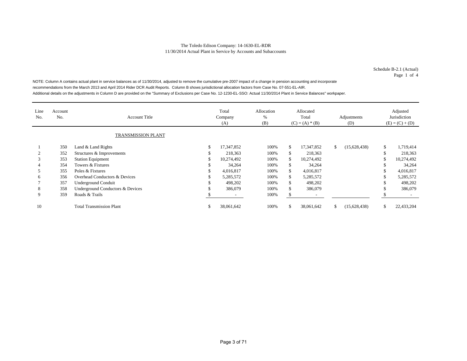Schedule B-2.1 (Actual) Page 1 of 4

NOTE: Column A contains actual plant in service balances as of 11/30/2014, adjusted to remove the cumulative pre-2007 impact of a change in pension accounting and incorporate recommendations from the March 2013 and April 2014 Rider DCR Audit Reports. Column B shows jurisdictional allocation factors from Case No. 07-551-EL-AIR. Additional details on the adjustments in Column D are provided on the "Summary of Exclusions per Case No. 12-1230-EL-SSO: Actual 11/30/2014 Plant in Service Balances" workpaper.

| Line<br>No. | Account<br>No. | <b>Account Title</b>             | Total<br>Company<br>(A) | Allocation<br>%<br>(B) |     | Allocated<br>Total<br>$(C) = (A) * (B)$ | Adjustments<br>(D) | Adjusted<br>Jurisdiction<br>$(E) = (C) + (D)$ |
|-------------|----------------|----------------------------------|-------------------------|------------------------|-----|-----------------------------------------|--------------------|-----------------------------------------------|
|             |                | <b>TRANSMISSION PLANT</b>        |                         |                        |     |                                         |                    |                                               |
|             | 350            | Land & Land Rights               | 17,347,852              | 100%                   | \$. | 17,347,852                              | \$<br>(15,628,438) | \$<br>1,719,414                               |
|             | 352            | Structures & Improvements        | 218,363                 | 100%                   | \$. | 218,363                                 |                    | 218,363                                       |
| 3           | 353            | <b>Station Equipment</b>         | 10,274,492              | 100%                   | \$. | 10,274,492                              |                    | 10,274,492                                    |
|             | 354            | Towers & Fixtures                | 34,264                  | 100%                   | \$. | 34,264                                  |                    | 34,264                                        |
|             | 355            | Poles & Fixtures                 | 4,016,817               | 100%                   | \$. | 4,016,817                               |                    | 4,016,817                                     |
| 6           | 356            | Overhead Conductors & Devices    | 5,285,572               | 100%                   | \$  | 5,285,572                               |                    | 5,285,572                                     |
|             | 357            | <b>Underground Conduit</b>       | 498,202                 | 100%                   | \$. | 498,202                                 |                    | 498,202                                       |
| 8           | 358            | Underground Conductors & Devices | 386,079                 | 100%                   | \$. | 386,079                                 |                    | 386,079                                       |
| 9           | 359            | Roads & Trails                   |                         | 100%                   | £.  | $\overline{\phantom{a}}$                |                    |                                               |
| 10          |                | <b>Total Transmission Plant</b>  | 38,061,642              | 100%                   | \$. | 38,061,642                              | \$<br>(15,628,438) | 22,433,204                                    |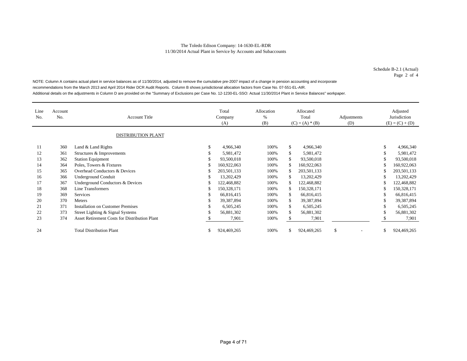Schedule B-2.1 (Actual) Page 2 of 4

NOTE: Column A contains actual plant in service balances as of 11/30/2014, adjusted to remove the cumulative pre-2007 impact of a change in pension accounting and incorporate recommendations from the March 2013 and April 2014 Rider DCR Audit Reports. Column B shows jurisdictional allocation factors from Case No. 07-551-EL-AIR. Additional details on the adjustments in Column D are provided on the "Summary of Exclusions per Case No. 12-1230-EL-SSO: Actual 11/30/2014 Plant in Service Balances" workpaper.

| Line<br>No. | Account<br>No. | <b>Account Title</b>                                 |   | Total<br>Company<br>(A) | Allocation<br>$\%$<br>(B) |     | Allocated<br>Total<br>$(C) = (A) * (B)$ | Adjustments<br>(D) | Adjusted<br>Jurisdiction<br>$(E) = (C) + (D)$ |
|-------------|----------------|------------------------------------------------------|---|-------------------------|---------------------------|-----|-----------------------------------------|--------------------|-----------------------------------------------|
|             |                | <b>DISTRIBUTION PLANT</b>                            |   |                         |                           |     |                                         |                    |                                               |
| 11          | 360            | Land & Land Rights                                   | ъ | 4,966,340               | 100%                      | \$  | 4,966,340                               |                    | 4,966,340                                     |
| 12          | 361            | Structures & Improvements                            | ъ | 5,981,472               | 100%                      | \$  | 5,981,472                               |                    | 5,981,472                                     |
| 13          | 362            | <b>Station Equipment</b>                             |   | 93,500,018              | 100%                      | \$. | 93,500,018                              |                    | 93,500,018                                    |
| 14          | 364            | Poles, Towers & Fixtures                             |   | 160,922,063             | 100%                      |     | 160,922,063                             |                    | 160,922,063                                   |
| 15          | 365            | Overhead Conductors & Devices                        |   | 203,501,133             | 100%                      | \$. | 203,501,133                             |                    | 203,501,133                                   |
| 16          | 366            | <b>Underground Conduit</b>                           |   | 13,202,429              | 100%                      | \$. | 13,202,429                              |                    | 13,202,429                                    |
| 17          | 367            | Underground Conductors & Devices                     |   | 122,468,882             | 100%                      |     | 122,468,882                             |                    | 122,468,882                                   |
| 18          | 368            | Line Transformers                                    |   | 150,328,171             | 100%                      | \$. | 150,328,171                             |                    | 150,328,171                                   |
| 19          | 369            | <b>Services</b>                                      | ъ | 66,816,415              | 100%                      | \$. | 66,816,415                              |                    | 66,816,415                                    |
| 20          | 370            | Meters                                               |   | 39,387,894              | 100%                      |     | 39,387,894                              |                    | 39,387,894                                    |
| 21          | 371            | <b>Installation on Customer Premises</b>             |   | 6,505,245               | 100%                      | \$. | 6,505,245                               |                    | 6,505,245                                     |
| 22          | 373            | Street Lighting & Signal Systems                     |   | 56,881,302              | 100%                      |     | 56,881,302                              |                    | 56,881,302                                    |
| 23          | 374            | <b>Asset Retirement Costs for Distribution Plant</b> |   | 7,901                   | 100%                      |     | 7,901                                   |                    | 7,901                                         |
| 24          |                | <b>Total Distribution Plant</b>                      |   | 924,469,265             | 100%                      | \$. | 924,469,265                             | <sup>\$</sup>      | 924,469,265                                   |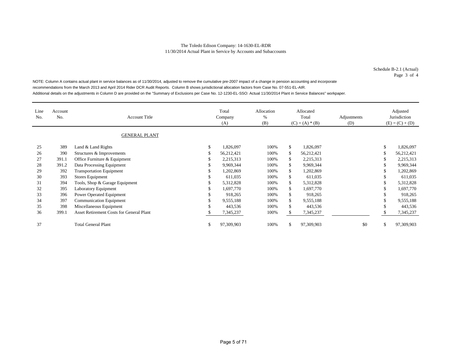Schedule B-2.1 (Actual) Page 3 of 4

NOTE: Column A contains actual plant in service balances as of 11/30/2014, adjusted to remove the cumulative pre-2007 impact of a change in pension accounting and incorporate recommendations from the March 2013 and April 2014 Rider DCR Audit Reports. Column B shows jurisdictional allocation factors from Case No. 07-551-EL-AIR. Additional details on the adjustments in Column D are provided on the "Summary of Exclusions per Case No. 12-1230-EL-SSO: Actual 11/30/2014 Plant in Service Balances" workpaper.

| Line<br>No. | <b>Account</b><br>No. | <b>Account Title</b><br><b>GENERAL PLANT</b> |    | Total<br>Company<br>(A) | Allocation<br>%<br>(B) |              | Allocated<br>Total<br>$(C) = (A) * (B)$ | Adjustments<br>(D) | Adjusted<br>Jurisdiction<br>$(E) = (C) + (D)$ |
|-------------|-----------------------|----------------------------------------------|----|-------------------------|------------------------|--------------|-----------------------------------------|--------------------|-----------------------------------------------|
| 25          | 389                   | Land & Land Rights                           | \$ | 1,826,097               | 100%                   | $\mathbb{S}$ | 1,826,097                               |                    | \$<br>1,826,097                               |
| 26          | 390                   | Structures & Improvements                    | S  | 56,212,421              | 100%                   | \$           | 56,212,421                              |                    | 56,212,421                                    |
| 27          | 391.1                 | Office Furniture & Equipment                 | S  | 2,215,313               | 100%                   | \$           | 2,215,313                               |                    | 2,215,313                                     |
| 28          | 391.2                 | Data Processing Equipment                    | S  | 9,969,344               | 100%                   | \$           | 9,969,344                               |                    | 9,969,344                                     |
| 29          | 392                   |                                              | S  | 1,202,869               | 100%                   | \$           | 1,202,869                               |                    | 1,202,869                                     |
|             |                       | <b>Transportation Equipment</b>              |    |                         |                        |              |                                         |                    |                                               |
| 30          | 393                   | Stores Equipment                             | ь  | 611,035                 | 100%                   | \$           | 611,035                                 |                    | 611,035                                       |
| 31          | 394                   | Tools, Shop & Garage Equipment               |    | 5,312,828               | 100%                   | \$           | 5,312,828                               |                    | 5,312,828                                     |
| 32          | 395                   | Laboratory Equipment                         |    | 1,697,770               | 100%                   | \$           | 1,697,770                               |                    | 1,697,770                                     |
| 33          | 396                   | Power Operated Equipment                     |    | 918,265                 | 100%                   | \$           | 918,265                                 |                    | 918,265                                       |
| 34          | 397                   | <b>Communication Equipment</b>               | S  | 9,555,188               | 100%                   | \$           | 9,555,188                               |                    | 9,555,188                                     |
| 35          | 398                   | Miscellaneous Equipment                      | J. | 443,536                 | 100%                   | \$           | 443,536                                 |                    | 443,536                                       |
| 36          | 399.1                 | Asset Retirement Costs for General Plant     |    | 7,345,237               | 100%                   | -SS          | 7,345,237                               |                    | 7,345,237                                     |
| 37          |                       | <b>Total General Plant</b>                   | S  | 97,309,903              | 100%                   | \$.          | 97,309,903                              | \$0                | \$<br>97,309,903                              |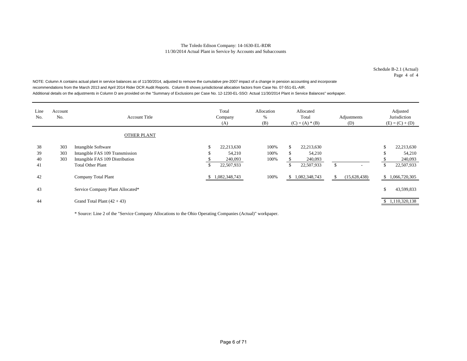Schedule B-2.1 (Actual) Page 4 of 4

NOTE: Column A contains actual plant in service balances as of 11/30/2014, adjusted to remove the cumulative pre-2007 impact of a change in pension accounting and incorporate recommendations from the March 2013 and April 2014 Rider DCR Audit Reports. Column B shows jurisdictional allocation factors from Case No. 07-551-EL-AIR. Additional details on the adjustments in Column D are provided on the "Summary of Exclusions per Case No. 12-1230-EL-SSO: Actual 11/30/2014 Plant in Service Balances" workpaper.

| Line<br>No.    | Account<br>No.    | <b>Account Title</b>                                                                      |    | Total<br>Company<br>(A)         | Allocation<br>%<br>(B) | Allocated<br>Total<br>$(C) = (A) * (B)$ |                                 | Adjustments<br>(D) |              |   | Adjusted<br>Jurisdiction<br>$(E) = (C) + (D)$ |
|----------------|-------------------|-------------------------------------------------------------------------------------------|----|---------------------------------|------------------------|-----------------------------------------|---------------------------------|--------------------|--------------|---|-----------------------------------------------|
|                |                   | <b>OTHER PLANT</b>                                                                        |    |                                 |                        |                                         |                                 |                    |              |   |                                               |
| 38<br>39<br>40 | 303<br>303<br>303 | Intangible Software<br>Intangible FAS 109 Transmission<br>Intangible FAS 109 Distribution | S  | 22,213,630<br>54,210<br>240,093 | 100%<br>100%<br>100%   | \$<br>\$                                | 22,213,630<br>54,210<br>240,093 |                    |              | Ъ | 22,213,630<br>54,210<br>240,093               |
| 41             |                   | <b>Total Other Plant</b>                                                                  | \$ | 22,507,933                      |                        | \$                                      | 22,507,933                      | $\mathbb{S}$       |              | ъ | 22,507,933                                    |
| 42             |                   | Company Total Plant                                                                       |    | \$1,082,348,743                 | 100%                   | \$                                      | 1,082,348,743                   | \$                 | (15,628,438) |   | \$1,066,720,305                               |
| 43             |                   | Service Company Plant Allocated*                                                          |    |                                 |                        |                                         |                                 |                    |              | ъ | 43,599,833                                    |
| 44             |                   | Grand Total Plant $(42 + 43)$                                                             |    |                                 |                        |                                         |                                 |                    |              |   | \$1,110,320,138                               |

\* Source: Line 2 of the "Service Company Allocations to the Ohio Operating Companies (Actual)" workpaper.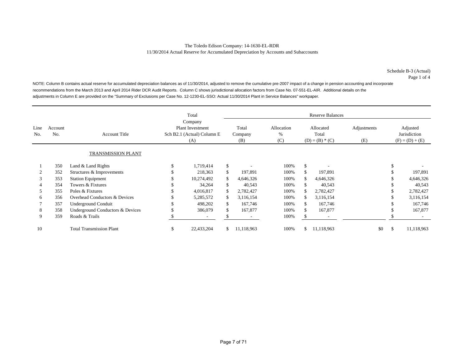NOTE: Column B contains actual reserve for accumulated depreciation balances as of 11/30/2014, adjusted to remove the cumulative pre-2007 impact of a change in pension accounting and incorporate recommendations from the March 2013 and April 2014 Rider DCR Audit Reports. Column C shows jurisdictional allocation factors from Case No. 07-551-EL-AIR. Additional details on the adjustments in Column E are provided on the "Summary of Exclusions per Case No. 12-1230-EL-SSO: Actual 11/30/2014 Plant in Service Balances" workpaper.

|             |                |                                  | Total                                                                   |                          |    | <b>Reserve Balances</b> |                        |                                         |            |                    |                                               |            |  |  |  |
|-------------|----------------|----------------------------------|-------------------------------------------------------------------------|--------------------------|----|-------------------------|------------------------|-----------------------------------------|------------|--------------------|-----------------------------------------------|------------|--|--|--|
| Line<br>No. | Account<br>No. | <b>Account Title</b>             | Company<br><b>Plant Investment</b><br>Sch B2.1 (Actual) Column E<br>(A) |                          |    | Total<br>Company<br>(B) | Allocation<br>%<br>(C) | Allocated<br>Total<br>$(D) = (B) * (C)$ |            | Adjustments<br>(E) | Adjusted<br>Jurisdiction<br>$(F) = (D) + (E)$ |            |  |  |  |
|             |                | <b>TRANSMISSION PLANT</b>        |                                                                         |                          |    |                         |                        |                                         |            |                    |                                               |            |  |  |  |
|             | 350            | Land & Land Rights               | \$                                                                      | 1,719,414                | \$ |                         | 100%                   | \$.                                     |            |                    |                                               |            |  |  |  |
|             | 352            | Structures & Improvements        |                                                                         | 218.363                  | \$ | 197.891                 | 100%                   |                                         | 197,891    |                    |                                               | 197,891    |  |  |  |
| 3           | 353            | <b>Station Equipment</b>         |                                                                         | 10,274,492               | \$ | 4.646.326               | 100%                   | \$                                      | 4,646,326  |                    |                                               | 4,646,326  |  |  |  |
|             | 354            | Towers & Fixtures                | ж                                                                       | 34.264                   | \$ | 40,543                  | 100%                   |                                         | 40,543     |                    |                                               | 40,543     |  |  |  |
| 5           | 355            | Poles & Fixtures                 | \$                                                                      | 4,016,817                | \$ | 2,782,427               | 100%                   | £.                                      | 2,782,427  |                    |                                               | 2,782,427  |  |  |  |
| 6           | 356            | Overhead Conductors & Devices    | J.                                                                      | 5,285,572                | \$ | 3,116,154               | 100%                   | S.                                      | 3,116,154  |                    |                                               | 3,116,154  |  |  |  |
|             | 357            | Underground Conduit              | \$                                                                      | 498,202                  | \$ | 167,746                 | 100%                   | £.                                      | 167,746    |                    |                                               | 167,746    |  |  |  |
| 8           | 358            | Underground Conductors & Devices |                                                                         | 386,079                  | \$ | 167,877                 | 100%                   | \$                                      | 167,877    |                    |                                               | 167,877    |  |  |  |
| 9           | 359            | Roads & Trails                   |                                                                         | $\overline{\phantom{a}}$ | S  |                         | 100%                   | Ъ.                                      |            |                    |                                               |            |  |  |  |
| 10          |                | <b>Total Transmission Plant</b>  | \$                                                                      | 22,433,204               | \$ | 11,118,963              | 100%                   | \$                                      | 11,118,963 | \$0                | \$                                            | 11,118,963 |  |  |  |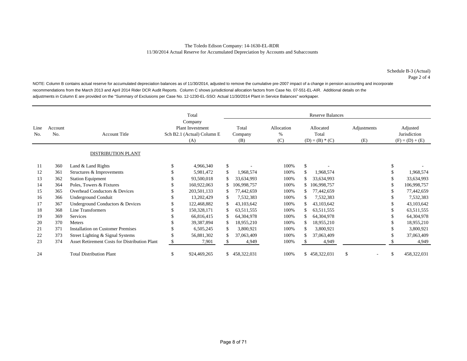NOTE: Column B contains actual reserve for accumulated depreciation balances as of 11/30/2014, adjusted to remove the cumulative pre-2007 impact of a change in pension accounting and incorporate recommendations from the March 2013 and April 2014 Rider DCR Audit Reports. Column C shows jurisdictional allocation factors from Case No. 07-551-EL-AIR. Additional details on the adjustments in Column E are provided on the "Summary of Exclusions per Case No. 12-1230-EL-SSO: Actual 11/30/2014 Plant in Service Balances" workpaper.

|             |                |                                                      | Total<br>Company                                             |     | <b>Reserve Balances</b> |                        |                                         |               |                    |        |                                               |             |
|-------------|----------------|------------------------------------------------------|--------------------------------------------------------------|-----|-------------------------|------------------------|-----------------------------------------|---------------|--------------------|--------|-----------------------------------------------|-------------|
| Line<br>No. | Account<br>No. | <b>Account Title</b>                                 | <b>Plant Investment</b><br>Sch B2.1 (Actual) Column E<br>(A) |     | Total<br>Company<br>(B) | Allocation<br>%<br>(C) | Allocated<br>Total<br>$(D) = (B) * (C)$ |               | Adjustments<br>(E) |        | Adjusted<br>Jurisdiction<br>$(F) = (D) + (E)$ |             |
|             |                | <b>DISTRIBUTION PLANT</b>                            |                                                              |     |                         |                        |                                         |               |                    |        |                                               |             |
| 11          | 360            | Land & Land Rights                                   | 4,966,340                                                    | \$  |                         | 100%                   | \$                                      |               |                    |        | \$.                                           |             |
| 12          | 361            | Structures & Improvements                            | 5,981,472                                                    | \$  | 1,968,574               | 100%                   | \$                                      | 1,968,574     |                    |        |                                               | 1,968,574   |
| 13          | 362            | <b>Station Equipment</b>                             | 93,500,018                                                   | \$  | 33,634,993              | 100%                   |                                         | 33,634,993    |                    |        |                                               | 33,634,993  |
| 14          | 364            | Poles, Towers & Fixtures                             | 160,922,063                                                  |     | 106,998,757             | 100%                   | \$                                      | 106,998,757   |                    |        |                                               | 106,998,757 |
| 15          | 365            | Overhead Conductors & Devices                        | 203,501,133                                                  | \$  | 77,442,659              | 100%                   |                                         | 77,442,659    |                    |        |                                               | 77,442,659  |
| 16          | 366            | Underground Conduit                                  | 13,202,429                                                   | \$  | 7,532,383               | 100%                   | \$.                                     | 7,532,383     |                    |        |                                               | 7,532,383   |
| 17          | 367            | Underground Conductors & Devices                     | 122,468,882                                                  | \$  | 43,103,642              | 100%                   | \$.                                     | 43,103,642    |                    |        |                                               | 43,103,642  |
| 18          | 368            | Line Transformers                                    | 150,328,171                                                  | \$  | 63,511,555              | 100%                   | \$.                                     | 63,511,555    |                    |        |                                               | 63,511,555  |
| 19          | 369            | <b>Services</b>                                      | 66,816,415                                                   | S   | 64,304,978              | 100%                   | \$.                                     | 64,304,978    |                    |        |                                               | 64,304,978  |
| 20          | 370            | Meters                                               | 39,387,894                                                   | \$  | 18,955,210              | 100%                   |                                         | 18,955,210    |                    |        |                                               | 18,955,210  |
| 21          | 371            | <b>Installation on Customer Premises</b>             | 6,505,245                                                    | \$  | 3,800,921               | 100%                   | \$.                                     | 3,800,921     |                    |        |                                               | 3,800,921   |
| 22          | 373            | Street Lighting & Signal Systems                     | 56,881,302                                                   | \$. | 37,063,409              | 100%                   |                                         | 37,063,409    |                    |        |                                               | 37,063,409  |
| 23          | 374            | <b>Asset Retirement Costs for Distribution Plant</b> | 7,901                                                        | \$  | 4,949                   | 100%                   |                                         | 4,949         |                    |        |                                               | 4,949       |
| 24          |                | <b>Total Distribution Plant</b>                      | \$<br>924,469,265                                            | \$. | 458,322,031             | 100%                   |                                         | \$458,322,031 | \$                 | $\sim$ | \$                                            | 458,322,031 |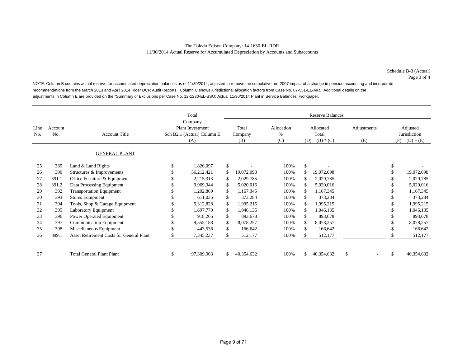NOTE: Column B contains actual reserve for accumulated depreciation balances as of 11/30/2014, adjusted to remove the cumulative pre-2007 impact of a change in pension accounting and incorporate recommendations from the March 2013 and April 2014 Rider DCR Audit Reports. Column C shows jurisdictional allocation factors from Case No. 07-551-EL-AIR. Additional details on the adjustments in Column E are provided on the "Summary of Exclusions per Case No. 12-1230-EL-SSO: Actual 11/30/2014 Plant in Service Balances" workpaper.

|             |                |                                          | Total                                                                   |              |                         | <b>Reserve Balances</b>   |               |                                         |                    |  |               |                                               |
|-------------|----------------|------------------------------------------|-------------------------------------------------------------------------|--------------|-------------------------|---------------------------|---------------|-----------------------------------------|--------------------|--|---------------|-----------------------------------------------|
| Line<br>No. | Account<br>No. | <b>Account Title</b>                     | Company<br><b>Plant Investment</b><br>Sch B2.1 (Actual) Column E<br>(A) |              | Total<br>Company<br>(B) | Allocation<br>$\%$<br>(C) |               | Allocated<br>Total<br>$(D) = (B) * (C)$ | Adjustments<br>(E) |  |               | Adjusted<br>Jurisdiction<br>$(F) = (D) + (E)$ |
|             |                | <b>GENERAL PLANT</b>                     |                                                                         |              |                         |                           |               |                                         |                    |  |               |                                               |
| 25          | 389            | Land $&$ Land Rights                     | \$<br>1,826,097                                                         | \$           |                         | 100%                      | $\mathcal{S}$ |                                         |                    |  |               |                                               |
| 26          | 390            | Structures & Improvements                | 56,212,421                                                              | $\mathbb{S}$ | 19,072,098              | 100%                      | \$.           | 19,072,098                              |                    |  |               | 19,072,098                                    |
| 27          | 391.1          | Office Furniture & Equipment             | 2,215,313                                                               | \$           | 2,029,785               | 100%                      | S.            | 2,029,785                               |                    |  |               | 2,029,785                                     |
| 28          | 391.2          | Data Processing Equipment                | 9,969,344                                                               | \$           | 5,020,016               | 100%                      | \$.           | 5,020,016                               |                    |  |               | 5,020,016                                     |
| 29          | 392            | <b>Transportation Equipment</b>          | 1,202,869                                                               | \$           | 1,167,345               | 100%                      | \$.           | 1,167,345                               |                    |  |               | 1,167,345                                     |
| 30          | 393            | Stores Equipment                         | 611,035                                                                 | \$           | 373,284                 | 100%                      |               | 373,284                                 |                    |  |               | 373,284                                       |
| 31          | 394            | Tools, Shop & Garage Equipment           | 5,312,828                                                               | \$           | 1,995,215               | 100%                      | £.            | 1,995,215                               |                    |  |               | 1,995,215                                     |
| 32          | 395            | <b>Laboratory Equipment</b>              | 1,697,770                                                               | \$           | 1,046,135               | 100%                      | \$.           | 1,046,135                               |                    |  |               | 1,046,135                                     |
| 33          | 396            | Power Operated Equipment                 | 918,265                                                                 | \$           | 893,678                 | 100%                      | \$.           | 893,678                                 |                    |  |               | 893,678                                       |
| 34          | 397            | <b>Communication Equipment</b>           | 9,555,188                                                               | $\mathbb{S}$ | 8,078,257               | 100%                      | £.            | 8,078,257                               |                    |  |               | 8,078,257                                     |
| 35          | 398            | Miscellaneous Equipment                  | 443,536                                                                 | \$           | 166,642                 | 100%                      | \$.           | 166,642                                 |                    |  |               | 166,642                                       |
| 36          | 399.1          | Asset Retirement Costs for General Plant | 7,345,237                                                               | \$           | 512,177                 | 100%                      |               | 512,177                                 |                    |  |               | 512,177                                       |
|             |                |                                          |                                                                         |              |                         |                           |               |                                         |                    |  |               |                                               |
| 37          |                | <b>Total General Plant Plant</b>         | \$<br>97,309,903                                                        | \$           | 40,354,632              | 100%                      | S.            | 40,354,632                              | \$.                |  | $\mathcal{S}$ | 40,354,632                                    |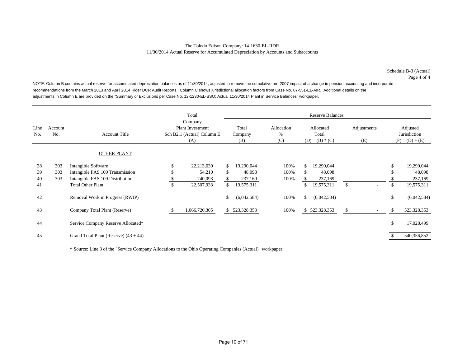Schedule B-3 (Actual) Page 4 of 4

NOTE: Column B contains actual reserve for accumulated depreciation balances as of 11/30/2014, adjusted to remove the cumulative pre-2007 impact of a change in pension accounting and incorporate recommendations from the March 2013 and April 2014 Rider DCR Audit Reports. Column C shows jurisdictional allocation factors from Case No. 07-551-EL-AIR. Additional details on the adjustments in Column E are provided on the "Summary of Exclusions per Case No. 12-1230-EL-SSO: Actual 11/30/2014 Plant in Service Balances" workpaper.

|                      |                   |                                                                                                                       |                 | Total                                                            |                |                                               |                           |                  | <b>Reserve Balances</b>                       |                    |     |                                               |
|----------------------|-------------------|-----------------------------------------------------------------------------------------------------------------------|-----------------|------------------------------------------------------------------|----------------|-----------------------------------------------|---------------------------|------------------|-----------------------------------------------|--------------------|-----|-----------------------------------------------|
| Line<br>No.          | Account<br>No.    | <b>Account Title</b>                                                                                                  |                 | Company<br>Plant Investment<br>Sch B2.1 (Actual) Column E<br>(A) |                | Total<br>Company<br>(B)                       | Allocation<br>$\%$<br>(C) |                  | Allocated<br>Total<br>$(D) = (B) * (C)$       | Adjustments<br>(E) |     | Adjusted<br>Jurisdiction<br>$(F) = (D) + (E)$ |
|                      |                   | <b>OTHER PLANT</b>                                                                                                    |                 |                                                                  |                |                                               |                           |                  |                                               |                    |     |                                               |
| 38<br>39<br>40<br>41 | 303<br>303<br>303 | Intangible Software<br>Intangible FAS 109 Transmission<br>Intangible FAS 109 Distribution<br><b>Total Other Plant</b> | \$<br>\$.<br>\$ | 22,213,630<br>54,210<br>240,093<br>22,507,933                    | \$<br>\$<br>\$ | 19,290,044<br>48,098<br>237,169<br>19,575,311 | 100%<br>100%<br>100%      | \$.<br>\$.<br>\$ | 19,290,044<br>48,098<br>237,169<br>19,575,311 | \$                 | \$  | 19,290,044<br>48,098<br>237,169<br>19,575,311 |
| 42                   |                   | Removal Work in Progress (RWIP)                                                                                       |                 |                                                                  | \$             | (6,042,584)                                   | 100%                      | \$               | (6,042,584)                                   |                    | \$  | (6,042,584)                                   |
| 43                   |                   | Company Total Plant (Reserve)                                                                                         |                 | 1,066,720,305                                                    |                | \$ 523,328,353                                | 100%                      |                  | \$523,328,353                                 | \$                 | \$. | 523,328,353                                   |
| 44                   |                   | Service Company Reserve Allocated*                                                                                    |                 |                                                                  |                |                                               |                           |                  |                                               |                    | \$  | 17,028,499                                    |
| 45                   |                   | Grand Total Plant (Reserve) $(43 + 44)$                                                                               |                 |                                                                  |                |                                               |                           |                  |                                               |                    |     | 540,356,852                                   |

\* Source: Line 3 of the "Service Company Allocations to the Ohio Operating Companies (Actual)" workpaper.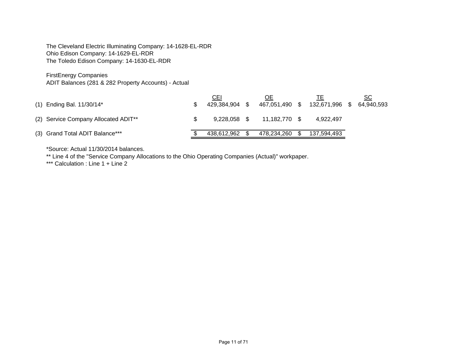The Cleveland Electric Illuminating Company: 14-1628-EL-RDR Ohio Edison Company: 14-1629-EL-RDR The Toledo Edison Company: 14-1630-EL-RDR

FirstEnergy Companies

ADIT Balances (281 & 282 Property Accounts) - Actual

| $(1)$ Ending Bal. 11/30/14*                      | CEI            | ОE<br>429,384,904 \$ 467,051,490 \$ 132,671,996 \$ 64,940,593 |             | SC |
|--------------------------------------------------|----------------|---------------------------------------------------------------|-------------|----|
| (2) Service Company Allocated ADIT <sup>**</sup> | 9.228.058 \$   | 11,182,770 \$                                                 | 4.922.497   |    |
| (3) Grand Total ADIT Balance***                  | 438,612,962 \$ | 478,234,260 \$                                                | 137,594,493 |    |

\*Source: Actual 11/30/2014 balances.

\*\* Line 4 of the "Service Company Allocations to the Ohio Operating Companies (Actual)" workpaper.

\*\*\* Calculation : Line 1 + Line 2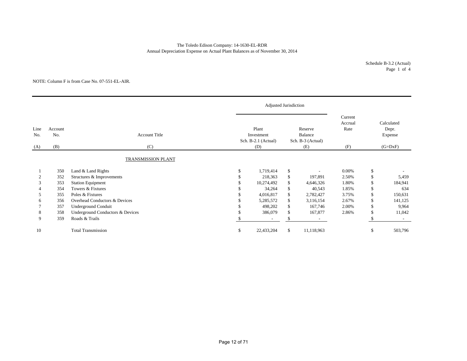The Toledo Edison Company: 14-1630-EL-RDR Annual Depreciation Expense on Actual Plant Balances as of November 30, 2014

> Schedule B-3.2 (Actual) Page 1 of 4

### NOTE: Column F is from Case No. 07-551-EL-AIR.

|             |                |                                  |          | <b>Adjusted Jurisdiction</b>               |                                         |                          |                            |               |                                |  |
|-------------|----------------|----------------------------------|----------|--------------------------------------------|-----------------------------------------|--------------------------|----------------------------|---------------|--------------------------------|--|
| Line<br>No. | Account<br>No. | <b>Account Title</b>             |          | Plant<br>Investment<br>Sch. B-2.1 (Actual) | Reserve<br>Balance<br>Sch. B-3 (Actual) |                          | Current<br>Accrual<br>Rate |               | Calculated<br>Depr.<br>Expense |  |
| (A)         | (B)            | (C)                              |          | (D)                                        |                                         | (E)                      | (F)                        |               | $(G=DxF)$                      |  |
|             |                | <b>TRANSMISSION PLANT</b>        |          |                                            |                                         |                          |                            |               |                                |  |
|             | 350            | Land & Land Rights               | <b>S</b> | 1,719,414                                  | \$                                      | $\overline{\phantom{a}}$ | 0.00%                      | \$            |                                |  |
|             | 352            | Structures & Improvements        |          | 218,363                                    | \$                                      | 197,891                  | 2.50%                      | \$            | 5,459                          |  |
| 3           | 353            | <b>Station Equipment</b>         |          | 10,274,492                                 | \$                                      | 4,646,326                | 1.80%                      | \$            | 184,941                        |  |
|             | 354            | Towers & Fixtures                |          | 34,264                                     | \$                                      | 40,543                   | 1.85%                      | \$            | 634                            |  |
|             | 355            | Poles & Fixtures                 |          | 4,016,817                                  | \$                                      | 2,782,427                | 3.75%                      | \$            | 150,631                        |  |
| 6           | 356            | Overhead Conductors & Devices    |          | 5,285,572                                  | \$                                      | 3,116,154                | 2.67%                      | \$            | 141,125                        |  |
|             | 357            | <b>Underground Conduit</b>       |          | 498,202                                    | \$                                      | 167,746                  | 2.00%                      | \$            | 9,964                          |  |
| 8           | 358            | Underground Conductors & Devices |          | 386,079                                    | \$                                      | 167,877                  | 2.86%                      | £.            | 11,042                         |  |
| 9           | 359            | Roads & Trails                   |          |                                            |                                         |                          |                            |               |                                |  |
| 10          |                | <b>Total Transmission</b>        | \$       | 22,433,204                                 | \$                                      | 11,118,963               |                            | <sup>\$</sup> | 503,796                        |  |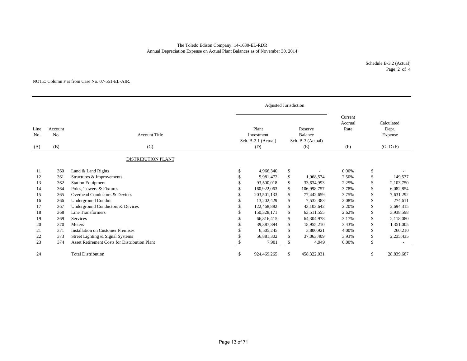Annual Depreciation Expense on Actual Plant Balances as of November 30, 2014 The Toledo Edison Company: 14-1630-EL-RDR

> Schedule B-3.2 (Actual) Page 2 of 4

### NOTE: Column F is from Case No. 07-551-EL-AIR.

|                               |     |                                               |          | Adjusted Jurisdiction                      |    |                                         |                            |               |                                |
|-------------------------------|-----|-----------------------------------------------|----------|--------------------------------------------|----|-----------------------------------------|----------------------------|---------------|--------------------------------|
| Line<br>Account<br>No.<br>No. |     | <b>Account Title</b>                          |          | Plant<br>Investment<br>Sch. B-2.1 (Actual) |    | Reserve<br>Balance<br>Sch. B-3 (Actual) | Current<br>Accrual<br>Rate |               | Calculated<br>Depr.<br>Expense |
| (A)                           | (B) | (C)                                           |          | (D)                                        |    | (E)                                     | (F)                        |               | $(G=DxF)$                      |
|                               |     | <b>DISTRIBUTION PLANT</b>                     |          |                                            |    |                                         |                            |               |                                |
| 11                            | 360 | Land & Land Rights                            | <b>S</b> | 4,966,340                                  | \$ |                                         | 0.00%                      | \$            |                                |
| 12                            | 361 | Structures & Improvements                     | S.       | 5,981,472                                  | \$ | 1,968,574                               | 2.50%                      | \$            | 149,537                        |
| 13                            | 362 | <b>Station Equipment</b>                      |          | 93,500,018                                 | \$ | 33,634,993                              | 2.25%                      | \$            | 2,103,750                      |
| 14                            | 364 | Poles, Towers & Fixtures                      |          | 160,922,063                                | \$ | 106,998,757                             | 3.78%                      | \$            | 6,082,854                      |
| 15                            | 365 | Overhead Conductors & Devices                 |          | 203,501,133                                | \$ | 77,442,659                              | 3.75%                      | \$            | 7,631,292                      |
| 16                            | 366 | <b>Underground Conduit</b>                    |          | 13,202,429                                 | \$ | 7,532,383                               | 2.08%                      | \$            | 274.611                        |
| 17                            | 367 | Underground Conductors & Devices              |          | 122,468,882                                | \$ | 43,103,642                              | 2.20%                      | \$            | 2,694,315                      |
| 18                            | 368 | Line Transformers                             |          | 150,328,171                                | \$ | 63,511,555                              | 2.62%                      | \$            | 3,938,598                      |
| 19                            | 369 | Services                                      |          | 66,816,415                                 | \$ | 64,304,978                              | 3.17%                      | \$            | 2,118,080                      |
| 20                            | 370 | Meters                                        |          | 39,387,894                                 | \$ | 18,955,210                              | 3.43%                      | \$.           | 1,351,005                      |
| 21                            | 371 | <b>Installation on Customer Premises</b>      |          | 6,505,245                                  | \$ | 3,800,921                               | 4.00%                      | \$            | 260,210                        |
| 22                            | 373 | Street Lighting & Signal Systems              |          | 56,881,302                                 | \$ | 37,063,409                              | 3.93%                      | <sup>\$</sup> | 2,235,435                      |
| 23                            | 374 | Asset Retirement Costs for Distribution Plant |          | 7,901                                      | \$ | 4,949                                   | 0.00%                      |               |                                |
| 24                            |     | <b>Total Distribution</b>                     | \$       | 924,469,265                                | \$ | 458,322,031                             |                            | \$            | 28,839,687                     |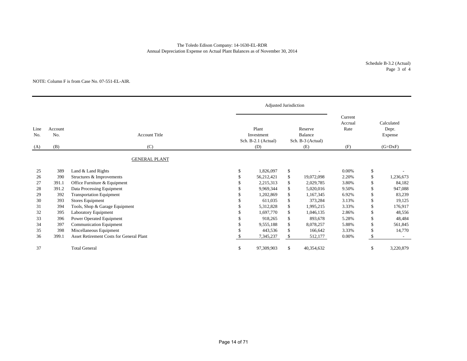# The Toledo Edison Company: 14-1630-EL-RDR Annual Depreciation Expense on Actual Plant Balances as of November 30, 2014

Schedule B-3.2 (Actual) Page 3 of 4

### NOTE: Column F is from Case No. 07-551-EL-AIR.

|                                             |       |                                                 |               | Adjusted Jurisdiction                             |              |                                                |                                   |                                             |           |
|---------------------------------------------|-------|-------------------------------------------------|---------------|---------------------------------------------------|--------------|------------------------------------------------|-----------------------------------|---------------------------------------------|-----------|
| Line<br>Account<br>No.<br>No.<br>(B)<br>(A) |       | <b>Account Title</b><br>(C)                     |               | Plant<br>Investment<br>Sch. B-2.1 (Actual)<br>(D) |              | Reserve<br>Balance<br>Sch. B-3 (Actual)<br>(E) | Current<br>Accrual<br>Rate<br>(F) | Calculated<br>Depr.<br>Expense<br>$(G=DxF)$ |           |
|                                             |       | <b>GENERAL PLANT</b>                            |               |                                                   |              |                                                |                                   |                                             |           |
| 25                                          | 389   | Land & Land Rights                              | \$            | 1,826,097                                         | \$           |                                                | 0.00%                             | \$                                          |           |
| 26                                          | 390   | Structures & Improvements                       |               | 56,212,421                                        | \$           | 19,072,098                                     | 2.20%                             | \$                                          | 1,236,673 |
| 27                                          | 391.1 | Office Furniture & Equipment                    |               | 2,215,313                                         | \$           | 2,029,785                                      | 3.80%                             | \$                                          | 84,182    |
| 28                                          | 391.2 | Data Processing Equipment                       |               | 9.969.344                                         | \$           | 5,020,016                                      | 9.50%                             | \$                                          | 947,088   |
| 29                                          | 392   | <b>Transportation Equipment</b>                 |               | 1,202,869                                         | $\mathbb{S}$ | 1,167,345                                      | 6.92%                             | \$                                          | 83,239    |
| 30                                          | 393   | <b>Stores Equipment</b>                         |               | 611,035                                           | \$           | 373,284                                        | 3.13%                             | \$                                          | 19,125    |
| 31                                          | 394   | Tools, Shop & Garage Equipment                  |               | 5,312,828                                         | \$           | 1,995,215                                      | 3.33%                             | \$                                          | 176,917   |
| 32                                          | 395   | Laboratory Equipment                            |               | 1,697,770                                         | \$           | 1,046,135                                      | 2.86%                             | \$                                          | 48,556    |
| 33                                          | 396   | Power Operated Equipment                        |               | 918,265                                           | \$           | 893,678                                        | 5.28%                             | \$                                          | 48,484    |
| 34                                          | 397   | Communication Equipment                         |               | 9,555,188                                         | \$           | 8,078,257                                      | 5.88%                             | \$                                          | 561,845   |
| 35                                          | 398   | Miscellaneous Equipment                         |               | 443,536                                           | $\mathbb{S}$ | 166,642                                        | 3.33%                             | \$                                          | 14,770    |
| 36                                          | 399.1 | <b>Asset Retirement Costs for General Plant</b> |               | 7,345,237                                         | \$           | 512,177                                        | 0.00%                             | \$.                                         |           |
| 37                                          |       | <b>Total General</b>                            | <sup>\$</sup> | 97,309,903                                        | \$           | 40,354,632                                     |                                   | \$                                          | 3,220,879 |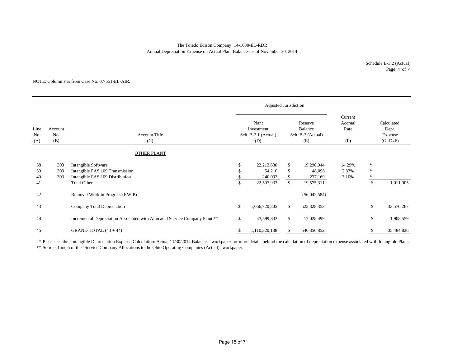## Annual Depreciation Expense on Actual Plant Balances as of November 30, 2014 The Toledo Edison Company: 14-1630-EL-RDR

### NOTE: Column F is from Case No. 07-551-EL-AIR.

|                                             |                   |                                                                                           |     | Adjusted Jurisdiction                             |                |                                                |                                   |                            |                                             |
|---------------------------------------------|-------------------|-------------------------------------------------------------------------------------------|-----|---------------------------------------------------|----------------|------------------------------------------------|-----------------------------------|----------------------------|---------------------------------------------|
| Line<br>Account<br>No.<br>No.<br>(B)<br>(A) |                   | <b>Account Title</b><br>(C)                                                               |     | Plant<br>Investment<br>Sch. B-2.1 (Actual)<br>(D) |                | Reserve<br>Balance<br>Sch. B-3 (Actual)<br>(E) | Current<br>Accrual<br>Rate<br>(F) |                            | Calculated<br>Depr.<br>Expense<br>$(G=DxF)$ |
|                                             |                   | <b>OTHER PLANT</b>                                                                        |     |                                                   |                |                                                |                                   |                            |                                             |
| 38<br>39<br>40                              | 303<br>303<br>303 | Intangible Software<br>Intangible FAS 109 Transmission<br>Intangible FAS 109 Distribution | \$  | 22,213,630<br>54,210<br>240,093                   | \$<br>\$<br>\$ | 19,290,044<br>48,098<br>237,169                | 14.29%<br>2.37%<br>3.10%          | $\ast$<br>$\ast$<br>$\ast$ |                                             |
| 41<br>42                                    |                   | <b>Total Other</b><br>Removal Work in Progress (RWIP)                                     | \$. | 22,507,933                                        | \$             | 19,575,311<br>$(\$6,042,584)$                  |                                   | $\mathbb{S}$               | 1,011,905                                   |
| 43                                          |                   | Company Total Depreciation                                                                | \$  | 1,066,720,305                                     | \$             | 523,328,353                                    |                                   | \$                         | 33,576,267                                  |
| 44                                          |                   | Incremental Depreciation Associated with Allocated Service Company Plant **               | \$  | 43,599,833                                        | \$             | 17,028,499                                     |                                   | \$                         | 1,908,559                                   |
| 45                                          |                   | GRAND TOTAL $(43 + 44)$                                                                   | J.  | 1,110,320,138                                     | \$             | 540,356,852                                    |                                   |                            | 35,484,826                                  |

\* Please see the "Intangible Depreciation Expense Calculation: Actual 11/30/2014 Balances" workpaper for more details behind the calculation of depreciation expense associated with Intangible Plant.

\*\* Source: Line 6 of the "Service Company Allocations to the Ohio Operating Companies (Actual)" workpaper.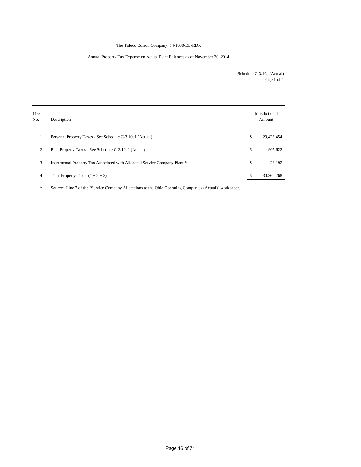# The Toledo Edison Company: 14-1630-EL-RDR

# Annual Property Tax Expense on Actual Plant Balances as of November 30, 2014

Schedule C-3.10a (Actual) Page 1 of 1

| Line<br>No. | Description                                                                | Jurisdictional<br>Amount |
|-------------|----------------------------------------------------------------------------|--------------------------|
| 1           | Personal Property Taxes - See Schedule C-3.10a1 (Actual)                   | \$<br>29,426,454         |
| 2           | Real Property Taxes - See Schedule C-3.10a2 (Actual)                       | \$<br>905,622            |
| 3           | Incremental Property Tax Associated with Allocated Service Company Plant * | \$<br>28,192             |
| 4           | Total Property Taxes $(1 + 2 + 3)$                                         | \$<br>30,360,268         |

\* Source: Line 7 of the "Service Company Allocations to the Ohio Operating Companies (Actual)" workpaper.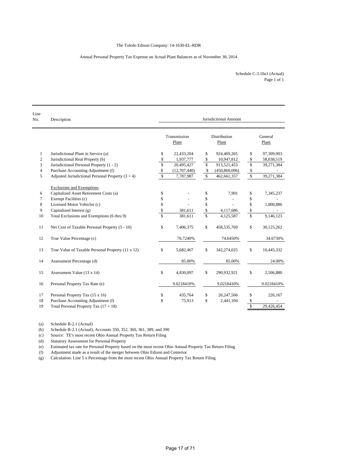### Annual Personal Property Tax Expense on Actual Plant Balances as of November 30, 2014

Page 1 of 1 Schedule C-3.10a1 (Actual)

| Line<br>No.    | Description                                         |                         |                       | Jurisdictional Amount |                      |                  |
|----------------|-----------------------------------------------------|-------------------------|-----------------------|-----------------------|----------------------|------------------|
|                |                                                     |                         | Transmission<br>Plant | Distribution<br>Plant |                      | General<br>Plant |
| $\mathbf{1}$   | Jurisdictional Plant in Service (a)                 | \$                      | 22,433,204            | \$<br>924,469,265     | \$                   | 97,309,903       |
| $\overline{c}$ | Jurisdictional Real Property (b)                    | \$                      | 1,937,777             | \$<br>10,947,812      | \$                   | 58,038,519       |
| 3              | Jurisdictional Personal Property (1 - 2)            | $\overline{\$}$         | 20,495,427            | \$<br>913,521,453     | \$                   | 39,271,384       |
| $\overline{4}$ | Purchase Accounting Adjustment (f)                  | \$                      | (12,707,440)          | \$<br>(450, 860, 096) | \$                   |                  |
| 5              | Adjusted Jurisdictional Personal Property $(3 + 4)$ | $\mathbf S$             | 7,787,987             | \$<br>462,661,357     | $\sqrt{\frac{2}{3}}$ | 39,271,384       |
|                | <b>Exclusions and Exemptions</b>                    |                         |                       |                       |                      |                  |
| 6              | Capitalized Asset Retirement Costs (a)              | \$                      |                       | \$<br>7,901           | \$                   | 7,345,237        |
| $\tau$         | Exempt Facilities (c)                               | \$                      |                       | \$                    | \$                   |                  |
| 8              | Licensed Motor Vehicles (c)                         | \$                      |                       | \$                    | \$                   | 1,800,886        |
| 9              | Capitalized Interest (g)                            | \$                      | 381,611               | \$<br>4,117,686       | \$                   |                  |
| 10             | Total Exclusions and Exemptions (6 thru 9)          | $\overline{\mathbf{s}}$ | 381,611               | \$<br>4,125,587       | \$                   | 9,146,123        |
| 11             | Net Cost of Taxable Personal Property (5 - 10)      | \$                      | 7,406,375             | \$<br>458,535,769     | \$                   | 30,125,262       |
| 12             | True Value Percentage (c)                           |                         | 76.7240%              | 74.6450%              |                      | 34.6730%         |
| 13             | True Value of Taxable Personal Property (11 x 12)   | \$                      | 5,682,467             | \$<br>342,274,025     | \$                   | 10,445,332       |
| 14             | Assessment Percentage (d)                           |                         | 85.00%                | 85.00%                |                      | 24.00%           |
| 15             | Assessment Value (13 x 14)                          | \$                      | 4,830,097             | \$<br>290,932,921     | \$                   | 2,506,880        |
| 16             | Personal Property Tax Rate (e)                      |                         | 9.0218410%            | 9.0218410%            |                      | 9.0218410%       |
| 17             | Personal Property Tax (15 x 16)                     | \$                      | 435,764               | \$<br>26,247,506      | \$                   | 226,167          |
| 18             | Purchase Accounting Adjustment (f)                  | \$                      | 75,913                | \$<br>2,441,104       | \$                   |                  |
| 19             | Total Personal Property Tax $(17 + 18)$             |                         |                       |                       | $\mathbb{S}$         | 29.426.454       |

(a) Schedule B-2.1 (Actual)

(b) Schedule B-2.1 (Actual), Accounts 350, 352, 360, 361, 389, and 390

(c) Source: TE's most recent Ohio Annual Property Tax Return Filing

(d) Statutory Assessment for Personal Property

(e) Estimated tax rate for Personal Property based on the most recent Ohio Annual Property Tax Return Filing

(f) Adjustment made as a result of the merger between Ohio Edison and Centerior

(g) Calculation: Line 5 x Percentage from the most recent Ohio Annual Property Tax Return Filing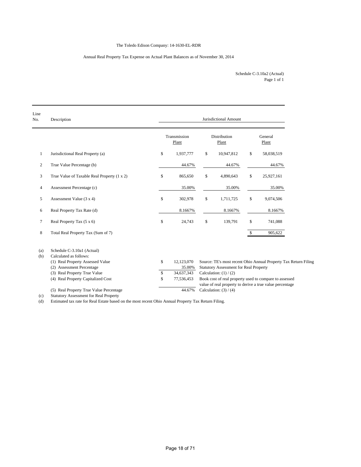# The Toledo Edison Company: 14-1630-EL-RDR

# Annual Real Property Tax Expense on Actual Plant Balances as of November 30, 2014

Page 1 of 1 Schedule C-3.10a2 (Actual)

| Line<br>No.    | Description                                                                                                                                                                                                                                                                                                                                                                                    | Jurisdictional Amount |                       |    |                                               |              |                                                                 |  |  |  |  |
|----------------|------------------------------------------------------------------------------------------------------------------------------------------------------------------------------------------------------------------------------------------------------------------------------------------------------------------------------------------------------------------------------------------------|-----------------------|-----------------------|----|-----------------------------------------------|--------------|-----------------------------------------------------------------|--|--|--|--|
|                |                                                                                                                                                                                                                                                                                                                                                                                                |                       | Transmission<br>Plant |    | Distribution<br>Plant                         |              | General<br>Plant                                                |  |  |  |  |
| $\mathbf{1}$   | Jurisdictional Real Property (a)                                                                                                                                                                                                                                                                                                                                                               | \$                    | 1,937,777             | \$ | 10,947,812                                    | \$           | 58,038,519                                                      |  |  |  |  |
| $\overline{c}$ | True Value Percentage (b)                                                                                                                                                                                                                                                                                                                                                                      |                       | 44.67%                |    | 44.67%                                        |              | 44.67%                                                          |  |  |  |  |
| 3              | True Value of Taxable Real Property (1 x 2)                                                                                                                                                                                                                                                                                                                                                    | \$                    | 865,650               | \$ | 4,890,643                                     | \$           | 25,927,161                                                      |  |  |  |  |
| 4              | Assessment Percentage (c)                                                                                                                                                                                                                                                                                                                                                                      |                       | 35.00%                |    | 35.00%                                        |              | 35.00%                                                          |  |  |  |  |
| 5              | Assessment Value (3 x 4)                                                                                                                                                                                                                                                                                                                                                                       | \$                    | 302,978               | \$ | 1,711,725                                     | \$           | 9,074,506                                                       |  |  |  |  |
| 6              | Real Property Tax Rate (d)                                                                                                                                                                                                                                                                                                                                                                     |                       | 8.1667%               |    | 8.1667%                                       |              | 8.1667%                                                         |  |  |  |  |
| 7              | Real Property Tax (5 x 6)                                                                                                                                                                                                                                                                                                                                                                      | \$                    | 24,743                | \$ | 139,791                                       | \$           | 741,088                                                         |  |  |  |  |
| 8              | Total Real Property Tax (Sum of 7)                                                                                                                                                                                                                                                                                                                                                             |                       |                       |    |                                               | $\mathbb{S}$ | 905,622                                                         |  |  |  |  |
| (a)            | Schedule C-3.10a1 (Actual)                                                                                                                                                                                                                                                                                                                                                                     |                       |                       |    |                                               |              |                                                                 |  |  |  |  |
| (b)            | Calculated as follows:                                                                                                                                                                                                                                                                                                                                                                         |                       |                       |    |                                               |              |                                                                 |  |  |  |  |
|                | (1) Real Property Assessed Value                                                                                                                                                                                                                                                                                                                                                               | \$                    | 12,123,070            |    |                                               |              | Source: TE's most recent Ohio Annual Property Tax Return Filing |  |  |  |  |
|                | (2) Assessment Percentage                                                                                                                                                                                                                                                                                                                                                                      |                       | 35.00%                |    | <b>Statutory Assessment for Real Property</b> |              |                                                                 |  |  |  |  |
|                | (3) Real Property True Value                                                                                                                                                                                                                                                                                                                                                                   | \$                    | 34,637,343            |    | Calculation: $(1) / (2)$                      |              |                                                                 |  |  |  |  |
|                | (4) Real Property Capitalized Cost                                                                                                                                                                                                                                                                                                                                                             | S                     | 77,536,453            |    |                                               |              | Book cost of real property used to compare to assessed          |  |  |  |  |
|                |                                                                                                                                                                                                                                                                                                                                                                                                |                       | 44.67%                |    |                                               |              | value of real property to derive a true value percentage        |  |  |  |  |
|                | (5) Real Property True Value Percentage<br>$\mathcal{O}(1)$ $\mathcal{O}(1)$ $\mathcal{O}(1)$ $\mathcal{O}(1)$ $\mathcal{O}(1)$ $\mathcal{O}(1)$ $\mathcal{O}(1)$ $\mathcal{O}(1)$ $\mathcal{O}(1)$ $\mathcal{O}(1)$ $\mathcal{O}(1)$ $\mathcal{O}(1)$ $\mathcal{O}(1)$ $\mathcal{O}(1)$ $\mathcal{O}(1)$ $\mathcal{O}(1)$ $\mathcal{O}(1)$ $\mathcal{O}(1)$ $\mathcal{O}(1)$ $\mathcal{O}(1)$ |                       |                       |    | Calculation: $(3) / (4)$                      |              |                                                                 |  |  |  |  |

(c) Statutory Assessment for Real Property

(d) Estimated tax rate for Real Estate based on the most recent Ohio Annual Property Tax Return Filing.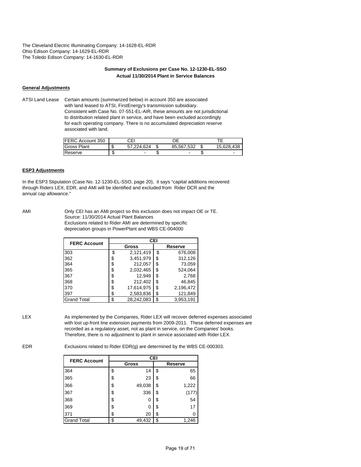The Cleveland Electric Illuminating Company: 14-1628-EL-RDR Ohio Edison Company: 14-1629-EL-RDR The Toledo Edison Company: 14-1630-EL-RDR

# **Summary of Exclusions per Case No. 12-1230-EL-SSO Actual 11/30/2014 Plant in Service Balances**

### **General Adjustments**

ATSI Land Lease Certain amounts (summarized below) in account 350 are associated with land leased to ATSI, FirstEnergy's transmission subsidiary. Consistent with Case No. 07-551-EL-AIR, these amounts are not jurisdictional to distribution related plant in service, and have been excluded accordingly for each operating company. There is no accumulated depreciation reserve associated with land.

| <b>IFERC Account 350</b> |    | CEI      |            |   |            |
|--------------------------|----|----------|------------|---|------------|
| <b>Gross Plant</b>       | s. | .224.624 | 85.567.532 | ъ | 15.628.438 |
| Reserve                  |    | -        | -          |   |            |

# **ESP3 Adjustments**

In the ESP3 Stipulation (Case No. 12-1230-EL-SSO, page 20), it says "capital additions recovered through Riders LEX, EDR, and AMI will be identified and excluded from Rider DCR and the annual cap allowance."

AMI Only CEI has an AMI project so this exclusion does not impact OE or TE. Source: 11/30/2014 Actual Plant Balances Exclusions related to Rider AMI are determined by specific depreciation groups in PowerPlant and WBS CE-004000

| <b>FERC Account</b> |          | <b>CEI</b> |         |           |  |  |  |  |  |  |  |
|---------------------|----------|------------|---------|-----------|--|--|--|--|--|--|--|
|                     |          | Gross      | Reserve |           |  |  |  |  |  |  |  |
| 303                 | <u>ፍ</u> | 2,121,419  | \$      | 676,008   |  |  |  |  |  |  |  |
| 362                 | S        | 3,451,979  | \$      | 312,126   |  |  |  |  |  |  |  |
| 364                 | \$       | 212,057    | \$      | 73,059    |  |  |  |  |  |  |  |
| 365                 | \$       | 2,032,465  | S       | 524,064   |  |  |  |  |  |  |  |
| 367                 | \$       | 12,949     | \$      | 2,768     |  |  |  |  |  |  |  |
| 368                 | \$       | 212,402    | \$      | 46,845    |  |  |  |  |  |  |  |
| 370                 | \$       | 17,614,975 | S       | 2,196,472 |  |  |  |  |  |  |  |
| 397                 | \$       | 2,583,836  | \$      | 121,849   |  |  |  |  |  |  |  |
| <b>Grand Total</b>  | \$       | 28,242,083 | \$      | 3,953,191 |  |  |  |  |  |  |  |

LEX As implemented by the Companies, Rider LEX will recover deferred expenses associated with lost up-front line extension payments from 2009-2011. These deferred expenses are recorded as a regulatory asset, not as plant in service, on the Companies' books. Therefore, there is no adjustment to plant in service associated with Rider LEX.

EDR Exclusions related to Rider EDR(g) are determined by the WBS CE-000303.

| <b>FERC Account</b> | <b>CEI</b> |              |    |                |  |  |  |  |  |  |  |
|---------------------|------------|--------------|----|----------------|--|--|--|--|--|--|--|
|                     |            | <b>Gross</b> |    | <b>Reserve</b> |  |  |  |  |  |  |  |
| 364                 | \$         | 14           | \$ | 65             |  |  |  |  |  |  |  |
| 365                 | \$         | 23           | \$ | 66             |  |  |  |  |  |  |  |
| 366                 | \$         | 49,038       | \$ | 1,222          |  |  |  |  |  |  |  |
| 367                 | \$         | 336          | S  | (177           |  |  |  |  |  |  |  |
| 368                 | \$         | 0            | S  | 54             |  |  |  |  |  |  |  |
| 369                 | \$         | 0            | \$ | 17             |  |  |  |  |  |  |  |
| 371                 | \$         | 20           | \$ | 0              |  |  |  |  |  |  |  |
| <b>Grand Total</b>  | \$         | 49,432       | \$ | 1,246          |  |  |  |  |  |  |  |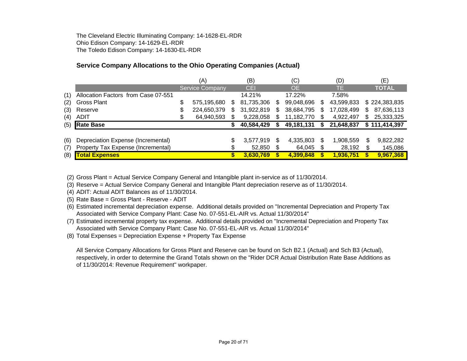The Cleveland Electric Illuminating Company: 14-1628-EL-RDR Ohio Edison Company: 14-1629-EL-RDR The Toledo Edison Company: 14-1630-EL-RDR

# **Service Company Allocations to the Ohio Operating Companies (Actual)**

|     |                                     | (A)                    |    | (B)        |    | (C)        |    | (D)        |     | (E)           |
|-----|-------------------------------------|------------------------|----|------------|----|------------|----|------------|-----|---------------|
|     |                                     | <b>Service Company</b> |    | CEI        |    | <b>OE</b>  |    | TE.        |     | <b>TOTAL</b>  |
| (1) | Allocation Factors from Case 07-551 |                        |    | 14.21%     |    | 17.22%     |    | 7.58%      |     |               |
| (2) | <b>Gross Plant</b>                  | \$<br>575,195,680      | S. | 81,735,306 | S  | 99,048,696 | S  | 43,599,833 |     | \$224,383,835 |
| (3) | Reserve                             | 224,650,379            | S. | 31,922,819 | S  | 38,684,795 | \$ | 17,028,499 | \$. | 87,636,113    |
| (4) | <b>ADIT</b>                         | 64,940,593             |    | 9,228,058  |    | 11,182,770 |    | 4,922,497  | \$. | 25,333,325    |
| (5) | <b>Rate Base</b>                    |                        |    | 40,584,429 |    | 49,181,131 |    | 21,648,837 |     | \$111,414,397 |
|     |                                     |                        |    |            |    |            |    |            |     |               |
| (6) | Depreciation Expense (Incremental)  |                        | \$ | 3,577,919  | \$ | 4,335,803  | S  | 1,908,559  | \$  | 9,822,282     |
| (7) | Property Tax Expense (Incremental)  |                        |    | 52,850     |    | 64,045     | S  | 28,192     |     | 145,086       |
| (8) | <b>Total Expenses</b>               |                        |    | 3,630,769  |    | 4,399,848  |    | 1,936,751  |     | 9,967,368     |

(2) Gross Plant = Actual Service Company General and Intangible plant in-service as of 11/30/2014.

(3) Reserve = Actual Service Company General and Intangible Plant depreciation reserve as of 11/30/2014.

(4) ADIT: Actual ADIT Balances as of 11/30/2014.

(5) Rate Base = Gross Plant - Reserve - ADIT

(6) Estimated incremental depreciation expense. Additional details provided on "Incremental Depreciation and Property Tax Associated with Service Company Plant: Case No. 07-551-EL-AIR vs. Actual 11/30/2014"

(7) Estimated incremental property tax expense. Additional details provided on "Incremental Depreciation and Property Tax Associated with Service Company Plant: Case No. 07-551-EL-AIR vs. Actual 11/30/2014"

(8) Total Expenses = Depreciation Expense + Property Tax Expense

All Service Company Allocations for Gross Plant and Reserve can be found on Sch B2.1 (Actual) and Sch B3 (Actual), respectively, in order to determine the Grand Totals shown on the "Rider DCR Actual Distribution Rate Base Additions as of 11/30/2014: Revenue Requirement" workpaper.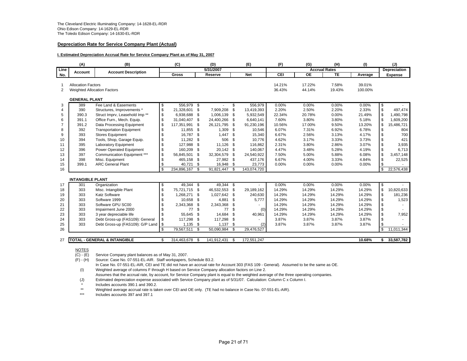### **Depreciation Rate for Service Company Plant (Actual)**

### **I. Estimated Depreciation Accrual Rate for Service Company Plant as of May 31, 2007**

|                | (A)                                                                                     | (B)                                       | (C)               |              | (D)         |     | (E)         | (F)              | (G)                  | (H)             | (1)               |                | (J)            |
|----------------|-----------------------------------------------------------------------------------------|-------------------------------------------|-------------------|--------------|-------------|-----|-------------|------------------|----------------------|-----------------|-------------------|----------------|----------------|
| Line           | Account                                                                                 | <b>Account Description</b>                |                   |              | 5/31/2007   |     |             |                  | <b>Accrual Rates</b> |                 |                   |                | Depreciation   |
| No.            |                                                                                         |                                           | Gross             |              | Reserve     |     | <b>Net</b>  | CEI              | <b>OE</b>            | TE              | Average           |                | <b>Expense</b> |
| 2              | <b>Allocation Factors</b><br><b>Weighted Allocation Factors</b><br><b>GENERAL PLANT</b> |                                           |                   |              |             |     |             | 14.21%<br>36.43% | 17.22%<br>44.14%     | 7.58%<br>19.43% | 39.01%<br>100.00% |                |                |
| 3              | 389                                                                                     | Fee Land & Easements                      | \$<br>556,979 \$  |              |             | \$  | 556,979     | 0.00%            | 0.00%                | 0.00%           | 0.00%             | \$             |                |
| $\overline{4}$ | 390                                                                                     | Structures, Improvements *                | \$<br>21.328.601  | \$           | 7,909,208   | \$  | 13,419,393  | 2.20%            | 2.50%                | 2.20%           | 2.33%             | $\mathbb{S}$   | 497.474        |
| 5              | 390.3                                                                                   | Struct Imprv, Leasehold Imp <sup>**</sup> | \$<br>6,938,688   | \$           | 1.006.139   | \$  | 5,932,549   | 22.34%           | 20.78%               | 0.00%           | 21.49%            | \$             | 1.490.798      |
| 6              | 391.1                                                                                   | Office Furn., Mech. Equip.                | \$<br>31,040,407  | \$           | 24,400,266  | \$  | 6,640,141   | 7.60%            | 3.80%                | 3.80%           | 5.18%             | \$             | 1,609,200      |
|                | 391.2                                                                                   | Data Processing Equipment                 | \$<br>117,351,991 | \$           | 26,121,795  | \$  | 91,230,196  | 10.56%           | 17.00%               | 9.50%           | 13.20%            | \$             | 15,486,721     |
| 8              | 392                                                                                     | <b>Transportation Equipment</b>           | \$<br>11,855 \$   |              | 1,309       | \$  | 10,546      | 6.07%            | 7.31%                | 6.92%           | 6.78%             | \$             | 804            |
| 9              | 393                                                                                     | <b>Stores Equipment</b>                   | \$<br>16,787      | \$           | 1,447       | \$  | 15,340      | 6.67%            | 2.56%                | 3.13%           | 4.17%             | \$             | 700            |
| 10             | 394                                                                                     | Tools, Shop, Garage Equip.                | \$<br>11,282      | - \$         | 506         | \$  | 10,776      | 4.62%            | 3.17%                | 3.33%           | 3.73%             | \$             | 421            |
| 11             | 395                                                                                     | Laboratory Equipment                      | \$<br>127,988     | - \$         | 11,126      | \$  | 116,862     | 2.31%            | 3.80%                | 2.86%           | 3.07%             | \$             | 3,935          |
| 12             | 396                                                                                     | Power Operated Equipment                  | \$<br>160,209     | - \$         | 20,142      | \$  | 140,067     | 4.47%            | 3.48%                | 5.28%           | 4.19%             | \$             | 6,713          |
| 13             | 397                                                                                     | Communication Equipment ***               | \$<br>56,845,501  | \$           | 32,304,579  | \$  | 24,540,922  | 7.50%            | 5.00%                | 5.88%           | 6.08%             | \$             | 3,457,148      |
| 14             | 398                                                                                     | Misc. Equipment                           | \$<br>465,158 \$  |              | 27,982      | \$  | 437,176     | 6.67%            | 4.00%                | 3.33%           | 4.84%             | $\mathfrak{S}$ | 22,525         |
| 15             | 399.1                                                                                   | <b>ARC General Plant</b>                  | \$<br>40,721      | - \$         | 16,948      | \$  | 23,773      | 0.00%            | 0.00%                | 0.00%           | 0.00%             | <b>S</b>       |                |
| 16             |                                                                                         |                                           | \$<br>234,896,167 | - \$         | 91,821,447  | \$  | 143,074,720 |                  |                      |                 |                   | $\mathbb{S}$   | 22,576,438     |
|                |                                                                                         |                                           |                   |              |             |     |             |                  |                      |                 |                   |                |                |
|                | <b>INTANGIBLE PLANT</b>                                                                 |                                           |                   |              |             |     |             |                  |                      |                 |                   |                |                |
| 17             | 301                                                                                     | Organization                              | \$<br>49,344 \$   |              | 49.344      | \$  |             | 0.00%            | 0.00%                | 0.00%           | 0.00%             | $\sqrt{3}$     |                |
| 18             | 303                                                                                     | Misc. Intangible Plant                    | \$<br>75,721,715  | -\$          | 46,532,553  | \$  | 29,189,162  | 14.29%           | 14.29%               | 14.29%          | 14.29%            | $\sqrt{2}$     | 10.820.633     |
| 19             | 303                                                                                     | <b>Katz Software</b>                      | \$<br>1,268,271   | \$           | 1,027,642   | \$  | 240,630     | 14.29%           | 14.29%               | 14.29%          | 14.29%            | $\sqrt{3}$     | 181.236        |
| 20             | 303                                                                                     | Software 1999                             | \$<br>10,658      | - \$         | 4,881       | \$  | 5,777       | 14.29%           | 14.29%               | 14.29%          | 14.29%            | $\mathfrak{S}$ | 1,523          |
| 21             | 303                                                                                     | Software GPU SC00                         | \$<br>2,343,368   | -\$          | 2,343,368   | \$  |             | 14.29%           | 14.29%               | 14.29%          | 14.29%            | $\mathfrak{S}$ |                |
| 22             | 303                                                                                     | Impairment June 2000                      | \$<br>77          | \$           | 77          | \$  | (0)         | 14.29%           | 14.29%               | 14.29%          | 14.29%            | $\mathfrak{S}$ |                |
| 23             | 303                                                                                     | 3 year depreciable life                   | \$<br>55,645      | \$           | 14,684      | \$  | 40,961      | 14.29%           | 14.29%               | 14.29%          | 14.29%            | $\mathbf{\$}$  | 7,952          |
| 24             | 303                                                                                     | Debt Gross-up (FAS109): General           | \$<br>117,298     | \$           | 117,298     | \$  |             | 3.87%            | 3.87%                | 3.87%           | 3.87%             | \$             |                |
| 25             | 303                                                                                     | Debt Gross-up (FAS109): G/P Land          | \$<br>1,135       | - \$         | 1,137       | -\$ | (2)         | 3.87%            | 3.87%                | 3.87%           | 3.87%             | \$             |                |
| 26             |                                                                                         |                                           | \$<br>79,567,511  | $\mathbf{s}$ | 50,090,984  | \$  | 29,476,527  |                  |                      |                 |                   | <b>S</b>       | 11,011,344     |
|                |                                                                                         |                                           |                   |              |             |     |             |                  |                      |                 |                   |                |                |
| 27             |                                                                                         | <b>TOTAL - GENERAL &amp; INTANGIBLE</b>   | \$<br>314,463,678 | -\$          | 141,912,431 | \$  | 172,551,247 |                  |                      |                 | 10.68%            | \$             | 33,587,782     |

#### NOTES

 $\overline{(C)}$  -  $\overline{(E)}$  Service Company plant balances as of May 31, 2007.

(F) - (H) Source: Case No. 07-551-EL-AIR. Staff workpapers, Schedule B3.2.

In Case No. 07-551-EL-AIR, CEI and TE did not have an accrual rate for Account 303 (FAS 109 - General). Assumed to be the same as OE. (I) Weighted average of columns F through H based on Service Company allocation factors on Line 2.

Assumes that the accrual rate, by account, for Service Company plant is equal to the weighted average of the three operating companies.

(J) Estimated depreciation expense associated with Service Company plant as of 5/31/07. Calculation: Column C x Column I.

Includes accounts 390.1 and 390.2.

\*\*Weighted average accrual rate is taken over CEI and OE only. (TE had no balance in Case No. 07-551-EL-AIR).

\*\*\*Includes accounts 397 and 397.1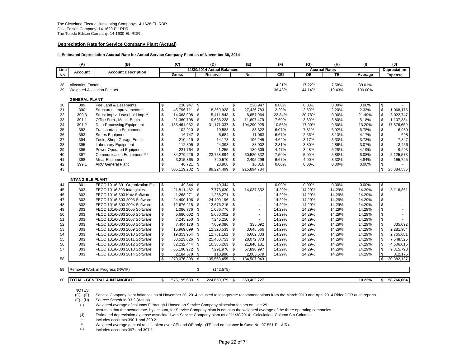### **Depreciation Rate for Service Company Plant (Actual)**

### **II. Estimated Depreciation Accrual Rate for Actual Service Company Plant as of November 30, 2014**

|          | (A)                                                             | (B)                                     | (C)                    |                          | (D)                        |      | (E)                      | (F)              | (G)                  | (H)             |                   | (J)                     |                     |
|----------|-----------------------------------------------------------------|-----------------------------------------|------------------------|--------------------------|----------------------------|------|--------------------------|------------------|----------------------|-----------------|-------------------|-------------------------|---------------------|
| Line     |                                                                 |                                         |                        |                          | 11/30/2014 Actual Balances |      |                          |                  | <b>Accrual Rates</b> |                 |                   |                         | <b>Depreciation</b> |
| No.      | Account                                                         | <b>Account Description</b>              | Gross                  |                          | Reserve                    |      | <b>Net</b>               | CEI              | OE                   | <b>TE</b>       | Average           |                         | <b>Expense</b>      |
| 28<br>29 | <b>Allocation Factors</b><br><b>Weighted Allocation Factors</b> |                                         |                        |                          |                            |      |                          | 14.21%<br>36.43% | 17.22%<br>44.14%     | 7.58%<br>19.43% | 39.01%<br>100.00% |                         |                     |
|          | <b>GENERAL PLANT</b>                                            |                                         |                        |                          |                            |      |                          |                  |                      |                 |                   |                         |                     |
| 30       | 389                                                             | Fee Land & Easements                    | \$<br>$230,947$ \$     |                          |                            | \$   | 230,947                  | 0.00%            | 0.00%                | 0.00%           | 0.00%             | $\sqrt{3}$              |                     |
| 31       | 390                                                             | Structures, Improvements *              | \$<br>45,796,711 \$    |                          | 18,369,928                 | \$   | 27,426,783               | 2.20%            | 2.50%                | 2.20%           | 2.33%             | $\mathbb{S}$            | 1,068,175           |
| 32       | 390.3                                                           | Struct Imprv, Leasehold Imp**           | \$<br>14,068,908       | - \$                     | 5,411,843                  | \$   | 8,657,064                | 22.34%           | 20.78%               | 0.00%           | 21.49%            | $\sqrt[6]{\frac{1}{2}}$ | 3,022,747           |
| 33       | 391.1                                                           | Office Furn., Mech. Equip.              | \$<br>21,360,708       | \$                       | 9,663,228                  | \$   | 11,697,479               | 7.60%            | 3.80%                | 3.80%           | 5.18%             | \$                      | 1,107,384           |
| 34       | 391.2                                                           | Data Processing Equipment               | \$<br>135,461,962      | \$                       | 31,171,037                 | \$   | 104,290,925              | 10.56%           | 17.00%               | 9.50%           | 13.20%            | $\mathbb{S}$            | 17,876,659          |
| 35       | 392                                                             | <b>Transportation Equipment</b>         | \$<br>102,910          | - \$                     | 19,588                     | \$   | 83,322                   | 6.07%            | 7.31%                | 6.92%           | 6.78%             | \$                      | 6,980               |
| 36       | 393                                                             | <b>Stores Equipment</b>                 | \$<br>16,747 \$        |                          | 5,684                      | \$   | 11,063                   | 6.67%            | 2.56%                | 3.13%           | 4.17%             | $\mathfrak{s}$          | 698                 |
| 37       | 394                                                             | Tools, Shop, Garage Equip.              | \$<br>210,419          | \$                       | 14,173                     | \$   | 196,245                  | 4.62%            | 3.17%                | 3.33%           | 3.73%             | \$                      | 7,847               |
| 38       | 395                                                             | <b>Laboratory Equipment</b>             | \$<br>112,395          | \$                       | 24,393                     | \$   | 88,002                   | 2.31%            | 3.80%                | 2.86%           | 3.07%             | \$                      | 3,456               |
| 39       | 396                                                             | <b>Power Operated Equipment</b>         | \$<br>221,764          | -\$                      | 41,255                     | \$   | 180,509                  | 4.47%            | 3.48%                | 5.28%           | 4.19%             | \$                      | 9,293               |
| 40       | 397                                                             | Communication Equipment ***             | \$<br>84,279,226       | -\$                      | 23,758,894                 | \$   | 60,520,332               | 7.50%            | 5.00%                | 5.88%           | 6.08%             | \$                      | 5,125,573           |
| 41       | 398                                                             | Misc. Equipment                         | \$<br>3,215,865        | <b>S</b>                 | 720,570                    | \$   | 2,495,296                | 6.67%            | 4.00%                | 3.33%           | 4.84%             | \$                      | 155,725             |
| 42       | 399.1                                                           | <b>ARC General Plant</b>                | \$<br>40,721           | \$                       | 23,906                     | \$   | 16,816                   | 0.00%            | 0.00%                | 0.00%           | 0.00%             | \$                      |                     |
| 43       |                                                                 |                                         | \$<br>$305,119,282$ \$ |                          | 89,224,499                 | \$   | 215,894,784              |                  |                      |                 |                   | $\mathbb{S}$            | 28,384,536          |
|          | <b>INTANGIBLE PLANT</b>                                         |                                         |                        |                          |                            |      |                          |                  |                      |                 |                   |                         |                     |
| 44       | 301                                                             | FECO 101/6-301 Organization Fst         | \$<br>49,344 \$        |                          | 49,344 \$                  |      |                          | 0.00%            | 0.00%                | 0.00%           | 0.00%             | \$                      |                     |
| 45       | 303                                                             | FECO 101/6 303 Intangibles              | \$<br>21,811,482 \$    |                          | 7,773,630                  | \$   | 14,037,852               | 14.29%           | 14.29%               | 14.29%          | 14.29%            | $\ddot{\$}$             | 3,116,861           |
| 46       | 303                                                             | FECO 101/6-303 Katz Software            | \$<br>1,268,271 \$     |                          | 1,268,271                  | - \$ | $\sim$                   | 14.29%           | 14.29%               | 14.29%          | 14.29%            | \$                      |                     |
| 47       | 303                                                             | FECO 101/6-303 2003 Software            | \$<br>24,400,196       | -\$                      | 24,400,196                 | \$   | $\blacksquare$           | 14.29%           | 14.29%               | 14.29%          | 14.29%            | $\mathfrak{s}$          |                     |
| 48       | 303                                                             | FECO 101/6-303 2004 Software            | \$<br>12,676,215       | -\$                      | 12,676,215                 | \$   | $\blacksquare$           | 14.29%           | 14.29%               | 14.29%          | 14.29%            | \$                      |                     |
| 49       | 303                                                             | FECO 101/6-303 2005 Software            | \$<br>1,086,776        | - \$                     | 1,086,776                  | \$   | $\overline{\phantom{a}}$ | 14.29%           | 14.29%               | 14.29%          | 14.29%            | \$                      |                     |
| 50       | 303                                                             | FECO 101/6-303 2006 Software            | \$<br>5,680,002 \$     |                          | 5,680,002                  | \$   | $\overline{\phantom{a}}$ | 14.29%           | 14.29%               | 14.29%          | 14.29%            | $\mathfrak{s}$          |                     |
| 51       | 303                                                             | FECO 101/6-303 2007 Software            | \$<br>7,245,250 \$     |                          | 7,245,250                  | \$   |                          | 14.29%           | 14.29%               | 14.29%          | 14.29%            | \$                      |                     |
| 52       | 303                                                             | FECO 101/6-303 2008 Software            | \$<br>7,404,178 \$     |                          | 7,069,086                  | \$   | 335,092                  | 14.29%           | 14.29%               | 14.29%          | 14.29%            | \$                      | 335,092             |
| 53       | 303                                                             | FECO 101/6-303 2009 Software            | \$<br>15,969,099       | -\$                      | 12,320,533                 | \$   | 3,648,566                | 14.29%           | 14.29%               | 14.29%          | 14.29%            | \$                      | 2,281,984           |
| 54       | 303                                                             | FECO 101/6-303 2010 Software            | \$<br>19,353,964       | <b>S</b>                 | 12,751,161                 | \$   | 6,602,803                | 14.29%           | 14.29%               | 14.29%          | 14.29%            | \$                      | 2.765.681           |
| 55       | 303                                                             | FECO 101/6-303 2011 Software            | \$<br>53,523,626       | - \$                     | 25,450,753                 | \$   | 28,072,873               | 14.29%           | 14.29%               | 14.29%          | 14.29%            | \$                      | 7,648,526           |
| 56       | 303                                                             | FECO 101/6-303 2012 Software            | \$<br>32,232,444       | - \$                     | 10,386,263                 | \$   | 21,846,181               | 14.29%           | 14.29%               | 14.29%          | 14.29%            | \$                      | 4,606,016           |
| 57       | 303                                                             | FECO 101/6-303 2013 Software            | \$<br>65,190,972 \$    |                          | 7,291,976                  | \$   | 57,898,997               | 14.29%           | 14.29%               | 14.29%          | 14.29%            | \$                      | 9,315,790           |
|          | 303                                                             | FECO 101/6-303 2014 Software            | \$<br>2,184,578 \$     |                          | 118,998                    | \$   | 2,065,579                | 14.29%           | 14.29%               | 14.29%          | 14.29%            | \$                      | 312,176             |
| 58       |                                                                 |                                         | \$<br>270,076,398      | \$                       | 135,568,455                | \$   | 134,507,943              |                  |                      |                 |                   | $\mathbf{s}$            | 30,382,127          |
| 59       |                                                                 | Removal Work in Progress (RWIP)         |                        | $\overline{\mathcal{S}}$ | (142, 575)                 |      |                          |                  |                      |                 |                   |                         |                     |
|          |                                                                 |                                         |                        |                          |                            |      |                          |                  |                      |                 |                   |                         |                     |
| 60       |                                                                 | <b>TOTAL - GENERAL &amp; INTANGIBLE</b> | \$<br>575.195.680      | \$.                      | 224,650,379                | \$.  | 350.402.727              |                  |                      |                 | 10.22%            | \$                      | 58,766,664          |

NOTES

(C) - (E) Service Company plant balances as of November 30, 2014 adjusted to incorporate recommendations from the March 2013 and April 2014 Rider DCR audit reports.

(F) - (H) Source: Schedule B3.2 (Actual).

 $\dot{I}$  Weighted average of columns F through H based on Service Company allocation factors on Line 29.

Assumes that the accrual rate, by account, for Service Company plant is equal to the weighted average of the three operating companies.

(J) Estimated depreciation expense associated with Service Company plant as of 11/30/2014. Calculation: Column C x Column I.

Includes accounts 390.1 and 390.2.

\*\*Weighted average accrual rate is taken over CEI and OE only. (TE had no balance in Case No. 07-551-EL-AIR).

\*\*\*Includes accounts 397 and 397.1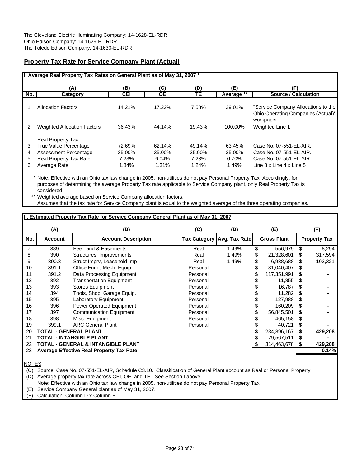# **Property Tax Rate for Service Company Plant (Actual)**

|                  | I. Average Real Property Tax Rates on General Plant as of May 31, 2007 *                                                    |                                    |                                    |                                    |                                    |                                                                                                           |
|------------------|-----------------------------------------------------------------------------------------------------------------------------|------------------------------------|------------------------------------|------------------------------------|------------------------------------|-----------------------------------------------------------------------------------------------------------|
|                  | (A)                                                                                                                         | (B)                                | (C)                                | (D)                                | (E)                                | (F)                                                                                                       |
| No.              | Category                                                                                                                    | <b>CEI</b>                         | <b>OE</b>                          | TE                                 | Average **                         | <b>Source / Calculation</b>                                                                               |
|                  | <b>Allocation Factors</b>                                                                                                   | 14.21%                             | 17.22%                             | 7.58%                              | 39.01%                             | "Service Company Allocations to the<br>Ohio Operating Companies (Actual)"<br>workpaper.                   |
| 2                | <b>Weighted Allocation Factors</b>                                                                                          | 36.43%                             | 44.14%                             | 19.43%                             | 100.00%                            | <b>Weighted Line 1</b>                                                                                    |
| 3<br>4<br>5<br>6 | <b>Real Property Tax</b><br>True Value Percentage<br>Assessment Percentage<br><b>Real Property Tax Rate</b><br>Average Rate | 72.69%<br>35.00%<br>7.23%<br>1.84% | 62.14%<br>35.00%<br>6.04%<br>1.31% | 49.14%<br>35.00%<br>7.23%<br>1.24% | 63.45%<br>35.00%<br>6.70%<br>1.49% | Case No. 07-551-EL-AIR.<br>Case No. 07-551-EL-AIR.<br>Case No. 07-551-EL-AIR.<br>Line 3 x Line 4 x Line 5 |

\* Note: Effective with an Ohio tax law change in 2005, non-utilities do not pay Personal Property Tax. Accordingly, for purposes of determining the average Property Tax rate applicable to Service Company plant, only Real Property Tax is considered.

\*\* Weighted average based on Service Company allocation factors. Assumes that the tax rate for Service Company plant is equal to the weighted average of the three operating companies.

# **II. Estimated Property Tax Rate for Service Company General Plant as of May 31, 2007**

|     | (A)            | (B)                                      | (C)      | (D)                          | (E)                |   | (F)                 |
|-----|----------------|------------------------------------------|----------|------------------------------|--------------------|---|---------------------|
| No. | <b>Account</b> | <b>Account Description</b>               |          | Tax Category   Avg. Tax Rate | <b>Gross Plant</b> |   | <b>Property Tax</b> |
| 7   | 389            | Fee Land & Easements                     | Real     | 1.49%                        | \$<br>556,979      | S | 8,294               |
| 8   | 390            | Structures, Improvements                 | Real     | 1.49%                        | \$<br>21,328,601   | S | 317,594             |
| 9   | 390.3          | Struct Imprv, Leasehold Imp              | Real     | 1.49%                        | 6,938,688          | S | 103,321             |
| 10  | 391.1          | Office Furn., Mech. Equip.               | Personal |                              | 31,040,407         | S |                     |
| 11  | 391.2          | Data Processing Equipment                | Personal |                              | 117,351,991        | S |                     |
| 12  | 392            | <b>Transportation Equipment</b>          | Personal |                              | 11,855             | S |                     |
| 13  | 393            | <b>Stores Equipment</b>                  | Personal |                              | 16,787             | S |                     |
| 14  | 394            | Tools, Shop, Garage Equip.               | Personal |                              | 11,282             | S |                     |
| 15  | 395            | <b>Laboratory Equipment</b>              | Personal |                              | 127,988            | S |                     |
| 16  | 396            | <b>Power Operated Equipment</b>          | Personal |                              | 160.209            | S |                     |
| 17  | 397            | <b>Communication Equipment</b>           | Personal |                              | 56,845,501         | S |                     |
| 18  | 398            | Misc. Equipment                          | Personal |                              | 465,158            | S |                     |
| 19  | 399.1          | <b>ARC General Plant</b>                 | Personal |                              | 40,721             | S |                     |
| 20  |                | TOTAL - GENERAL PLANT                    |          |                              | 234,896,167        |   | 429,208             |
| 21  |                | TOTAL - INTANGIBLE PLANT                 |          |                              | 79,567,511         | S |                     |
| 22  |                | TOTAL - GENERAL & INTANGIBLE PLANT       |          |                              | 314,463,678        | S | 429,208             |
| 23  |                | Average Effective Real Property Tax Rate |          |                              |                    |   | 0.14%               |
|     |                |                                          |          |                              |                    |   |                     |

NOTES

(C) Source: Case No. 07-551-EL-AIR, Schedule C3.10. Classification of General Plant account as Real or Personal Property

(D) Average property tax rate across CEI, OE, and TE. See Section I above.

Note: Effective with an Ohio tax law change in 2005, non-utilities do not pay Personal Property Tax.

(E) Service Company General plant as of May 31, 2007.

(F) Calculation: Column D x Column E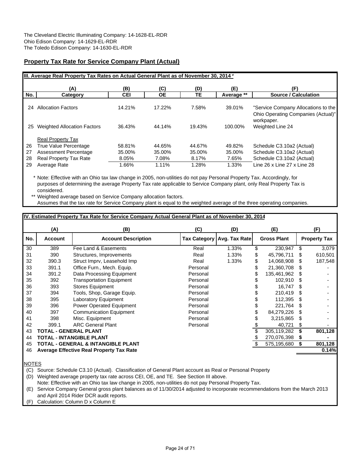# **Property Tax Rate for Service Company Plant (Actual)**

|     |                                    |            |        |        |            | III. Average Real Property Tax Rates on Actual General Plant as of November 30, 2014 *  |  |  |  |  |  |  |  |  |  |  |  |  |  |
|-----|------------------------------------|------------|--------|--------|------------|-----------------------------------------------------------------------------------------|--|--|--|--|--|--|--|--|--|--|--|--|--|
|     | (A)                                | (B)        | (C)    | (D)    | (E)        | (F)                                                                                     |  |  |  |  |  |  |  |  |  |  |  |  |  |
| No. | Category                           | <b>CEI</b> | ОE     | TЕ     | Average ** | <b>Source / Calculation</b>                                                             |  |  |  |  |  |  |  |  |  |  |  |  |  |
| 24  | Allocation Factors                 | 14.21%     | 17.22% | 7.58%  | 39.01%     | "Service Company Allocations to the<br>Ohio Operating Companies (Actual)"<br>workpaper. |  |  |  |  |  |  |  |  |  |  |  |  |  |
| 25  | <b>Weighted Allocation Factors</b> | 36.43%     | 44.14% | 19.43% | 100.00%    | Weighted Line 24                                                                        |  |  |  |  |  |  |  |  |  |  |  |  |  |
|     | <b>Real Property Tax</b>           |            |        |        |            |                                                                                         |  |  |  |  |  |  |  |  |  |  |  |  |  |
| 26  | True Value Percentage              | 58.81%     | 44.65% | 44.67% | 49.82%     | Schedule C3.10a2 (Actual)                                                               |  |  |  |  |  |  |  |  |  |  |  |  |  |
| 27  | Assessment Percentage              | 35.00%     | 35.00% | 35.00% | 35.00%     | Schedule C3.10a2 (Actual)                                                               |  |  |  |  |  |  |  |  |  |  |  |  |  |
| 28  | <b>Real Property Tax Rate</b>      | 8.05%      | 7.08%  | 8.17%  | 7.65%      | Schedule C3.10a2 (Actual)                                                               |  |  |  |  |  |  |  |  |  |  |  |  |  |
| 29  | Average Rate                       | 1.66%      | 1.11%  | 1.28%  | 1.33%      | Line 26 x Line 27 x Line 28                                                             |  |  |  |  |  |  |  |  |  |  |  |  |  |

\* Note: Effective with an Ohio tax law change in 2005, non-utilities do not pay Personal Property Tax. Accordingly, for purposes of determining the average Property Tax rate applicable to Service Company plant, only Real Property Tax is considered.

\*\* Weighted average based on Service Company allocation factors. Assumes that the tax rate for Service Company plant is equal to the weighted average of the three operating companies.

# **IV. Estimated Property Tax Rate for Service Company Actual General Plant as of November 30, 2014**

|     | (A)            | (B)                                             | (C)                 | (D)           | (E)                |    | (F)                 |
|-----|----------------|-------------------------------------------------|---------------------|---------------|--------------------|----|---------------------|
| No. | <b>Account</b> | <b>Account Description</b>                      | <b>Tax Category</b> | Avg. Tax Rate | <b>Gross Plant</b> |    | <b>Property Tax</b> |
| 30  | 389            | Fee Land & Easements                            | Real                | 1.33%         | \$<br>230,947      | S  | 3,079               |
| 31  | 390            | Structures, Improvements                        | Real                | 1.33%         | \$<br>45,796,711   | S  | 610,501             |
| 32  | 390.3          | Struct Imprv, Leasehold Imp                     | Real                | 1.33%         | \$<br>14,068,908   | S  | 187,548             |
| 33  | 391.1          | Office Furn., Mech. Equip.                      | Personal            |               | 21,360,708         | S  |                     |
| 34  | 391.2          | Data Processing Equipment                       | Personal            |               | 135,461,962        | S  |                     |
| 35  | 392            | <b>Transportation Equipment</b>                 | Personal            |               | 102,910            | S  |                     |
| 36  | 393            | <b>Stores Equipment</b>                         | Personal            |               | 16.747             | S  |                     |
| 37  | 394            | Tools, Shop, Garage Equip.                      | Personal            |               | 210,419            | S  |                     |
| 38  | 395            | Laboratory Equipment                            | Personal            |               | 112.395            | S  |                     |
| 39  | 396            | Power Operated Equipment                        | Personal            |               | 221,764            |    |                     |
| 40  | 397            | <b>Communication Equipment</b>                  | Personal            |               | 84,279,226         | æ. |                     |
| 41  | 398            | Misc. Equipment                                 | Personal            |               | 3,215,865          | S  |                     |
| 42  | 399.1          | <b>ARC General Plant</b>                        | Personal            |               | 40,721             | S  |                     |
| 43  |                | TOTAL - GENERAL PLANT                           |                     |               | 305,119,282        |    | 801,128             |
| 44  |                | <b>TOTAL - INTANGIBLE PLANT</b>                 |                     |               | 270,076,398        | S  |                     |
| 45  |                | TOTAL - GENERAL & INTANGIBLE PLANT              |                     |               | 575,195,680        | S  | 801,128             |
| 46  |                | <b>Average Effective Real Property Tax Rate</b> |                     |               |                    |    | 0.14%               |
|     |                |                                                 |                     |               |                    |    |                     |

NOTES

(C) Source: Schedule C3.10 (Actual). Classification of General Plant account as Real or Personal Property

(D) Weighted average property tax rate across CEI, OE, and TE. See Section III above.

Note: Effective with an Ohio tax law change in 2005, non-utilities do not pay Personal Property Tax.

(E) Service Company General gross plant balances as of 11/30/2014 adjusted to incorporate recommendations from the March 2013 and April 2014 Rider DCR audit reports.

(F) Calculation: Column D x Column E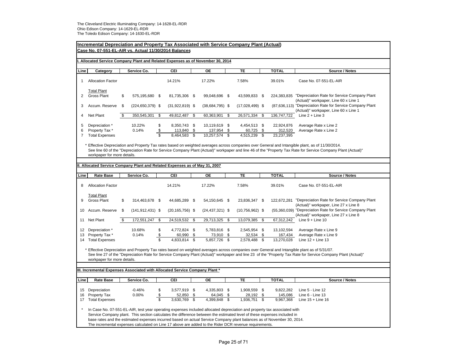|                                                                                              | <b>Incremental Depreciation and Property Tax Associated with Service Company Plant (Actual)</b><br>Case No. 07-551-EL-AIR vs. Actual 11/30/2014 Balances                                                                                                                                                                                                                      |    |                      |                                                 |                     |               |                        |          |                                                                                                       |    |                       |                                                                                                                                                                                                                                                                                                               |  |  |  |
|----------------------------------------------------------------------------------------------|-------------------------------------------------------------------------------------------------------------------------------------------------------------------------------------------------------------------------------------------------------------------------------------------------------------------------------------------------------------------------------|----|----------------------|-------------------------------------------------|---------------------|---------------|------------------------|----------|-------------------------------------------------------------------------------------------------------|----|-----------------------|---------------------------------------------------------------------------------------------------------------------------------------------------------------------------------------------------------------------------------------------------------------------------------------------------------------|--|--|--|
|                                                                                              | Allocated Service Company Plant and Related Expenses as of November 30, 2014                                                                                                                                                                                                                                                                                                  |    |                      |                                                 |                     |               |                        |          |                                                                                                       |    |                       |                                                                                                                                                                                                                                                                                                               |  |  |  |
| Line                                                                                         | Category                                                                                                                                                                                                                                                                                                                                                                      |    | Service Co.          |                                                 | CEI                 |               | OE                     |          | TE                                                                                                    |    | <b>TOTAL</b>          | Source / Notes                                                                                                                                                                                                                                                                                                |  |  |  |
| $\mathbf{1}$                                                                                 | <b>Allocation Factor</b>                                                                                                                                                                                                                                                                                                                                                      |    |                      |                                                 | 14.21%              |               | 17.22%                 |          | 7.58%                                                                                                 |    | 39.01%                | Case No. 07-551-EL-AIR                                                                                                                                                                                                                                                                                        |  |  |  |
| $\overline{2}$                                                                               | <b>Total Plant</b><br><b>Gross Plant</b>                                                                                                                                                                                                                                                                                                                                      | \$ | 575,195,680 \$       |                                                 | 81,735,306 \$       |               | 99,048,696 \$          |          | 43,599,833 \$                                                                                         |    |                       | 224,383,835 "Depreciation Rate for Service Company Plant<br>(Actual)" workpaper, Line 60 x Line 1                                                                                                                                                                                                             |  |  |  |
| 3                                                                                            | Accum. Reserve                                                                                                                                                                                                                                                                                                                                                                | \$ | $(224, 650, 379)$ \$ |                                                 | $(31,922,819)$ \$   |               | $(38,684,795)$ \$      |          | $(17,028,499)$ \$                                                                                     |    |                       | (87,636,113) "Depreciation Rate for Service Company Plant<br>(Actual)" workpaper, Line 60 x Line 1                                                                                                                                                                                                            |  |  |  |
| 4                                                                                            | Net Plant                                                                                                                                                                                                                                                                                                                                                                     | \$ | 350,545,301          | \$                                              | 49,812,487          | \$            | 60,363,901             | \$       | 26,571,334                                                                                            | \$ | 136,747,722           | Line $2 +$ Line 3                                                                                                                                                                                                                                                                                             |  |  |  |
| 5<br>6<br>$\overline{7}$                                                                     | \$<br>Depreciation *<br>10.22%<br>4,454,513 \$<br>8,350,743 \$<br>10,119,619 \$<br>22,924,876<br>Average Rate x Line 2<br>\$<br>Property Tax*<br>0.14%<br>113,840<br>137,954<br>60,725 \$<br>312,520<br>Average Rate x Line 2<br>\$<br>\$<br>$\overline{\mathbb{S}}$<br><b>Total Expenses</b><br>8,464,583<br>\$<br>10,257,574<br>23,237,395<br>\$<br>4,515,239 \$            |    |                      |                                                 |                     |               |                        |          |                                                                                                       |    |                       |                                                                                                                                                                                                                                                                                                               |  |  |  |
|                                                                                              | Effective Depreciation and Property Tax rates based on weighted averages across companies over General and Intangible plant, as of 11/30/2014.<br>See line 60 of the "Depreciation Rate for Service Company Plant (Actual)" workpaper and line 46 of the "Property Tax Rate for Service Company Plant (Actual)"<br>workpaper for more details.                                |    |                      |                                                 |                     |               |                        |          |                                                                                                       |    |                       |                                                                                                                                                                                                                                                                                                               |  |  |  |
|                                                                                              |                                                                                                                                                                                                                                                                                                                                                                               |    |                      |                                                 |                     |               |                        |          |                                                                                                       |    |                       |                                                                                                                                                                                                                                                                                                               |  |  |  |
|                                                                                              | II. Allocated Service Company Plant and Related Expenses as of May 31, 2007                                                                                                                                                                                                                                                                                                   |    |                      |                                                 |                     |               |                        |          |                                                                                                       |    |                       |                                                                                                                                                                                                                                                                                                               |  |  |  |
| <b>Rate Base</b><br>Service Co.<br>CEI<br>OE<br>TE<br><b>TOTAL</b><br>Source / Notes<br>Line |                                                                                                                                                                                                                                                                                                                                                                               |    |                      |                                                 |                     |               |                        |          |                                                                                                       |    |                       |                                                                                                                                                                                                                                                                                                               |  |  |  |
| 8                                                                                            | <b>Allocation Factor</b>                                                                                                                                                                                                                                                                                                                                                      |    |                      |                                                 | 14.21%              |               | 17.22%                 |          | 7.58%                                                                                                 |    | 39.01%                | Case No. 07-551-EL-AIR                                                                                                                                                                                                                                                                                        |  |  |  |
| 9                                                                                            | <b>Total Plant</b><br><b>Gross Plant</b>                                                                                                                                                                                                                                                                                                                                      | \$ | 314,463,678 \$       |                                                 | 44,685,289 \$       |               | 54,150,645 \$          |          | 23,836,347 \$                                                                                         |    | 122,672,281           | "Depreciation Rate for Service Company Plant<br>(Actual)" workpaper, Line 27 x Line 8                                                                                                                                                                                                                         |  |  |  |
| 10                                                                                           | Accum. Reserve                                                                                                                                                                                                                                                                                                                                                                | \$ | $(141, 912, 431)$ \$ |                                                 | $(20, 165, 756)$ \$ |               | $(24, 437, 321)$ \$    |          | $(10,756,962)$ \$                                                                                     |    |                       | (55,360,039) "Depreciation Rate for Service Company Plant<br>(Actual)" workpaper, Line 27 x Line 8                                                                                                                                                                                                            |  |  |  |
| 11                                                                                           | Net Plant                                                                                                                                                                                                                                                                                                                                                                     | \$ | 172,551,247          | \$                                              | 24,519,532          | \$            | 29,713,325 \$          |          | 13,079,385                                                                                            | \$ | 67,312,242            | Line $9 +$ Line 10                                                                                                                                                                                                                                                                                            |  |  |  |
| 12<br>13                                                                                     | Depreciation *<br>Property Tax *                                                                                                                                                                                                                                                                                                                                              |    | 10.68%<br>0.14%      | \$                                              | 4,772,824<br>60,990 | \$<br>\$      | 5,783,816 \$<br>73,910 |          | 2,545,954 \$<br>32,534                                                                                | \$ | 13,102,594<br>167,434 | Average Rate x Line 9<br>Average Rate x Line 9                                                                                                                                                                                                                                                                |  |  |  |
|                                                                                              | 14 Total Expenses                                                                                                                                                                                                                                                                                                                                                             |    |                      | $\pmb{\mathfrak{L}}$<br>$\overline{\mathbf{s}}$ | 4,833,814           | $\mathfrak s$ | 5,857,726              | \$<br>\$ | 2,578,488                                                                                             | \$ | 13,270,028            | Line $12 +$ Line 13                                                                                                                                                                                                                                                                                           |  |  |  |
|                                                                                              | workpaper for more details.                                                                                                                                                                                                                                                                                                                                                   |    |                      |                                                 |                     |               |                        |          |                                                                                                       |    |                       | * Effective Depreciation and Property Tax rates based on weighted averages across companies over General and Intangible plant as of 5/31/07.<br>See line 27 of the "Depreciation Rate for Service Company Plant (Actual)" workpaper and line 23 of the "Property Tax Rate for Service Company Plant (Actual)" |  |  |  |
|                                                                                              | III. Incremental Expenses Associated with Allocated Service Company Plant *                                                                                                                                                                                                                                                                                                   |    |                      |                                                 |                     |               |                        |          |                                                                                                       |    |                       |                                                                                                                                                                                                                                                                                                               |  |  |  |
|                                                                                              |                                                                                                                                                                                                                                                                                                                                                                               |    |                      |                                                 |                     |               |                        |          |                                                                                                       |    |                       |                                                                                                                                                                                                                                                                                                               |  |  |  |
| Line                                                                                         | <b>Rate Base</b>                                                                                                                                                                                                                                                                                                                                                              |    | Service Co.          |                                                 | CEI                 |               | OЕ                     |          | TE                                                                                                    |    | <b>TOTAL</b>          | Source / Notes                                                                                                                                                                                                                                                                                                |  |  |  |
| 15                                                                                           | Depreciation                                                                                                                                                                                                                                                                                                                                                                  |    | $-0.46%$             | \$                                              | 3,577,919 \$        |               | 4,335,803 \$           |          | 1,908,559 \$                                                                                          |    | 9,822,282             | Line 5 - Line 12                                                                                                                                                                                                                                                                                              |  |  |  |
| 16                                                                                           | Property Tax                                                                                                                                                                                                                                                                                                                                                                  |    | 0.00%                | $\frac{3}{2}$                                   | 52,850              | \$            | 64,045                 | \$       | 28,192                                                                                                | \$ | 145,086               | Line 6 - Line 13                                                                                                                                                                                                                                                                                              |  |  |  |
| 17                                                                                           | <b>Total Expenses</b>                                                                                                                                                                                                                                                                                                                                                         |    |                      | $\overline{\mathbb{S}}$                         | 3,630,769           | $\mathfrak s$ | 4,399,848              | \$       | 1,936,751 \$                                                                                          |    | 9,967,368             | Line $15 +$ Line 16                                                                                                                                                                                                                                                                                           |  |  |  |
|                                                                                              | In Case No. 07-551-EL-AIR, test year operating expenses included allocated depreciation and property tax associated with<br>Service Company plant. This section calculates the difference between the estimated level of these expenses included in<br>base rates and the estimated expenses incurred based on actual Service Company plant balances as of November 30, 2014. |    |                      |                                                 |                     |               |                        |          | The incremental expenses calculated on Line 17 above are added to the Rider DCR revenue requirements. |    |                       |                                                                                                                                                                                                                                                                                                               |  |  |  |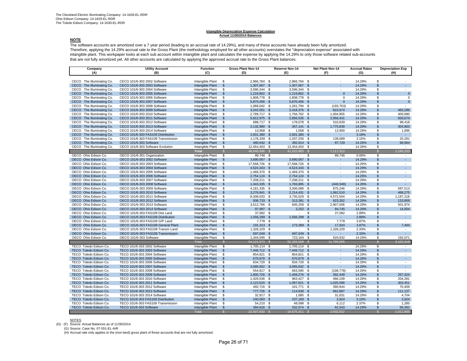#### **Intangible Depreciation Expense Calculation Actual 11/30/2014 Balances**

### **NOTE**

 The software accounts are amortized over a 7 year period (leading to an accrual rate of 14.29%), and many of these accounts have already been fully amortized. Therefore, applying the 14.29% accrual rate to the Gross Plant (the methodology employed for all other accounts) overstates the "depreciation expense" associated with intangible plant. This workpaper looks at each sub account within intangible plant and calculates the expense by applying the 14.29% to only those software related sub-accounts that are not fully amortized yet. All other accounts are calculated by applying the approved accrual rate to the Gross Plant balances.

| Company                      | <b>Utility Account</b>              | <b>Function</b>  |                | <b>Gross Plant Nov-14</b> |               | <b>Reserve Nov-14</b> | Net Plant Nov-14         | <b>Accrual Rates</b> |                    | <b>Depreciation Exp</b>     |
|------------------------------|-------------------------------------|------------------|----------------|---------------------------|---------------|-----------------------|--------------------------|----------------------|--------------------|-----------------------------|
| (A)                          | (B)                                 | (C)              |                | (D)                       |               | (E)                   | (F)                      | (G)                  |                    | (H)                         |
|                              |                                     |                  |                |                           |               |                       |                          |                      |                    |                             |
| CECO The Illuminating Co.    | CECO 101/6-303 2002 Software        | Intangible Plant | \$             | 2,966,784 \$              |               | 2,966,784 \$          |                          | 14.29%               | \$                 |                             |
| CECO The Illuminating Co.    | CECO 101/6-303 2003 Software        | Intangible Plant | \$             | 1,307,067 \$              |               | 1,307,067 \$          |                          | 14.29%               | $\mathfrak{s}$     |                             |
| CECO The Illuminating Co.    | CECO 101/6-303 2004 Software        | Intangible Plant | \$             | 3,596,344 \$              |               | 3,596,344 \$          | ٠                        | 14.29%               | \$                 | $\sim$                      |
| CECO The Illuminating Co.    | CECO 101/6-303 2005 Software        | Intangible Plant | <sub>\$</sub>  | 1,219,862 \$              |               | 1,219,862 \$          | $\Omega$                 | 14.29%               | $\mathcal{F}$      | $\mathbf{0}$                |
| CECO The Illuminating Co.    | CECO 101/6-303 2006 Software        | Intangible Plant | \$             | 1,808,778 \$              |               | 1,808,778 \$          | $\Omega$                 | 14.29%               | \$                 | $\Omega$                    |
| CECO The Illuminating Co.    | CECO 101/6-303 2007 Software        | Intangible Plant | $\mathsf{\$}$  | 5,870,456 \$              |               | 5,870,456 \$          | $\mathbf{0}$             | 14.29%               | $\mathfrak{S}$     | $\mathbf{0}$                |
| CECO The Illuminating Co.    | CECO 101/6-303 2008 Software        | Intangible Plant | \$             | 1,068,042 \$              |               | 1,261,794 \$          | (193, 753)               | 14.29%               | \$                 |                             |
| CECO The Illuminating Co.    | CECO 101/6-303 2009 Software        | Intangible Plant | <b>S</b>       | 3,242,051 \$              |               | 2,418,376 \$          | 823,674                  | 14.29%               | $\mathfrak{L}$     | 463,289                     |
| CECO The Illuminating Co.    | CECO 101/6-303 2010 Software        | Intangible Plant | \$             | 2,799,717 \$              |               | 1,794,762 \$          | 1,004,955                | 14.29%               | \$                 | 400,080                     |
| The Illuminating Co.<br>CECO | CECO 101/6-303 2011 Software        | Intangible Plant | \$             | 5,812,975 \$              |               | 2,856,535 \$          | 2,956,441                | 14.29%               | $\mathfrak{L}$     | 830,674                     |
| CECO The Illuminating Co.    | CECO 101/6-303 2012 Software        | Intangible Plant | \$             | 688,717 \$                |               | 178,078 \$            | 510,639                  | 14.29%               | \$                 | 98,418                      |
| CECO The Illuminating Co.    | CECO 101/6-303 2013 Software        | Intangible Plant | $\mathsf{\$}$  | 2,132,980 \$              |               | 357,141 \$            | 1,775,839                | 14.29%               | $\mathcal{F}$      | 304,803                     |
| CECO The Illuminating Co.    | CECO 101/6-303 2014 Software        | Intangible Plant | \$             | 13,958 \$                 |               | $1,058$ \$            | 12,900                   | 14.29%               | \$                 | 1,995                       |
| CECO The Illuminating Co.    | CECO 101/6-303 FAS109 Distribution  | Intangible Plant | $\sqrt{2}$     | 2,001,380 \$              |               | 2,001,380 \$          |                          | 3.18%                | $\mathfrak{s}$     | $\sim$                      |
| CECO The Illuminating Co.    | CECO 101/6-303 FAS109 Transmission  | Intangible Plant | \$             | 1,176,339 \$              |               | 1,037,250 \$          | 139,089                  | 2.15%                | \$                 | 25,291                      |
| CECO The Illuminating Co.    | CECO 101/6-303 Software             | Intangible Plant | $\mathfrak{s}$ | 480,642 \$                |               | 392,914 \$            | 87,729                   | 14.29%               | $\mathfrak{s}$     | 68,684                      |
| CECO The Illuminating Co.    | CECO 101/6-303 Software Evolution   | Intangible Plant | \$             | 12,454,403 \$             |               | 12,454,403 \$         | ٠                        | 14.29%               | \$                 | $\sim$                      |
|                              |                                     | <b>Total</b>     | $\mathcal{L}$  | 48,640,496                | <b>S</b>      | 41.522.983            | 7,117,513<br>S.          |                      | $\mathcal{L}$      | 2,193,233                   |
| OECO Ohio Edison Co.         | OECO 101/6-301 Organization         | Intangible Plant | \$             | 89,746 \$                 |               | ٠                     | \$<br>89,746             | 0.00%                | \$                 | $\sim$                      |
| OECO Ohio Edison Co.         | OECO 101/6-303 2002 Software        | Intangible Plant | $\mathfrak{L}$ | 3,690,067 \$              |               | 3,690,067             | $\mathbf{s}$             | 14.29%               | $\mathfrak{L}$     | a.                          |
| OECO Ohio Edison Co.         | OECO 101/6-303 2003 Software        | Intangible Plant | \$             | 17,568,726 \$             |               | 17,568,726 \$         | $\sim$                   | 14.29%               | \$                 | $\sim$                      |
| OECO Ohio Edison Co.         | OECO 101/6-303 2004 Software        | Intangible Plant | $\mathsf{\$}$  | 4,524,343 \$              |               | 4,524,343 \$          | ÷.                       | 14.29%               | $\mathfrak{s}$     | ÷.                          |
| OECO Ohio Edison Co.         | OECO 101/6-303 2005 Software        | Intangible Plant | \$             | 1,469,370 \$              |               | 1,469,370 \$          | ٠                        | 14.29%               | \$                 | $\sim$                      |
| OECO Ohio Edison Co.         | OECO 101/6-303 2006 Software        | Intangible Plant | $\mathfrak{s}$ | 2,754,124 \$              |               | 2,754,124 \$          |                          | 14.29%               | $\mathcal{F}$      | ÷.                          |
| OECO Ohio Edison Co.         | OECO 101/6-303 2007 Software        | Intangible Plant | \$             | 7,208,211 \$              |               | 7,208,211 \$          | $\sim$                   | 14.29%               | \$                 | $\sim$                      |
| OECO Ohio Edison Co.         | OECO 101/6-303 2008 Software        | Intangible Plant | $\mathsf{\$}$  | 1,343,335 \$              |               | 1,783,885 \$          | (440, 549)               | 14.29%               | $\mathfrak{s}$     | $\mathcal{L}_{\mathcal{A}}$ |
| OECO Ohio Edison Co.         | OECO 101/6-303 2009 Software        | Intangible Plant | \$             | 4,181,335 \$              |               | 3,306,089 \$          | 875,246                  | 14.29%               | \$                 | 597,513                     |
| OECO Ohio Edison Co.         | OECO 101/6-303 2010 Software        | Intangible Plant | <b>S</b>       | 3,276,941 \$              |               | 2,214,431 \$          | 1,062,510                | 14.29%               | $\mathfrak{L}$     | 468,275                     |
| OECO Ohio Edison Co.         | OECO 101/6-303 2011 Software        | Intangible Plant | \$             | 8,308,033 \$              |               | 3,735,529 \$          | 4,572,504                | 14.29%               | \$                 | 1,187,218                   |
| OECO Ohio Edison Co.         | OECO 101/6-303 2012 Software        | Intangible Plant | \$             | 936,733 \$                |               | 313,381 \$            | 623,352                  | 14.29%               | $\mathfrak{L}$     | 133,859                     |
| OECO Ohio Edison Co.         | OECO 101/6-303 2013 Software        | Intangible Plant | \$             | 3,512,766 \$              |               | 605,259 \$            | 2,907,506                | 14.29%               | \$                 | 501,974                     |
| OECO Ohio Edison Co.         | OECO 101/6-303 2014 Software        | Intangible Plant | <sub>\$</sub>  | 97,997 \$                 |               | $3,252$ \$            | 94,745                   | 14.29%               | $\mathfrak{s}$     | 14,004                      |
| OECO Ohio Edison Co.         | OECO 101/6-303 FAS109 Dist Land     | Intangible Plant | \$             | 37,082 \$                 |               | ٠                     | \$<br>37,082             | 2.89%                | \$                 | $\sim$                      |
| OECO Ohio Edison Co.         | OECO 101/6-303 FAS109 Distribution  | Intangible Plant | \$             | 1,556,299 \$              |               | 1,556,299             | $\mathbf{s}$<br>÷.       | 2.89%                | $\mathfrak{S}$     | ÷.                          |
| OECO Ohio Edison Co.         | OECO 101/6-303 FAS109 G/P Land      | Intangible Plant | \$             | 7,778 \$                  |               | $\sim$                | S<br>7,778               | 3.87%                | \$                 | $\sim$                      |
| OECO Ohio Edison Co.         | OECO 101/6-303 FAS109 General Plant | Intangible Plant | $\mathfrak{s}$ | 191,313 \$                |               | 173,389 \$            | 17,924                   | 3.87%                | $\mathfrak{L}$     | 7,404                       |
| OECO Ohio Edison Co.         | OECO 101/6-303 FAS109 Transm Land   | Intangible Plant | \$             | 1,326,229 \$              |               | ÷                     | 1,326,229<br>\$          | 2.33%                | \$                 | $\sim$                      |
| OECO Ohio Edison Co.         | OECO 101/6-303 FAS109 Transmission  | Intangible Plant | $\sqrt{3}$     | 697,049 \$                |               | 697,049 \$            |                          | 2.33%                | $\mathbb{S}$       | $\sim$                      |
| OECO Ohio Edison Co.         | OECO 101/6-303 Software             | Intangible Plant | \$             | 1,344,095 \$              |               | 723,164 \$            | 620,932                  | 14.29%               | \$                 | 192,071                     |
|                              |                                     | Total            |                | 64,121,573                |               | 52.326.568            | 11.795.005               |                      |                    | 3,102,318                   |
| TECO Toledo Edison Co.       | TECO 101/6-303 2002 Software        | Intangible Plant | \$             | 1,705,114 \$              |               | $1,705,114$ \$        | $\overline{\phantom{a}}$ | 14.29%               | \$                 | $\sim$                      |
| TECO Toledo Edison Co.       | TECO 101/6-303 2003 Software        | Intangible Plant | \$             | 7,446,712 \$              |               | 7,446,712 \$          | ÷.                       | 14.29%               | $\mathfrak{s}$     | $\mathcal{L}_{\mathcal{A}}$ |
| TECO Toledo Edison Co.       | TECO 101/6-303 2004 Software        | Intangible Plant | \$             | 854,821 \$                |               | 854,821 \$            | $\overline{\phantom{a}}$ | 14.29%               | \$                 | $\sim$                      |
| TECO Toledo Edison Co.       | TECO 101/6-303 2005 Software        | Intangible Plant | $\mathfrak{L}$ | 670,679 \$                |               | 670,679               | <b>S</b>                 | 14.29%               | $\mathfrak{L}$     | a.                          |
| TECO Toledo Edison Co.       | TECO 101/6-303 2006 Software        | Intangible Plant | -\$            | 834,729 \$                |               | 834,729               | - \$<br>٠                | 14.29%               | \$                 | $\sim$                      |
| TECO Toledo Edison Co.       | TECO 101/6-303 2007 Software        | Intangible Plant | $\mathsf{\$}$  | 3,095,002 \$              |               | 3,095,002 \$          | ×.                       | 14.29%               | $\mathfrak{S}$     | ÷.                          |
| TECO Toledo Edison Co.       | TECO 101/6-303 2008 Software        | Intangible Plant | \$             | 554,817 \$                |               | 663,595 \$            | (108, 778)               | 14.29%               | £.                 |                             |
| TECO Toledo Edison Co.       | TECO 101/6-303 2009 Software        | Intangible Plant | <sub>\$</sub>  | 1,800,726 \$              |               | 1,408,276 \$          | 392,449                  | 14.29%               | $\mathfrak{L}$     | 257,324                     |
| TECO Toledo Edison Co.       | TECO 101/6-303 2010 Software        | Intangible Plant | \$             | 1,429,536 \$              |               | 963,427 \$            | 466,109                  | 14.29%               | \$                 | 204.281                     |
| TECO Toledo Edison Co.       | TECO 101/6-303 2011 Software        | Intangible Plant | $\mathsf{\$}$  | 2,123,520 \$              |               | 1,097,921 \$          | 1,025,599                | 14.29%               | $\mathfrak{S}$     | 303,451                     |
| TECO Toledo Edison Co.       | TECO 101/6-303 2012 Software        | Intangible Plant | \$             | 492,716 \$                |               | 101,771 \$            | 390,944                  | 14.29%               | \$                 | 70,409                      |
| TECO Toledo Edison Co.       | TECO 101/6-303 2013 Software        | Intangible Plant | <sub>\$</sub>  | 777,726 \$                |               | 114,838 \$            | 662.887                  | 14.29%               | $\mathfrak{L}$     | 111,137                     |
| TECO Toledo Edison Co.       | TECO 101/6-303 2014 Software        | Intangible Plant | \$             | 32,917 \$                 |               | $1,085$ \$            | 31,831                   | 14.29%               | \$                 | 4,704                       |
| TECO Toledo Edison Co.       | TECO 101/6-303 FAS109 Distribution  | Intangible Plant | $\mathsf{\$}$  | 240,093 \$                |               | 237,169 \$            | 2,924                    | 3.10%                | $\mathfrak{s}$     | 2,924                       |
| TECO Toledo Edison Co.       | TECO 101/6-303 FAS109 Transmission  | Intangible Plant | \$             | 54.210 \$                 |               | 48.098                | <b>S</b><br>6.112        | 2.37%                | $\mathbf{\hat{s}}$ | 1.285                       |
| TECO Toledo Edison Co.       | TECO 101/6-303 Software             | Intangible Plant | $\mathsf{\$}$  | 394,616 \$                |               | 332,074 \$            | 62,543                   | 14.29%               | $\mathbb{S}$       | 56,391                      |
|                              |                                     | Tota             |                | 22,507,933                | $\mathcal{S}$ | 19,575,311            | 2.932.622                |                      |                    | 1,011,905                   |

NOTES<br>(D) - (F) Source: Actual Balances as of 11/30/2014.

(G) Source: Case No. 07-551-EL-AIR

(H) Accrual rate only applies to the (non-land) gross plant of those accounts that are not fully amortized.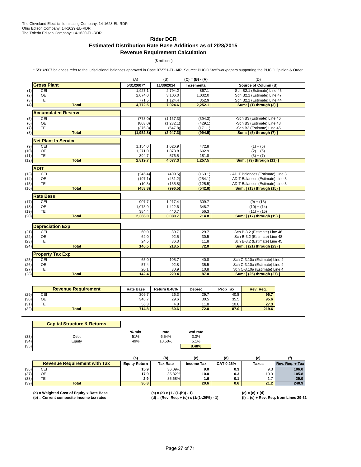# **Rider DCR**

# **Estimated Distribution Rate Base Additions as of 2/28/2015 Revenue Requirement Calculation**

(\$ millions)

\* 5/31/2007 balances refer to the jurisdictional balances approved in Case 07-551-EL-AIR. Source: PUCO Staff workpapers supporting the PUCO Opinion & Order

|      |                             | (A)        | (B)        | (D)         |                                      |
|------|-----------------------------|------------|------------|-------------|--------------------------------------|
|      | <b>Gross Plant</b>          | 5/31/2007* | 11/30/2014 | Incremental | Source of Column (B)                 |
| (1)  | CEI                         | 1,927.1    | 2,794.2    | 867.1       | Sch B2.1 (Estimate) Line 45          |
| (2)  | <b>OE</b>                   | 2,074.0    | 3,106.0    | 1,032.0     | Sch B2.1 (Estimate) Line 47          |
| (3)  | <b>TE</b>                   | 771.5      | 1,124.4    | 352.9       | Sch B2.1 (Estimate) Line 44          |
| (4)  | <b>Total</b>                | 4.772.5    | 7,024.6    | 2,252.1     | Sum: [ (1) through (3) ]             |
|      | <b>Accumulated Reserve</b>  |            |            |             |                                      |
| (5)  | CEI                         | (773.0)    | (1, 167.3) | (394.3)     | -Sch B3 (Estimate) Line 46           |
| (6)  | <b>OE</b>                   | (803.0)    | (1,232.1)  | (429.1)     | -Sch B3 (Estimate) Line 48           |
| (7)  | <b>TE</b>                   | (376.8)    | (547.8)    | (171.1)     | -Sch B3 (Estimate) Line 45           |
| (8)  | <b>Total</b>                | (1,952.8)  | (2,947.3)  | (994.5)     | Sum: [(5) through (7) ]              |
|      | <b>Net Plant In Service</b> |            |            |             |                                      |
| (9)  | CEI                         | 1,154.0    | 1,626.9    | 472.8       | $(1) + (5)$                          |
| (10) | <b>OE</b>                   | 1,271.0    | 1,873.8    | 602.9       | $(2) + (6)$                          |
| (11) | <b>TE</b>                   | 394.7      | 576.5      | 181.8       | $(3) + (7)$                          |
| (12) | <b>Total</b>                | 2,819.7    | 4,077.3    | 1,257.5     | Sum: [ (9) through (11)              |
|      | <b>ADIT</b>                 |            |            |             |                                      |
| (13) | CEI                         | (246.4)    | (409.5)    | (163.1)     | - ADIT Balances (Estimate) Line 3    |
| (14) | OE                          | (197.1)    | (451.2)    | (254.1)     | - ADIT Balances (Estimate) Line 3    |
| (15) | <b>TE</b>                   | (10.3)     | (135.8)    | (125.5)     | - ADIT Balances (Estimate) Line 3    |
| (16) | <b>Total</b>                | (453.8)    | (996.5)    | (542.8)     | Sum: [ (13) through (15) ]           |
|      | <b>Rate Base</b>            |            |            |             |                                      |
| (17) | CEI                         | 907.7      | 1,217.4    | 309.7       | $(9) + (13)$                         |
| (18) | <b>OE</b>                   | 1,073.9    | 1,422.6    | 348.7       | $(10) + (14)$                        |
| (19) | <b>TE</b>                   | 384.4      | 440.7      | 56.3        | $(11) + (15)$                        |
| (20) | <b>Total</b>                | 2,366.0    | 3,080.7    | 714.8       | (17) through (19) ]<br><b>Sum:</b> [ |
|      |                             |            |            |             |                                      |
|      | <b>Depreciation Exp</b>     |            |            |             |                                      |
| (21) | CEI                         | 60.0       | 89.7       | 29.7        | Sch B-3.2 (Estimate) Line 46         |
| (22) | <b>OE</b>                   | 62.0       | 92.5       | 30.5        | Sch B-3.2 (Estimate) Line 48         |
| (23) | <b>TE</b>                   | 24.5       | 36.3       | 11.8        | Sch B-3.2 (Estimate) Line 45         |
| (24) | <b>Total</b>                | 146.5      | 218.5      | 72.0        | Sum: [ (21) through (23) ]           |
|      | <b>Property Tax Exp</b>     |            |            |             |                                      |
| (25) | CEI                         | 65.0       | 105.7      | 40.8        | Sch C-3.10a (Estimate) Line 4        |
| (26) | <b>OE</b>                   | 57.4       | 92.8       | 35.5        | Sch C-3.10a (Estimate) Line 4        |
| (27) | <b>TE</b>                   | 20.1       | 30.9       | 10.8        | Sch C-3.10a (Estimate) Line 4        |
| (28) | <b>Total</b>                | 142.4      | 229.4      | 87.0        | Sum: [ (25) through (27) ]           |

|      | <b>Revenue Requirement</b> | <b>Rate Base</b> | <b>Return 8.48%</b> | <b>Deprec</b> | Prop Tax | Rev. Rea. |
|------|----------------------------|------------------|---------------------|---------------|----------|-----------|
| (29) | CEI                        | 309.7            | 26.3                | 29.7          | 40.8     | 96.7      |
| (30) | ОE                         | 348.7            | 29.6                | 30.5          | 35.5     | 95.6      |
| (31) | TЕ                         | 56.3             | 4.8                 | 11.8          | 10.8     | 27.3      |
| (32) | <b>Total</b>               | 714.8            | 60.6                | 72.0          | 87.0     | 219.6     |

|      | <b>Capital Structure &amp; Returns</b> |       |        |          |
|------|----------------------------------------|-------|--------|----------|
|      |                                        | % mix | rate   | wtd rate |
| (33) | Debt                                   | 51%   | 6.54%  | 3.3%     |
| (34) | Equity                                 | 49%   | 10.50% | 5.1%     |
| (35) |                                        |       |        | 8.48%    |

|      |                                     | (a)                  | (b)      |            |           | (e    |                 |
|------|-------------------------------------|----------------------|----------|------------|-----------|-------|-----------------|
|      | <b>Revenue Requirement with Tax</b> | <b>Equity Return</b> | Tax Rate | Income Tax | CAT 0.26% | Taxes | Rev. Reg. + Tax |
| (36) | CEI                                 | 15.9                 | 36.09%   | 9.0        | 0.3       | 9.3   | 106.0           |
| (37) | OE                                  | 17.9                 | 35.82%   | 10.0       | 0.3       | 10.3  | 105.8           |
| (38) |                                     | 2.9                  | 35.68%   | 1.6        | 0.1       |       | 29.0            |
| (39) | <b>Total</b>                        | 36.8                 |          | 20.6       | 0.6       | 21.2  | 240.9           |

**(a) = Weighted Cost of Equity x Rate Base (c) = (a) x (1 / (1-(b)) - 1) (e) = (c) + (d)**

**(b) = Current composite income tax rates (d) = (Rev. Req. + (c)) x (1/(1-.26%) - 1) (f) = (e) + Rev. Req. from Lines 29-31**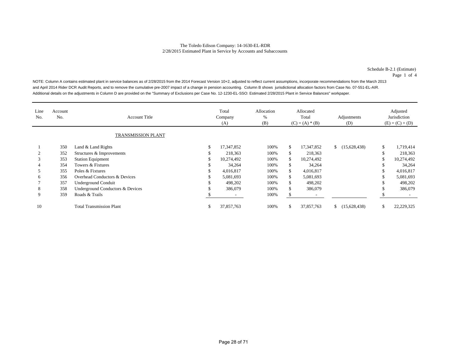Schedule B-2.1 (Estimate)

Page 1 of 4

NOTE: Column A contains estimated plant in service balances as of 2/28/2015 from the 2014 Forecast Version 10+2, adjusted to reflect current assumptions, incorporate recommendations from the March 2013 and April 2014 Rider DCR Audit Reports, and to remove the cumulative pre-2007 impact of a change in pension accounting. Column B shows jurisdictional allocation factors from Case No. 07-551-EL-AIR. Additional details on the adjustments in Column D are provided on the "Summary of Exclusions per Case No. 12-1230-EL-SSO: Estimated 2/28/2015 Plant in Service Balances" workpaper.

| Line<br>No. | Account<br>No.            | <b>Account Title</b>             |    | Total<br>Company<br>(A) | Allocation<br>%<br>(B) |     | Allocated<br>Total<br>$(C) = (A) * (B)$ | Adjustments<br>(D) |    | Adjusted<br>Jurisdiction<br>$(E) = (C) + (D)$ |
|-------------|---------------------------|----------------------------------|----|-------------------------|------------------------|-----|-----------------------------------------|--------------------|----|-----------------------------------------------|
|             | <b>TRANSMISSION PLANT</b> |                                  |    |                         |                        |     |                                         |                    |    |                                               |
|             | 350                       | Land & Land Rights               | \$ | 17,347,852              | 100%                   | \$  | 17,347,852                              | (15,628,438)       | \$ | 1,719,414                                     |
|             | 352                       | Structures & Improvements        |    | 218,363                 | 100%                   | \$  | 218,363                                 |                    |    | 218,363                                       |
| 3           | 353                       | <b>Station Equipment</b>         |    | 10,274,492              | 100%                   | \$  | 10,274,492                              |                    |    | 10,274,492                                    |
|             | 354                       | Towers & Fixtures                |    | 34,264                  | 100%                   | \$  | 34,264                                  |                    |    | 34,264                                        |
|             | 355                       | Poles & Fixtures                 |    | 4,016,817               | 100%                   | \$  | 4,016,817                               |                    |    | 4,016,817                                     |
| 6           | 356                       | Overhead Conductors & Devices    |    | 5,081,693               | 100%                   | \$  | 5,081,693                               |                    |    | 5,081,693                                     |
|             | 357                       | <b>Underground Conduit</b>       |    | 498,202                 | 100%                   | \$  | 498,202                                 |                    |    | 498,202                                       |
| 8           | 358                       | Underground Conductors & Devices |    | 386,079                 | 100%                   | \$  | 386,079                                 |                    |    | 386,079                                       |
| 9           | 359                       | Roads & Trails                   |    |                         | 100%                   | \$. |                                         |                    |    |                                               |
| 10          |                           | <b>Total Transmission Plant</b>  | P. | 37,857,763              | 100%                   | \$  | 37,857,763                              | \$(15,628,438)     | ъ  | 22,229,325                                    |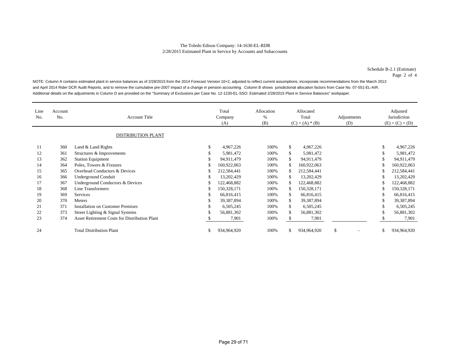Schedule B-2.1 (Estimate) Page 2 of 4

NOTE: Column A contains estimated plant in service balances as of 2/28/2015 from the 2014 Forecast Version 10+2, adjusted to reflect current assumptions, incorporate recommendations from the March 2013 and April 2014 Rider DCR Audit Reports, and to remove the cumulative pre-2007 impact of a change in pension accounting. Column B shows jurisdictional allocation factors from Case No. 07-551-EL-AIR. Additional details on the adjustments in Column D are provided on the "Summary of Exclusions per Case No. 12-1230-EL-SSO: Estimated 2/28/2015 Plant in Service Balances" workpaper.

| Line<br>No. | Account<br>No. | <b>Account Title</b>                                 |     | Total<br>Company<br>(A) | Allocation<br>%<br>(B) | Allocated<br>Total<br>$(C) = (A) * (B)$ |             | Adjustments<br>(D) |    | Adjusted<br>Jurisdiction<br>$(E) = (C) + (D)$ |
|-------------|----------------|------------------------------------------------------|-----|-------------------------|------------------------|-----------------------------------------|-------------|--------------------|----|-----------------------------------------------|
|             |                | <b>DISTRIBUTION PLANT</b>                            |     |                         |                        |                                         |             |                    |    |                                               |
| 11          | 360            | Land & Land Rights                                   | £.  | 4,967,226               | 100%                   | \$                                      | 4,967,226   |                    | S  | 4,967,226                                     |
| 12          | 361            | Structures & Improvements                            |     | 5,981,472               | 100%                   | \$                                      | 5,981,472   |                    | \$ | 5,981,472                                     |
| 13          | 362            | <b>Station Equipment</b>                             |     | 94,911,479              | 100%                   | \$                                      | 94,911,479  |                    | \$ | 94,911,479                                    |
| 14          | 364            | Poles, Towers & Fixtures                             |     | 160,922,063             | 100%                   | \$.                                     | 160,922,063 |                    | \$ | 160,922,063                                   |
| 15          | 365            | Overhead Conductors & Devices                        |     | 212,584,441             | 100%                   |                                         | 212,584,441 |                    | S  | 212,584,441                                   |
| 16          | 366            | <b>Underground Conduit</b>                           | ъ   | 13,202,429              | 100%                   | \$                                      | 13,202,429  |                    | S  | 13,202,429                                    |
| 17          | 367            | Underground Conductors & Devices                     | ъ   | 122,468,882             | 100%                   |                                         | 122,468,882 |                    | S  | 122,468,882                                   |
| 18          | 368            | Line Transformers                                    | S   | 150,328,171             | 100%                   | \$                                      | 150,328,171 |                    | \$ | 150,328,171                                   |
| 19          | 369            | Services                                             | S   | 66,816,415              | 100%                   | \$                                      | 66,816,415  |                    | \$ | 66,816,415                                    |
| 20          | 370            | Meters                                               | \$. | 39,387,894              | 100%                   | \$                                      | 39,387,894  |                    | \$ | 39,387,894                                    |
| 21          | 371            | <b>Installation on Customer Premises</b>             | \$. | 6,505,245               | 100%                   | \$                                      | 6,505,245   |                    | \$ | 6,505,245                                     |
| 22          | 373            | Street Lighting & Signal Systems                     |     | 56,881,302              | 100%                   | \$                                      | 56,881,302  |                    | \$ | 56,881,302                                    |
| 23          | 374            | <b>Asset Retirement Costs for Distribution Plant</b> |     | 7,901                   | 100%                   |                                         | 7,901       |                    |    | 7,901                                         |
| 24          |                | <b>Total Distribution Plant</b>                      | ъ   | 934,964,920             | 100%                   | \$                                      | 934,964,920 | \$                 | \$ | 934,964,920                                   |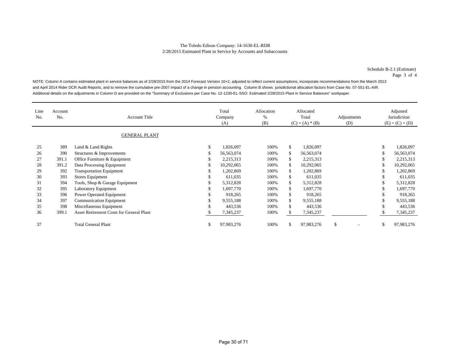Schedule B-2.1 (Estimate)

Page 3 of 4

NOTE: Column A contains estimated plant in service balances as of 2/28/2015 from the 2014 Forecast Version 10+2, adjusted to reflect current assumptions, incorporate recommendations from the March 2013 and April 2014 Rider DCR Audit Reports, and to remove the cumulative pre-2007 impact of a change in pension accounting. Column B shows jurisdictional allocation factors from Case No. 07-551-EL-AIR. Additional details on the adjustments in Column D are provided on the "Summary of Exclusions per Case No. 12-1230-EL-SSO: Estimated 2/28/2015 Plant in Service Balances" workpaper.

| Line<br>No. | Account<br>No. | <b>Account Title</b>                     | Total<br>Allocation<br>%<br>Company<br>(B)<br>(A) |      | Allocated<br>Total<br>$(C) = (A) * (B)$ |            | Adjustments<br>(D) |     | Adjusted<br>Jurisdiction<br>$(E) = (C) + (D)$ |
|-------------|----------------|------------------------------------------|---------------------------------------------------|------|-----------------------------------------|------------|--------------------|-----|-----------------------------------------------|
|             |                | <b>GENERAL PLANT</b>                     |                                                   |      |                                         |            |                    |     |                                               |
| 25          | 389            | Land & Land Rights                       | \$<br>1,826,097                                   | 100% | \$                                      | 1,826,097  |                    | \$. | 1,826,097                                     |
| 26          | 390            | Structures & Improvements                | 56,563,074                                        | 100% | \$                                      | 56,563,074 |                    |     | 56,563,074                                    |
| 27          | 391.1          | Office Furniture & Equipment             | 2,215,313                                         | 100% | \$                                      | 2,215,313  |                    | J.  | 2,215,313                                     |
| 28          | 391.2          | Data Processing Equipment                | 10,292,065                                        | 100% | \$                                      | 10,292,065 |                    |     | 10,292,065                                    |
| 29          | 392            | <b>Transportation Equipment</b>          | 1,202,869                                         | 100% | \$                                      | 1,202,869  |                    |     | 1,202,869                                     |
| 30          | 393            | Stores Equipment                         | 611,035                                           | 100% | \$                                      | 611,035    |                    |     | 611,035                                       |
| 31          | 394            | Tools, Shop & Garage Equipment           | 5,312,828                                         | 100% | \$                                      | 5,312,828  |                    |     | 5,312,828                                     |
| 32          | 395            | Laboratory Equipment                     | 1,697,770                                         | 100% | \$                                      | 1,697,770  |                    |     | 1,697,770                                     |
| 33          | 396            | Power Operated Equipment                 | 918,265                                           | 100% | \$                                      | 918,265    |                    |     | 918,265                                       |
| 34          | 397            | <b>Communication Equipment</b>           | 9,555,188                                         | 100% | \$                                      | 9,555,188  |                    |     | 9,555,188                                     |
| 35          | 398            | Miscellaneous Equipment                  | 443,536                                           | 100% | \$                                      | 443,536    |                    |     | 443,536                                       |
| 36          | 399.1          | Asset Retirement Costs for General Plant | 7,345,237                                         | 100% | S.                                      | 7,345,237  |                    |     | 7,345,237                                     |
| 37          |                | <b>Total General Plant</b>               | \$<br>97,983,276                                  | 100% | \$                                      | 97,983,276 | \$.                | \$. | 97,983,276                                    |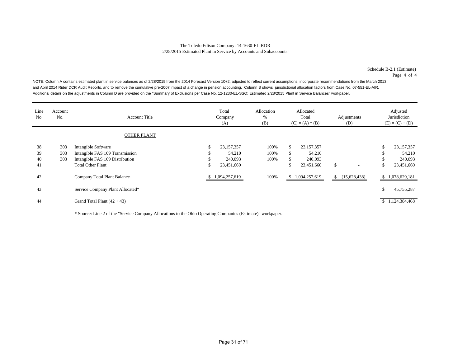Schedule B-2.1 (Estimate)

Page 4 of 4

NOTE: Column A contains estimated plant in service balances as of 2/28/2015 from the 2014 Forecast Version 10+2, adjusted to reflect current assumptions, incorporate recommendations from the March 2013 and April 2014 Rider DCR Audit Reports, and to remove the cumulative pre-2007 impact of a change in pension accounting. Column B shows jurisdictional allocation factors from Case No. 07-551-EL-AIR. Additional details on the adjustments in Column D are provided on the "Summary of Exclusions per Case No. 12-1230-EL-SSO: Estimated 2/28/2015 Plant in Service Balances" workpaper.

| Line<br>No. | Account<br>No. | <b>Account Title</b>             |    | Total<br>Company<br>(A) | Allocation<br>%<br>(B) | Allocated<br>Total<br>$(C) = (A) * (B)$ |               |    | Adjustments<br>(D) |               | Adjusted<br>Jurisdiction<br>$(E) = (C) + (D)$ |
|-------------|----------------|----------------------------------|----|-------------------------|------------------------|-----------------------------------------|---------------|----|--------------------|---------------|-----------------------------------------------|
|             |                | <b>OTHER PLANT</b>               |    |                         |                        |                                         |               |    |                    |               |                                               |
| 38          | 303            | Intangible Software              | ъ  | 23,157,357              | 100%                   | \$                                      | 23,157,357    |    |                    | - 75          | 23, 157, 357                                  |
| 39          | 303            | Intangible FAS 109 Transmission  | ъ  | 54,210                  | 100%                   | \$                                      | 54,210        |    |                    |               | 54,210                                        |
| 40          | 303            | Intangible FAS 109 Distribution  |    | 240,093                 | 100%                   |                                         | 240,093       |    |                    |               | 240,093                                       |
| 41          |                | <b>Total Other Plant</b>         | \$ | 23,451,660              |                        | \$                                      | 23,451,660    | \$ |                    | -S            | 23,451,660                                    |
| 42          |                | Company Total Plant Balance      |    | 1,094,257,619           | 100%                   | S.                                      | 1,094,257,619 | \$ | (15,628,438)       | S.            | 1,078,629,181                                 |
| 43          |                | Service Company Plant Allocated* |    |                         |                        |                                         |               |    |                    | $\mathcal{S}$ | 45,755,287                                    |
| 44          |                | Grand Total Plant $(42 + 43)$    |    |                         |                        |                                         |               |    |                    |               | 1,124,384,468                                 |

\* Source: Line 2 of the "Service Company Allocations to the Ohio Operating Companies (Estimate)" workpaper.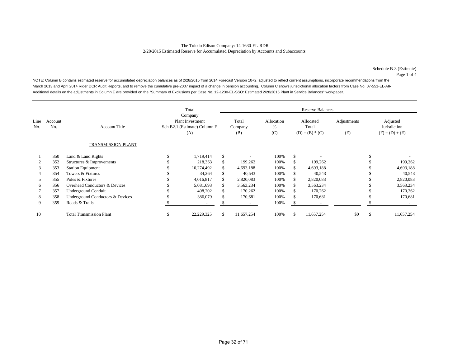Schedule B-3 (Estimate) Page 1 of 4

NOTE: Column B contains estimated reserve for accumulated depreciation balances as of 2/28/2015 from 2014 Forecast Version 10+2, adjusted to reflect current assumptions, incorporate recommendations from the March 2013 and April 2014 Rider DCR Audit Reports, and to remove the cumulative pre-2007 impact of a change in pension accounting. Column C shows jurisdictional allocation factors from Case No. 07-551-EL-AIR. Additional details on the adjustments in Column E are provided on the "Summary of Exclusions per Case No. 12-1230-EL-SSO: Estimated 2/28/2015 Plant in Service Balances" workpaper.

|             |                |                                  | Total                                                                     |                          |    | <b>Reserve Balances</b>  |                        |                                         |                          |                    |    |                                               |  |  |  |
|-------------|----------------|----------------------------------|---------------------------------------------------------------------------|--------------------------|----|--------------------------|------------------------|-----------------------------------------|--------------------------|--------------------|----|-----------------------------------------------|--|--|--|
| Line<br>No. | Account<br>No. | <b>Account Title</b>             | Company<br><b>Plant Investment</b><br>Sch B2.1 (Estimate) Column E<br>(A) |                          |    | Total<br>Company<br>(B)  | Allocation<br>%<br>(C) | Allocated<br>Total<br>$(D) = (B) * (C)$ |                          | Adjustments<br>(E) |    | Adjusted<br>Jurisdiction<br>$(F) = (D) + (E)$ |  |  |  |
|             |                | TRANSMISSION PLANT               |                                                                           |                          |    |                          |                        |                                         |                          |                    |    |                                               |  |  |  |
|             | 350            | Land & Land Rights               |                                                                           | 1,719,414                | \$ |                          | 100%                   | \$                                      |                          |                    |    |                                               |  |  |  |
|             | 352            | Structures & Improvements        |                                                                           | 218,363                  |    | 199,262                  | 100%                   |                                         | 199,262                  |                    |    | 199,262                                       |  |  |  |
| 3           | 353            | <b>Station Equipment</b>         |                                                                           | 10,274,492               |    | 4,693,188                | 100%                   | S.                                      | 4,693,188                |                    |    | 4,693,188                                     |  |  |  |
|             | 354            | Towers & Fixtures                |                                                                           | 34,264                   |    | 40,543                   | 100%                   |                                         | 40,543                   |                    |    | 40,543                                        |  |  |  |
|             | 355            | Poles & Fixtures                 |                                                                           | 4,016,817                |    | 2,820,083                | 100%                   |                                         | 2,820,083                |                    |    | 2,820,083                                     |  |  |  |
| 6           | 356            | Overhead Conductors & Devices    |                                                                           | 5,081,693                |    | 3,563,234                | 100%                   |                                         | 3,563,234                |                    |    | 3,563,234                                     |  |  |  |
|             | 357            | Underground Conduit              |                                                                           | 498,202                  |    | 170,262                  | 100%                   |                                         | 170,262                  |                    |    | 170,262                                       |  |  |  |
| 8           | 358            | Underground Conductors & Devices |                                                                           | 386,079                  |    | 170,681                  | 100%                   |                                         | 170,681                  |                    |    | 170,681                                       |  |  |  |
| 9           | 359            | Roads & Trails                   |                                                                           | $\overline{\phantom{a}}$ |    | $\overline{\phantom{a}}$ | 100%                   |                                         | $\overline{\phantom{a}}$ |                    |    |                                               |  |  |  |
| 10          |                | <b>Total Transmission Plant</b>  | \$                                                                        | 22,229,325               | S. | 11,657,254               | 100%                   | S.                                      | 11,657,254               | \$0                | \$ | 11,657,254                                    |  |  |  |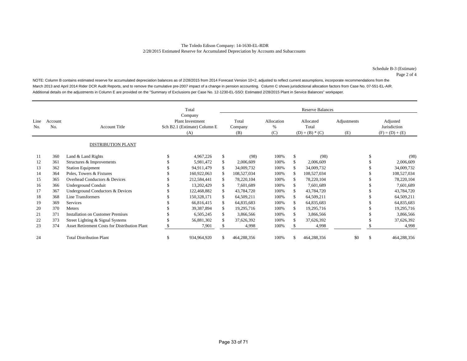Schedule B-3 (Estimate) Page 2 of 4

NOTE: Column B contains estimated reserve for accumulated depreciation balances as of 2/28/2015 from 2014 Forecast Version 10+2, adjusted to reflect current assumptions, incorporate recommendations from the March 2013 and April 2014 Rider DCR Audit Reports, and to remove the cumulative pre-2007 impact of a change in pension accounting. Column C shows jurisdictional allocation factors from Case No. 07-551-EL-AIR. Additional details on the adjustments in Column E are provided on the "Summary of Exclusions per Case No. 12-1230-EL-SSO: Estimated 2/28/2015 Plant in Service Balances" workpaper.

|             |                |                                                      |                                                                | Total<br>Company | <b>Reserve Balances</b> |                         |                        |                                         |             |                    |    |                                               |  |  |
|-------------|----------------|------------------------------------------------------|----------------------------------------------------------------|------------------|-------------------------|-------------------------|------------------------|-----------------------------------------|-------------|--------------------|----|-----------------------------------------------|--|--|
| Line<br>No. | Account<br>No. | <b>Account Title</b>                                 | <b>Plant Investment</b><br>Sch B2.1 (Estimate) Column E<br>(A) |                  |                         | Total<br>Company<br>(B) | Allocation<br>%<br>(C) | Allocated<br>Total<br>$(D) = (B) * (C)$ |             | Adjustments<br>(E) |    | Adjusted<br>Jurisdiction<br>$(F) = (D) + (E)$ |  |  |
|             |                | <b>DISTRIBUTION PLANT</b>                            |                                                                |                  |                         |                         |                        |                                         |             |                    |    |                                               |  |  |
| 11          | 360            | Land & Land Rights                                   |                                                                | 4,967,226        | \$                      | (98)                    | 100%                   | \$                                      | (98)        |                    | \$ | (98)                                          |  |  |
| 12          | 361            | Structures & Improvements                            |                                                                | 5,981,472        |                         | 2,006,609               | 100%                   |                                         | 2,006,609   |                    |    | 2,006,609                                     |  |  |
| 13          | 362            | <b>Station Equipment</b>                             |                                                                | 94,911,479       |                         | 34,009,732              | 100%                   |                                         | 34,009,732  |                    |    | 34,009,732                                    |  |  |
| 14          | 364            | Poles, Towers & Fixtures                             |                                                                | 160,922,063      |                         | 108,527,034             | 100%                   |                                         | 108,527,034 |                    |    | 108,527,034                                   |  |  |
| 15          | 365            | Overhead Conductors & Devices                        |                                                                | 212,584,441      |                         | 78,220,104              | 100%                   |                                         | 78,220,104  |                    |    | 78,220,104                                    |  |  |
| 16          | 366            | Underground Conduit                                  |                                                                | 13,202,429       |                         | 7,601,689               | 100%                   |                                         | 7,601,689   |                    |    | 7,601,689                                     |  |  |
| 17          | 367            | Underground Conductors & Devices                     |                                                                | 122,468,882      |                         | 43,784,720              | 100%                   |                                         | 43,784,720  |                    |    | 43,784,720                                    |  |  |
| 18          | 368            | <b>Line Transformers</b>                             |                                                                | 150,328,171      | \$.                     | 64,509,211              | 100%                   |                                         | 64,509,211  |                    |    | 64,509,211                                    |  |  |
| 19          | 369            | Services                                             |                                                                | 66,816,415       | \$.                     | 64,835,683              | 100%                   |                                         | 64,835,683  |                    |    | 64,835,683                                    |  |  |
| 20          | 370            | <b>Meters</b>                                        |                                                                | 39,387,894       |                         | 19,295,716              | 100%                   |                                         | 19,295,716  |                    |    | 19,295,716                                    |  |  |
| 21          | 371            | <b>Installation on Customer Premises</b>             |                                                                | 6,505,245        |                         | 3,866,566               | 100%                   |                                         | 3,866,566   |                    |    | 3,866,566                                     |  |  |
| 22          | 373            | Street Lighting & Signal Systems                     |                                                                | 56,881,302       |                         | 37,626,392              | 100%                   |                                         | 37,626,392  |                    |    | 37,626,392                                    |  |  |
| 23          | 374            | <b>Asset Retirement Costs for Distribution Plant</b> |                                                                | 7,901            |                         | 4,998                   | 100%                   |                                         | 4,998       |                    |    | 4,998                                         |  |  |
| 24          |                | <b>Total Distribution Plant</b>                      | \$                                                             | 934,964,920      |                         | 464,288,356             | 100%                   |                                         | 464,288,356 | \$0                | \$ | 464,288,356                                   |  |  |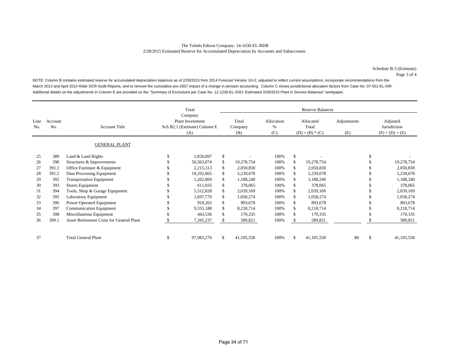Schedule B-3 (Estimate) Page 3 of 4

NOTE: Column B contains estimated reserve for accumulated depreciation balances as of 2/28/2015 from 2014 Forecast Version 10+2, adjusted to reflect current assumptions, incorporate recommendations from the March 2013 and April 2014 Rider DCR Audit Reports, and to remove the cumulative pre-2007 impact of a change in pension accounting. Column C shows jurisdictional allocation factors from Case No. 07-551-EL-AIR. Additional details on the adjustments in Column E are provided on the "Summary of Exclusions per Case No. 12-1230-EL-SSO: Estimated 2/28/2015 Plant in Service Balances" workpaper.

|             |                |                                                 |                                                                | Total<br>Company |     | <b>Reserve Balances</b> |                        |                                         |              |                    |    |                                               |  |  |  |
|-------------|----------------|-------------------------------------------------|----------------------------------------------------------------|------------------|-----|-------------------------|------------------------|-----------------------------------------|--------------|--------------------|----|-----------------------------------------------|--|--|--|
| Line<br>No. | Account<br>No. | <b>Account Title</b>                            | <b>Plant Investment</b><br>Sch B2.1 (Estimate) Column E<br>(A) |                  |     | Total<br>Company<br>(B) | Allocation<br>%<br>(C) | Allocated<br>Total<br>$(D) = (B) * (C)$ |              | Adjustments<br>(E) |    | Adjusted<br>Jurisdiction<br>$(F) = (D) + (E)$ |  |  |  |
|             |                | <b>GENERAL PLANT</b>                            |                                                                |                  |     |                         |                        |                                         |              |                    |    |                                               |  |  |  |
| 25          | 389            | Land & Land Rights                              |                                                                | 1,826,097        | \$  |                         | 100%                   | \$                                      |              |                    | \$ |                                               |  |  |  |
| 26          | 390            | Structures & Improvements                       |                                                                | 56, 563, 074     |     | 19,278,754              | 100%                   |                                         | 19,278,754   |                    |    | 19,278,754                                    |  |  |  |
| 27          | 391.1          | Office Furniture & Equipment                    |                                                                | 2,215,313        |     | 2,050,830               | 100%                   |                                         | 2,050,830    |                    |    | 2,050,830                                     |  |  |  |
| 28          | 391.2          | Data Processing Equipment                       |                                                                | 10,292,065       |     | 5,239,678               | 100%                   |                                         | 5,239,678    |                    |    | 5,239,678                                     |  |  |  |
| 29          | 392            | <b>Transportation Equipment</b>                 |                                                                | 1,202,869        |     | 1,188,240               | 100%                   |                                         | 1,188,240    |                    |    | 1,188,240                                     |  |  |  |
| 30          | 393            | Stores Equipment                                |                                                                | 611,035          |     | 378,065                 | 100%                   |                                         | 378,065      |                    |    | 378,065                                       |  |  |  |
| 31          | 394            | Tools, Shop & Garage Equipment                  |                                                                | 5,312,828        |     | 2,039,169               | 100%                   |                                         | 2,039,169    |                    |    | 2,039,169                                     |  |  |  |
| 32          | 395            | Laboratory Equipment                            |                                                                | 1,697,770        | \$. | 1,058,274               | 100%                   |                                         | 1,058,274    |                    |    | 1,058,274                                     |  |  |  |
| 33          | 396            | Power Operated Equipment                        |                                                                | 918,265          | \$. | 893,678                 | 100%                   |                                         | 893,678      |                    |    | 893,678                                       |  |  |  |
| 34          | 397            | <b>Communication Equipment</b>                  |                                                                | 9,555,188        |     | 8,218,714               | 100%                   |                                         | 8,218,714    |                    |    | 8,218,714                                     |  |  |  |
| 35          | 398            | Miscellaneous Equipment                         |                                                                | 443,536          |     | 170,335                 | 100%                   |                                         | 170,335      |                    |    | 170,335                                       |  |  |  |
| 36          | 399.1          | <b>Asset Retirement Costs for General Plant</b> |                                                                | 7,345,237        |     | 589,821                 | 100%                   |                                         | 589,821      |                    |    | 589,821                                       |  |  |  |
| 37          |                | <b>Total General Plant</b>                      | S                                                              | 97,983,276       | \$  | 41,105,558              | 100%                   |                                         | 41, 105, 558 | \$0                | \$ | 41,105,558                                    |  |  |  |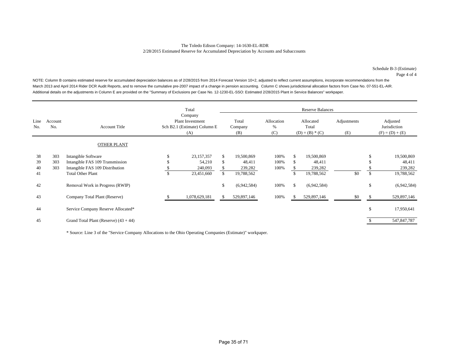#### The Toledo Edison Company: 14-1630-EL-RDR 2/28/2015 Estimated Reserve for Accumulated Depreciation by Accounts and Subaccounts

Schedule B-3 (Estimate) Page 4 of 4

NOTE: Column B contains estimated reserve for accumulated depreciation balances as of 2/28/2015 from 2014 Forecast Version 10+2, adjusted to reflect current assumptions, incorporate recommendations from the March 2013 and April 2014 Rider DCR Audit Reports, and to remove the cumulative pre-2007 impact of a change in pension accounting. Column C shows jurisdictional allocation factors from Case No. 07-551-EL-AIR. Additional details on the adjustments in Column E are provided on the "Summary of Exclusions per Case No. 12-1230-EL-SSO: Estimated 2/28/2015 Plant in Service Balances" workpaper.

|             |                |                                                        |    | Total                                                              |    |                         |                        |     | <b>Reserve Balances</b>                 |                    |                                               |
|-------------|----------------|--------------------------------------------------------|----|--------------------------------------------------------------------|----|-------------------------|------------------------|-----|-----------------------------------------|--------------------|-----------------------------------------------|
| Line<br>No. | Account<br>No. | <b>Account Title</b>                                   |    | Company<br>Plant Investment<br>Sch B2.1 (Estimate) Column E<br>(A) |    | Total<br>Company<br>(B) | Allocation<br>%<br>(C) |     | Allocated<br>Total<br>$(D) = (B) * (C)$ | Adjustments<br>(E) | Adjusted<br>Jurisdiction<br>$(F) = (D) + (E)$ |
|             |                | <b>OTHER PLANT</b>                                     |    |                                                                    |    |                         |                        |     |                                         |                    |                                               |
| 38<br>39    | 303<br>303     | Intangible Software<br>Intangible FAS 109 Transmission | S  | 23,157,357<br>54,210                                               | S  | 19,500,869<br>48,411    | 100%<br>100%           |     | 19,500,869<br>48,411                    |                    | \$<br>19,500,869<br>48,411                    |
| 40          | 303            | Intangible FAS 109 Distribution                        |    | 240,093                                                            |    | 239,282                 | 100%                   |     | 239,282                                 |                    | 239,282                                       |
| 41          |                | <b>Total Other Plant</b>                               | \$ | 23,451,660                                                         |    | 19,788,562              |                        |     | 19,788,562                              | \$0                | \$<br>19,788,562                              |
| 42          |                | Removal Work in Progress (RWIP)                        |    |                                                                    | \$ | (6,942,584)             | 100%                   | \$. | (6,942,584)                             |                    | \$<br>(6,942,584)                             |
| 43          |                | Company Total Plant (Reserve)                          |    | 1,078,629,181                                                      |    | 529,897,146             | 100%                   |     | 529,897,146                             | \$0                | 529,897,146                                   |
| 44          |                | Service Company Reserve Allocated*                     |    |                                                                    |    |                         |                        |     |                                         |                    | \$<br>17,950,641                              |
| 45          |                | Grand Total Plant (Reserve) $(43 + 44)$                |    |                                                                    |    |                         |                        |     |                                         |                    | 547,847,787                                   |

\* Source: Line 3 of the "Service Company Allocations to the Ohio Operating Companies (Estimate)" workpaper.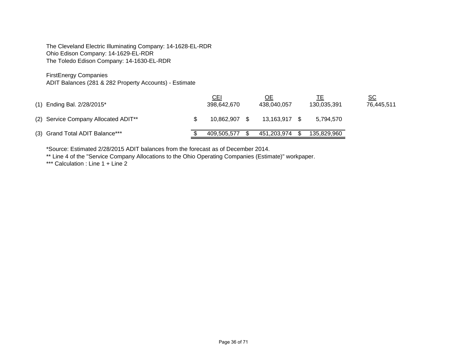The Cleveland Electric Illuminating Company: 14-1628-EL-RDR Ohio Edison Company: 14-1629-EL-RDR The Toledo Edison Company: 14-1630-EL-RDR

FirstEnergy Companies

ADIT Balances (281 & 282 Property Accounts) - Estimate

| (1) Ending Bal. 2/28/2015*                       | <u>CEI</u><br>398,642,670 |     | <u>ОЕ</u><br>438.040.057 | 130.035.391 | $\underline{\mathsf{SC}}$<br>76,445,511 |
|--------------------------------------------------|---------------------------|-----|--------------------------|-------------|-----------------------------------------|
| (2) Service Company Allocated ADIT <sup>**</sup> | 10.862.907                | - S | 13.163.917               | 5.794.570   |                                         |
| (3) Grand Total ADIT Balance***                  | 409.505.577               |     | 451.203.974              | 135,829,960 |                                         |

\*Source: Estimated 2/28/2015 ADIT balances from the forecast as of December 2014.

\*\* Line 4 of the "Service Company Allocations to the Ohio Operating Companies (Estimate)" workpaper.

\*\*\* Calculation : Line 1 + Line 2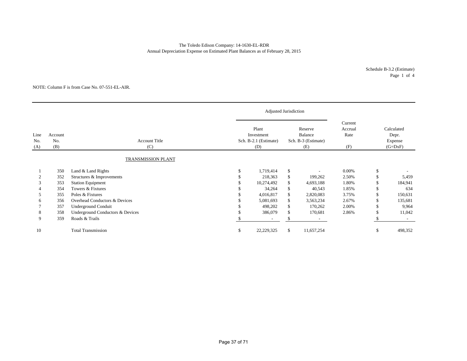### The Toledo Edison Company: 14-1630-EL-RDR Annual Depreciation Expense on Estimated Plant Balances as of February 28, 2015

Schedule B-3.2 (Estimate) Page 1 of 4

#### NOTE: Column F is from Case No. 07-551-EL-AIR.

|                    |                       |                                  |     | Adjusted Jurisdiction                                                                                   |    |            |       |                                             |         |
|--------------------|-----------------------|----------------------------------|-----|---------------------------------------------------------------------------------------------------------|----|------------|-------|---------------------------------------------|---------|
| Line<br>No.<br>(A) | Account<br>No.<br>(B) | <b>Account Title</b><br>(C)      |     | Plant<br>Reserve<br>Balance<br>Investment<br>Sch. B-2.1 (Estimate)<br>Sch. B-3 (Estimate)<br>(D)<br>(E) |    |            |       | Calculated<br>Depr.<br>Expense<br>$(G=DxF)$ |         |
|                    |                       | TRANSMISSION PLANT               |     |                                                                                                         |    |            |       |                                             |         |
|                    | 350                   | Land & Land Rights               |     | 1,719,414                                                                                               | \$ |            | 0.00% | \$                                          |         |
|                    | 352                   | Structures & Improvements        |     | 218,363                                                                                                 | \$ | 199,262    | 2.50% | S                                           | 5,459   |
| 3                  | 353                   | <b>Station Equipment</b>         |     | 10,274,492                                                                                              | \$ | 4,693,188  | 1.80% | \$                                          | 184,941 |
|                    | 354                   | Towers & Fixtures                |     | 34,264                                                                                                  | \$ | 40,543     | 1.85% | \$.                                         | 634     |
| 5                  | 355                   | Poles & Fixtures                 |     | 4,016,817                                                                                               | \$ | 2,820,083  | 3.75% | \$.                                         | 150,631 |
| h                  | 356                   | Overhead Conductors & Devices    |     | 5,081,693                                                                                               | \$ | 3,563,234  | 2.67% | \$                                          | 135,681 |
|                    | 357                   | <b>Underground Conduit</b>       |     | 498,202                                                                                                 | \$ | 170,262    | 2.00% | S                                           | 9,964   |
| 8                  | 358                   | Underground Conductors & Devices |     | 386,079                                                                                                 | \$ | 170,681    | 2.86% | \$                                          | 11,042  |
| 9                  | 359                   | Roads & Trails                   |     | $\overline{\phantom{a}}$                                                                                | \$ |            |       |                                             |         |
| 10                 |                       | <b>Total Transmission</b>        | \$. | 22,229,325                                                                                              | \$ | 11,657,254 |       | \$                                          | 498,352 |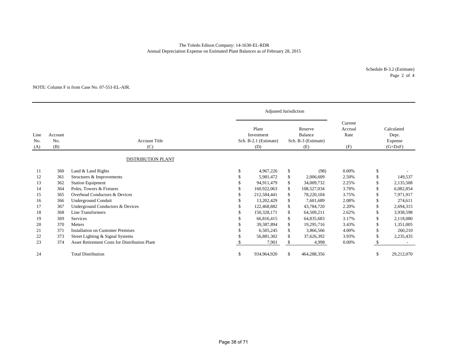### The Toledo Edison Company: 14-1630-EL-RDR Annual Depreciation Expense on Estimated Plant Balances as of February 28, 2015

Schedule B-3.2 (Estimate) Page 2 of 4

#### NOTE: Column F is from Case No. 07-551-EL-AIR.

|                    |                       |                                                      |    | Adjusted Jurisdiction                               |                                                  |                                   |     |                                             |
|--------------------|-----------------------|------------------------------------------------------|----|-----------------------------------------------------|--------------------------------------------------|-----------------------------------|-----|---------------------------------------------|
| Line<br>No.<br>(A) | Account<br>No.<br>(B) | <b>Account Title</b><br>(C)                          |    | Plant<br>Investment<br>Sch. B-2.1 (Estimate)<br>(D) | Reserve<br>Balance<br>Sch. B-3 (Estimate)<br>(E) | Current<br>Accrual<br>Rate<br>(F) |     | Calculated<br>Depr.<br>Expense<br>$(G=DXF)$ |
|                    |                       | <b>DISTRIBUTION PLANT</b>                            |    |                                                     |                                                  |                                   |     |                                             |
| 11                 | 360                   | Land & Land Rights                                   | \$ | 4,967,226                                           | \$<br>(98)                                       | $0.00\%$                          | \$  |                                             |
| 12                 | 361                   | Structures & Improvements                            |    | 5,981,472                                           | \$<br>2,006,609                                  | 2.50%                             | \$  | 149,537                                     |
| 13                 | 362                   | <b>Station Equipment</b>                             |    | 94.911.479                                          | \$<br>34,009,732                                 | 2.25%                             | S   | 2,135,508                                   |
| 14                 | 364                   | Poles, Towers & Fixtures                             | S  | 160,922,063                                         | \$<br>108,527,034                                | 3.78%                             | S   | 6,082,854                                   |
| 15                 | 365                   | Overhead Conductors & Devices                        |    | 212,584,441                                         | \$<br>78,220,104                                 | 3.75%                             | S   | 7,971,917                                   |
| 16                 | 366                   | Underground Conduit                                  |    | 13,202,429                                          | \$<br>7,601,689                                  | 2.08%                             | \$. | 274,611                                     |
| 17                 | 367                   | Underground Conductors & Devices                     |    | 122,468,882                                         | \$<br>43,784,720                                 | 2.20%                             |     | 2,694,315                                   |
| 18                 | 368                   | Line Transformers                                    |    | 150,328,171                                         | \$<br>64,509,211                                 | 2.62%                             |     | 3,938,598                                   |
| 19                 | 369                   | Services                                             |    | 66,816,415                                          | \$<br>64,835,683                                 | 3.17%                             |     | 2,118,080                                   |
| 20                 | 370                   | Meters                                               |    | 39,387,894                                          | \$<br>19,295,716                                 | 3.43%                             |     | 1,351,005                                   |
| 21                 | 371                   | <b>Installation on Customer Premises</b>             |    | 6,505,245                                           | \$<br>3,866,566                                  | 4.00%                             | \$  | 260,210                                     |
| 22                 | 373                   | Street Lighting & Signal Systems                     |    | 56,881,302                                          | \$<br>37,626,392                                 | 3.93%                             | \$. | 2,235,435                                   |
| 23                 | 374                   | <b>Asset Retirement Costs for Distribution Plant</b> |    | 7,901                                               | \$<br>4,998                                      | 0.00%                             |     |                                             |
| 24                 |                       | <b>Total Distribution</b>                            | \$ | 934,964,920                                         | \$<br>464,288,356                                |                                   | \$  | 29,212,070                                  |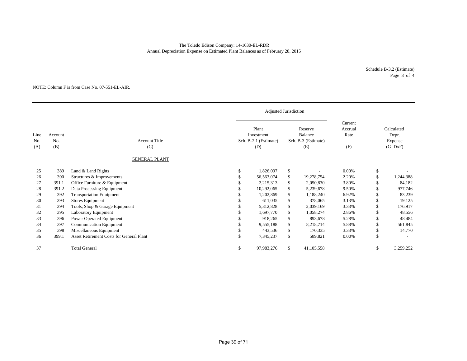### Annual Depreciation Expense on Estimated Plant Balances as of February 28, 2015 The Toledo Edison Company: 14-1630-EL-RDR

Schedule B-3.2 (Estimate) Page 3 of 4

#### NOTE: Column F is from Case No. 07-551-EL-AIR.

|                    |                       |                                                        |                                                     | Adjusted Jurisdiction |          |                                                  |                                   |    |                                             |
|--------------------|-----------------------|--------------------------------------------------------|-----------------------------------------------------|-----------------------|----------|--------------------------------------------------|-----------------------------------|----|---------------------------------------------|
| Line<br>No.<br>(A) | Account<br>No.<br>(B) | <b>Account Title</b><br>(C)                            | Plant<br>Investment<br>Sch. B-2.1 (Estimate)<br>(D) |                       |          | Reserve<br>Balance<br>Sch. B-3 (Estimate)<br>(E) | Current<br>Accrual<br>Rate<br>(F) |    | Calculated<br>Depr.<br>Expense<br>$(G=DxF)$ |
|                    |                       | <b>GENERAL PLANT</b>                                   |                                                     |                       |          |                                                  |                                   |    |                                             |
| 25                 | 389                   | Land & Land Rights                                     | \$                                                  | 1,826,097             | \$       |                                                  | 0.00%                             | \$ |                                             |
| 26                 | 390                   | Structures & Improvements                              |                                                     | 56,563,074            | \$       | 19,278,754                                       | 2.20%                             |    | 1,244,388                                   |
| 27                 | 391.1                 | Office Furniture & Equipment                           |                                                     | 2,215,313             | \$       | 2,050,830                                        | 3.80%                             | ö. | 84,182                                      |
| 28                 | 391.2                 | Data Processing Equipment                              |                                                     | 10,292,065            | \$       | 5,239,678                                        | 9.50%                             |    | 977,746                                     |
| 29<br>30           | 392<br>393            | <b>Transportation Equipment</b>                        |                                                     | 1,202,869             | \$       | 1,188,240                                        | 6.92%                             |    | 83,239                                      |
| 31                 | 394                   | Stores Equipment                                       |                                                     | 611,035<br>5,312,828  | \$<br>\$ | 378,065<br>2,039,169                             | 3.13%<br>3.33%                    |    | 19,125<br>176,917                           |
| 32                 | 395                   | Tools, Shop & Garage Equipment<br>Laboratory Equipment |                                                     | 1,697,770             | \$       | 1,058,274                                        | 2.86%                             |    | 48,556                                      |
| 33                 | 396                   | Power Operated Equipment                               |                                                     | 918,265               | \$       | 893,678                                          | 5.28%                             |    | 48,484                                      |
| 34                 | 397                   | <b>Communication Equipment</b>                         |                                                     | 9,555,188             | \$       | 8,218,714                                        | 5.88%                             |    | 561,845                                     |
| 35                 | 398                   | Miscellaneous Equipment                                |                                                     | 443,536               | \$       | 170,335                                          | 3.33%                             |    | 14,770                                      |
| 36                 | 399.1                 | Asset Retirement Costs for General Plant               |                                                     | 7,345,237             | \$       | 589,821                                          | 0.00%                             |    |                                             |
| 37                 |                       | <b>Total General</b>                                   | \$.                                                 | 97,983,276            | \$.      | 41, 105, 558                                     |                                   | S  | 3,259,252                                   |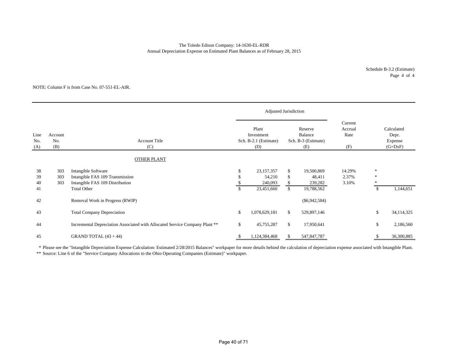### The Toledo Edison Company: 14-1630-EL-RDR Annual Depreciation Expense on Estimated Plant Balances as of February 28, 2015

Schedule B-3.2 (Estimate) Page 4 of 4

#### NOTE: Column F is from Case No. 07-551-EL-AIR.

|                    |                       |                                                                                           |    | Adjusted Jurisdiction                               |                |                                                  |                                   |                                             |            |
|--------------------|-----------------------|-------------------------------------------------------------------------------------------|----|-----------------------------------------------------|----------------|--------------------------------------------------|-----------------------------------|---------------------------------------------|------------|
| Line<br>No.<br>(A) | Account<br>No.<br>(B) | <b>Account Title</b><br>(C)                                                               |    | Plant<br>Investment<br>Sch. B-2.1 (Estimate)<br>(D) |                | Reserve<br>Balance<br>Sch. B-3 (Estimate)<br>(E) | Current<br>Accrual<br>Rate<br>(F) | Calculated<br>Depr.<br>Expense<br>$(G=DxF)$ |            |
|                    |                       | OTHER PLANT                                                                               |    |                                                     |                |                                                  |                                   |                                             |            |
| 38<br>39<br>40     | 303<br>303<br>303     | Intangible Software<br>Intangible FAS 109 Transmission<br>Intangible FAS 109 Distribution | S  | 23,157,357<br>54,210<br>240,093                     | \$<br>\$<br>\$ | 19,500,869<br>48,411<br>239,282                  | 14.29%<br>2.37%<br>3.10%          | $\gg$<br>*<br>*                             |            |
| 41                 |                       | <b>Total Other</b>                                                                        | \$ | 23,451,660                                          | \$             | 19,788,562                                       |                                   | \$                                          | 1,144,651  |
| 42                 |                       | Removal Work in Progress (RWIP)                                                           |    |                                                     |                | $(\$6,942,584)$                                  |                                   |                                             |            |
| 43                 |                       | <b>Total Company Depreciation</b>                                                         | \$ | 1,078,629,181                                       | $\mathbb{S}$   | 529,897,146                                      |                                   | \$                                          | 34,114,325 |
| 44                 |                       | Incremental Depreciation Associated with Allocated Service Company Plant **               | \$ | 45,755,287                                          | \$             | 17,950,641                                       |                                   | \$                                          | 2,186,560  |
| 45                 |                       | GRAND TOTAL $(43 + 44)$                                                                   | ъ  | 1,124,384,468                                       | æ.             | 547,847,787                                      |                                   |                                             | 36,300,885 |

\* Please see the "Intangible Depreciation Expense Calculation: Estimated 2/28/2015 Balances" workpaper for more details behind the calculation of depreciation expense associated with Intangible Plant.

\*\* Source: Line 6 of the "Service Company Allocations to the Ohio Operating Companies (Estimate)" workpaper.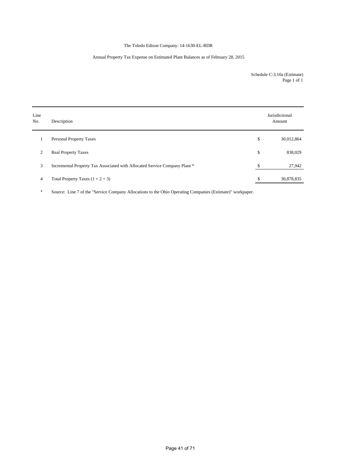### The Toledo Edison Company: 14-1630-EL-RDR

### Annual Property Tax Expense on Estimated Plant Balances as of February 28, 2015

Schedule C-3.10a (Estimate) Page 1 of 1

| Line<br>No.    | Description                                                                | Jurisdictional<br>Amount |
|----------------|----------------------------------------------------------------------------|--------------------------|
| 1              | <b>Personal Property Taxes</b>                                             | \$<br>30,012,864         |
| 2              | <b>Real Property Taxes</b>                                                 | \$<br>838,029            |
| 3              | Incremental Property Tax Associated with Allocated Service Company Plant * | \$<br>27,942             |
| $\overline{4}$ | Total Property Taxes $(1 + 2 + 3)$                                         | \$<br>30,878,835         |

\* Source: Line 7 of the "Service Company Allocations to the Ohio Operating Companies (Estimate)" workpaper.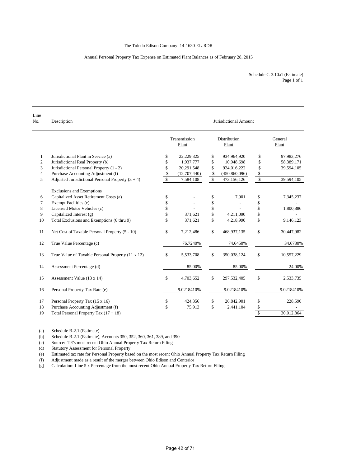#### Annual Personal Property Tax Expense on Estimated Plant Balances as of February 28, 2015

Schedule C-3.10a1 (Estimate) Page 1 of 1

| Line<br>No.    | Description                                         |                         |                       |              | Jurisdictional Amount |                         |                  |
|----------------|-----------------------------------------------------|-------------------------|-----------------------|--------------|-----------------------|-------------------------|------------------|
|                |                                                     |                         | Transmission<br>Plant |              | Distribution<br>Plant |                         | General<br>Plant |
| 1              | Jurisdictional Plant in Service (a)                 | \$                      | 22,229,325            | \$           | 934,964,920           | \$                      | 97,983,276       |
| $\mathfrak{2}$ | Jurisdictional Real Property (b)                    | \$                      | 1,937,777             | \$           | 10,948,698            | \$                      | 58,389,171       |
| 3              | Jurisdictional Personal Property (1 - 2)            | $\mathbf{\hat{S}}$      | 20,291,548            | \$           | 924,016,222           | \$                      | 39,594,105       |
| $\overline{4}$ | Purchase Accounting Adjustment (f)                  | \$                      | (12,707,440)          | \$           | (450,860,096)         | \$                      |                  |
| 5              | Adjusted Jurisdictional Personal Property $(3 + 4)$ | \$                      | 7,584,108             | $\mathbb{S}$ | 473,156,126           | \$                      | 39,594,105       |
|                | <b>Exclusions and Exemptions</b>                    |                         |                       |              |                       |                         |                  |
| 6              | Capitalized Asset Retirement Costs (a)              | \$                      |                       | \$           | 7,901                 | \$                      | 7,345,237        |
| 7              | Exempt Facilities (c)                               | \$                      |                       | \$           |                       | \$                      |                  |
| 8              | Licensed Motor Vehicles (c)                         | \$                      |                       | \$           |                       | \$                      | 1,800,886        |
| 9              | Capitalized Interest (g)                            | \$                      | 371,621               | \$           | 4,211,090             | \$                      |                  |
| 10             | Total Exclusions and Exemptions (6 thru 9)          | $\overline{\mathbb{S}}$ | 371,621               | $\mathbb{S}$ | 4,218,990             | $\overline{\mathbb{S}}$ | 9,146,123        |
| 11             | Net Cost of Taxable Personal Property (5 - 10)      | \$                      | 7,212,486             | \$           | 468,937,135           | \$                      | 30,447,982       |
| 12             | True Value Percentage (c)                           |                         | 76.7240%              |              | 74.6450%              |                         | 34.6730%         |
| 13             | True Value of Taxable Personal Property (11 x 12)   | \$                      | 5,533,708             | $\mathbb{S}$ | 350,038,124           | $\mathbf S$             | 10,557,229       |
| 14             | Assessment Percentage (d)                           |                         | 85.00%                |              | 85.00%                |                         | 24.00%           |
| 15             | Assessment Value (13 x 14)                          | \$                      | 4,703,652             | \$           | 297,532,405           | \$                      | 2,533,735        |
| 16             | Personal Property Tax Rate (e)                      |                         | 9.0218410%            |              | 9.0218410%            |                         | 9.0218410%       |
| 17             | Personal Property Tax (15 x 16)                     | \$                      | 424,356               | \$           | 26,842,901            | \$                      | 228,590          |
| 18             | Purchase Accounting Adjustment (f)                  | \$                      | 75,913                | \$           | 2,441,104             | \$                      |                  |
| 19             | Total Personal Property Tax $(17 + 18)$             |                         |                       |              |                       | $\overline{\mathbf{s}}$ | 30,012,864       |

(a) Schedule B-2.1 (Estimate)

(b) Schedule B-2.1 (Estimate), Accounts 350, 352, 360, 361, 389, and 390

(c) Source: TE's most recent Ohio Annual Property Tax Return Filing

(d) Statutory Assessment for Personal Property

(e) Estimated tax rate for Personal Property based on the most recent Ohio Annual Property Tax Return Filing

Adjustment made as a result of the merger between Ohio Edison and Centerior

(g) Calculation: Line 5 x Percentage from the most recent Ohio Annual Property Tax Return Filing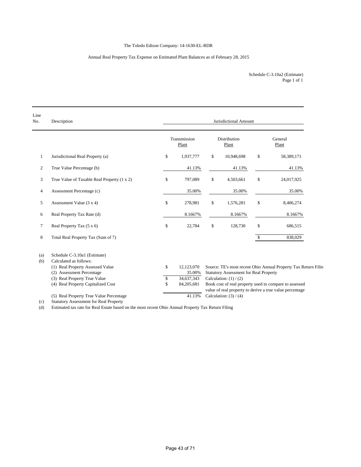### The Toledo Edison Company: 14-1630-EL-RDR

### Annual Real Property Tax Expense on Estimated Plant Balances as of February 28, 2015

Page 1 of 1 Schedule C-3.10a2 (Estimate)

| Line<br>No.    | Description                                   |              |                       | Jurisdictional Amount                         |      |                                                                |
|----------------|-----------------------------------------------|--------------|-----------------------|-----------------------------------------------|------|----------------------------------------------------------------|
|                |                                               |              | Transmission<br>Plant | <b>Distribution</b><br>Plant                  |      | General<br>Plant                                               |
| 1              | Jurisdictional Real Property (a)              | \$           | 1,937,777             | \$<br>10,948,698                              | \$   | 58,389,171                                                     |
| $\mathfrak{2}$ | True Value Percentage (b)                     |              | 41.13%                | 41.13%                                        |      | 41.13%                                                         |
| 3              | True Value of Taxable Real Property (1 x 2)   | \$           | 797,089               | \$<br>4,503,661                               | \$   | 24,017,925                                                     |
| 4              | Assessment Percentage (c)                     |              | 35.00%                | 35.00%                                        |      | 35.00%                                                         |
| 5              | Assessment Value (3 x 4)                      | \$           | 278,981               | \$<br>1,576,281                               | $\$$ | 8,406,274                                                      |
| 6              | Real Property Tax Rate (d)                    |              | 8.1667%               | 8.1667%                                       |      | 8.1667%                                                        |
| 7              | Real Property Tax $(5 \times 6)$              | $\mathbb{S}$ | 22,784                | \$<br>128,730                                 | \$   | 686,515                                                        |
| 8              | Total Real Property Tax (Sum of 7)            |              |                       |                                               | \$   | 838,029                                                        |
| (a)            | Schedule C-3.10a1 (Estimate)                  |              |                       |                                               |      |                                                                |
| (b)            | Calculated as follows:                        |              |                       |                                               |      |                                                                |
|                | (1) Real Property Assessed Value              | \$           | 12,123,070            |                                               |      | Source: TE's most recent Ohio Annual Property Tax Return Filin |
|                | (2) Assessment Percentage                     |              | 35.00%                | <b>Statutory Assessment for Real Property</b> |      |                                                                |
|                | (3) Real Property True Value                  | \$           | 34,637,343            | Calculation: $(1) / (2)$                      |      |                                                                |
|                | (4) Real Property Capitalized Cost            | \$           | 84,205,681            |                                               |      | Book cost of real property used to compare to assessed         |
|                | (5) Real Property True Value Percentage       |              | 41.13%                | Calculation: $(3) / (4)$                      |      | value of real property to derive a true value percentage       |
| (c)            | <b>Statutory Assessment for Real Property</b> |              |                       |                                               |      |                                                                |

(d) Estimated tax rate for Real Estate based on the most recent Ohio Annual Property Tax Return Filing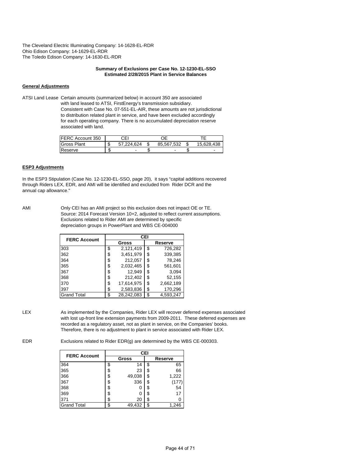#### **Summary of Exclusions per Case No. 12-1230-EL-SSO Estimated 2/28/2015 Plant in Service Balances**

#### **General Adjustments**

ATSI Land Lease Certain amounts (summarized below) in account 350 are associated with land leased to ATSI, FirstEnergy's transmission subsidiary. Consistent with Case No. 07-551-EL-AIR, these amounts are not jurisdictional to distribution related plant in service, and have been excluded accordingly for each operating company. There is no accumulated depreciation reserve associated with land.

| <b>IFERC Account 350</b> | СEI              | ℩⊏         |            |
|--------------------------|------------------|------------|------------|
| <b>Gross Plant</b>       | \$<br>57.224.624 | 85.567.532 | 15.628.438 |
| Reserve                  |                  |            |            |

#### **ESP3 Adjustments**

In the ESP3 Stipulation (Case No. 12-1230-EL-SSO, page 20), it says "capital additions recovered through Riders LEX, EDR, and AMI will be identified and excluded from Rider DCR and the annual cap allowance."

AMI Only CEI has an AMI project so this exclusion does not impact OE or TE. Source: 2014 Forecast Version 10+2, adjusted to reflect current assumptions. Exclusions related to Rider AMI are determined by specific depreciation groups in PowerPlant and WBS CE-004000

| <b>FERC Account</b> |    | <b>CEI</b> |         |           |  |  |  |  |  |  |
|---------------------|----|------------|---------|-----------|--|--|--|--|--|--|
|                     |    | Gross      | Reserve |           |  |  |  |  |  |  |
| 303                 | \$ | 2,121,419  | \$      | 726,282   |  |  |  |  |  |  |
| 362                 | \$ | 3,451,979  | \$      | 339.385   |  |  |  |  |  |  |
| 364                 | \$ | 212,057    | \$      | 78,246    |  |  |  |  |  |  |
| 365                 | \$ | 2,032,465  | \$      | 561,601   |  |  |  |  |  |  |
| 367                 | \$ | 12,949     | \$      | 3,094     |  |  |  |  |  |  |
| 368                 | \$ | 212.402    | \$      | 52,155    |  |  |  |  |  |  |
| 370                 | \$ | 17,614,975 | \$      | 2,662,189 |  |  |  |  |  |  |
| 397                 | \$ | 2,583,836  | \$      | 170,296   |  |  |  |  |  |  |
| <b>Grand Total</b>  | \$ | 28,242,083 | \$      | 4.593.247 |  |  |  |  |  |  |

LEX As implemented by the Companies, Rider LEX will recover deferred expenses associated with lost up-front line extension payments from 2009-2011. These deferred expenses are recorded as a regulatory asset, not as plant in service, on the Companies' books. Therefore, there is no adjustment to plant in service associated with Rider LEX.

EDR Exclusions related to Rider EDR(g) are determined by the WBS CE-000303.

| <b>FERC Account</b> |    | <b>CEI</b>   |    |         |  |  |  |  |  |  |
|---------------------|----|--------------|----|---------|--|--|--|--|--|--|
|                     |    | <b>Gross</b> |    | Reserve |  |  |  |  |  |  |
| 364                 | \$ | 14           | \$ | 65      |  |  |  |  |  |  |
| 365                 | \$ | 23           | \$ | 66      |  |  |  |  |  |  |
| 366                 | \$ | 49,038       | \$ | 1,222   |  |  |  |  |  |  |
| 367                 | \$ | 336          | \$ | (177    |  |  |  |  |  |  |
| 368                 | \$ | 0            | \$ | 54      |  |  |  |  |  |  |
| 369                 | \$ | 0            | \$ | 17      |  |  |  |  |  |  |
| 371                 | \$ | 20           | \$ |         |  |  |  |  |  |  |
| <b>Grand Total</b>  | c  | 49,432       | \$ | 1,246   |  |  |  |  |  |  |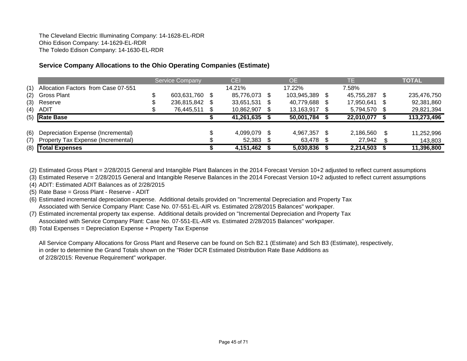# **Service Company Allocations to the Ohio Operating Companies (Estimate)**

|     |                                     | <b>Service Company</b> |     | <b>CEI</b> |      | <b>OE</b>      | TE         |     | <b>TOTAL</b> |
|-----|-------------------------------------|------------------------|-----|------------|------|----------------|------------|-----|--------------|
| (1) | Allocation Factors from Case 07-551 |                        |     | 14.21%     |      | 17.22%         | 7.58%      |     |              |
| (2) | <b>Gross Plant</b>                  | 603,631,760 \$         |     | 85,776,073 | - \$ | 103,945,389 \$ | 45,755,287 |     | 235,476,750  |
| (3) | Reserve                             | 236,815,842            | -SS | 33,651,531 | -SS  | 40,779,688 \$  | 17,950,641 | \$. | 92,381,860   |
| (4) | ADIT                                | 76,445,511             | S.  | 10,862,907 |      | 13,163,917 \$  | 5,794,570  |     | 29,821,394   |
|     | $(5)$ Rate Base                     |                        |     | 41,261,635 |      | 50,001,784     | 22,010,077 |     | 113,273,496  |
|     |                                     |                        |     |            |      |                |            |     |              |
| (6) | Depreciation Expense (Incremental)  |                        |     | 4.099.079  | - \$ | 4.967.357 \$   | 2,186,560  | \$. | 11,252,996   |
| (7) | Property Tax Expense (Incremental)  |                        |     | 52,383     |      | 63,478 \$      | 27,942     |     | 143,803      |
|     | (8) Total Expenses                  |                        |     | 4,151,462  |      | 5,030,836      | 2,214,503  |     | 11,396,800   |

(2) Estimated Gross Plant = 2/28/2015 General and Intangible Plant Balances in the 2014 Forecast Version 10+2 adjusted to reflect current assumptions

(3) Estimated Reserve = 2/28/2015 General and Intangible Reserve Balances in the 2014 Forecast Version 10+2 adjusted to reflect current assumptions

(4) ADIT: Estimated ADIT Balances as of 2/28/2015

(5) Rate Base = Gross Plant - Reserve - ADIT

(6) Estimated incremental depreciation expense. Additional details provided on "Incremental Depreciation and Property Tax Associated with Service Company Plant: Case No. 07-551-EL-AIR vs. Estimated 2/28/2015 Balances" workpaper.

(7) Estimated incremental property tax expense. Additional details provided on "Incremental Depreciation and Property Tax Associated with Service Company Plant: Case No. 07-551-EL-AIR vs. Estimated 2/28/2015 Balances" workpaper.

(8) Total Expenses = Depreciation Expense + Property Tax Expense

All Service Company Allocations for Gross Plant and Reserve can be found on Sch B2.1 (Estimate) and Sch B3 (Estimate), respectively, in order to determine the Grand Totals shown on the "Rider DCR Estimated Distribution Rate Base Additions as of 2/28/2015: Revenue Requirement" workpaper.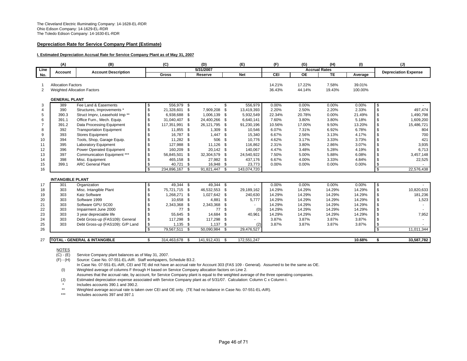#### **Depreciation Rate for Service Company Plant (Estimate)**

#### **I. Estimated Depreciation Accrual Rate for Service Company Plant as of May 31, 2007**

|                | (A)                         | (B)                                     |              | (C)            |          | (D)            |      | (E)         | (F)    | (G)                  | (H)    | (1)     |                | (J)                         |
|----------------|-----------------------------|-----------------------------------------|--------------|----------------|----------|----------------|------|-------------|--------|----------------------|--------|---------|----------------|-----------------------------|
| Line           | Account                     | <b>Account Description</b>              |              |                |          | 5/31/2007      |      |             |        | <b>Accrual Rates</b> |        |         |                | <b>Depreciation Expense</b> |
| No.            |                             |                                         |              | Gross          |          | Reserve        |      | <b>Net</b>  | CEI    | <b>OE</b>            | TE     | Average |                |                             |
|                |                             |                                         |              |                |          |                |      |             |        |                      |        |         |                |                             |
| - 1            | <b>Allocation Factors</b>   |                                         |              |                |          |                |      |             | 14.21% | 17.22%               | 7.58%  | 39.01%  |                |                             |
| 2              | Weighted Allocation Factors |                                         |              |                |          |                |      |             | 36.43% | 44.14%               | 19.43% | 100.00% |                |                             |
|                | <b>GENERAL PLANT</b>        |                                         |              |                |          |                |      |             |        |                      |        |         |                |                             |
| 3              | 389                         | Fee Land & Easements                    | \$           | 556,979 \$     |          |                | \$   | 556,979     | 0.00%  | 0.00%                | 0.00%  | 0.00%   | \$             |                             |
| $\overline{4}$ | 390                         | Structures, Improvements *              | $\sqrt{3}$   | 21,328,601 \$  |          | 7,909,208      | \$   | 13,419,393  | 2.20%  | 2.50%                | 2.20%  | 2.33%   | \$             | 497,474                     |
| 5              | 390.3                       | Struct Imprv, Leasehold Imp**           | \$           | 6,938,688 \$   |          | 1,006,139 \$   |      | 5,932,549   | 22.34% | 20.78%               | 0.00%  | 21.49%  | \$             | 1,490,798                   |
| 6              | 391.1                       | Office Furn., Mech. Equip.              | \$           | 31,040,407 \$  |          | 24,400,266 \$  |      | 6,640,141   | 7.60%  | 3.80%                | 3.80%  | 5.18%   | \$             | 1,609,200                   |
| $\overline{7}$ | 391.2                       | Data Processing Equipment               | \$           | 117,351,991    | - \$     | 26,121,795     | - \$ | 91,230,196  | 10.56% | 17.00%               | 9.50%  | 13.20%  | \$             | 15,486,721                  |
| 8              | 392                         | <b>Transportation Equipment</b>         | \$           | 11,855 \$      |          | $1,309$ \$     |      | 10,546      | 6.07%  | 7.31%                | 6.92%  | 6.78%   | \$             | 804                         |
| 9              | 393                         | <b>Stores Equipment</b>                 | \$           | 16,787         | - \$     | 1.447          | - \$ | 15,340      | 6.67%  | 2.56%                | 3.13%  | 4.17%   | \$             | 700                         |
| 10             | 394                         | Tools, Shop, Garage Equip.              | \$           | 11,282 \$      |          | 506            | - \$ | 10,776      | 4.62%  | 3.17%                | 3.33%  | 3.73%   | \$             | 421                         |
| 11             | 395                         | <b>Laboratory Equipment</b>             | \$           | 127,988        | - \$     | 11,126         | - \$ | 116,862     | 2.31%  | 3.80%                | 2.86%  | 3.07%   | \$             | 3,935                       |
| 12             | 396                         | <b>Power Operated Equipment</b>         | \$           | 160,209        | - \$     | 20,142 \$      |      | 140,067     | 4.47%  | 3.48%                | 5.28%  | 4.19%   | \$             | 6,713                       |
| 13             | 397                         | Communication Equipment ***             | \$           | 56.845.501     | - \$     | 32,304,579     | - \$ | 24,540,922  | 7.50%  | 5.00%                | 5.88%  | 6.08%   | \$             | 3,457,148                   |
| 14             | 398                         | Misc. Equipment                         | Ŝ.           | 465,158 \$     |          | 27,982 \$      |      | 437,176     | 6.67%  | 4.00%                | 3.33%  | 4.84%   | \$             | 22,525                      |
| 15             | 399.1                       | <b>ARC General Plant</b>                | \$           | 40,721         | <b>S</b> | 16,948 \$      |      | 23,773      | 0.00%  | 0.00%                | 0.00%  | 0.00%   | \$             |                             |
| 16             |                             |                                         | $\mathbf{s}$ | 234,896,167 \$ |          | 91,821,447 \$  |      | 143,074,720 |        |                      |        |         | $\mathfrak{s}$ | 22,576,438                  |
|                | <b>INTANGIBLE PLANT</b>     |                                         |              |                |          |                |      |             |        |                      |        |         |                |                             |
| 17             | 301                         | Organization                            | \$           | 49,344 \$      |          | 49,344 \$      |      |             | 0.00%  | 0.00%                | 0.00%  | 0.00%   | \$             |                             |
| 18             | 303                         | Misc. Intangible Plant                  | \$           | 75,721,715 \$  |          | 46,532,553 \$  |      | 29,189,162  | 14.29% | 14.29%               | 14.29% | 14.29%  | \$             | 10,820,633                  |
| 19             | 303                         | <b>Katz Software</b>                    | \$           | 1,268,271 \$   |          | 1,027,642 \$   |      | 240,630     | 14.29% | 14.29%               | 14.29% | 14.29%  | \$             | 181,236                     |
| 20             | 303                         | Software 1999                           | \$           | 10,658 \$      |          | 4,881          | - \$ | 5,777       | 14.29% | 14.29%               | 14.29% | 14.29%  | \$             | 1,523                       |
| 21             | 303                         | Software GPU SC00                       | \$           | 2,343,368 \$   |          | 2,343,368 \$   |      |             | 14.29% | 14.29%               | 14.29% | 14.29%  | \$             |                             |
| 22             | 303                         | Impairment June 2000                    |              | 77             | - \$     | 77             | - \$ | (0)         | 14.29% | 14.29%               | 14.29% | 14.29%  | \$             |                             |
| 23             | 303                         | 3 year depreciable life                 | \$           | 55,645 \$      |          | 14,684 \$      |      | 40,961      | 14.29% | 14.29%               | 14.29% | 14.29%  | \$             | 7,952                       |
| 24             | 303                         | Debt Gross-up (FAS109): General         | \$           | 117,298 \$     |          | 117,298        | - \$ | ٠           | 3.87%  | 3.87%                | 3.87%  | 3.87%   | \$             |                             |
| 25             | 303                         | Debt Gross-up (FAS109): G/P Land        | \$           | $1,135$ \$     |          | $1,137$ \$     |      | (2)         | 3.87%  | 3.87%                | 3.87%  | 3.87%   | \$             |                             |
| 26             |                             |                                         | \$           | 79,567,511 \$  |          | 50,090,984 \$  |      | 29,476,527  |        |                      |        |         | $\mathbf{s}$   | 11,011,344                  |
|                |                             |                                         |              |                |          |                |      |             |        |                      |        |         |                |                             |
| 27             |                             | <b>TOTAL - GENERAL &amp; INTANGIBLE</b> | \$           | 314,463,678 \$ |          | 141,912,431 \$ |      | 172,551,247 |        |                      |        | 10.68%  | \$             | 33,587,782                  |

NOTES

 $(C) - (E)$ Service Company plant balances as of May 31, 2007.

(F) - (H) Source: Case No. 07-551-EL-AIR. Staff workpapers, Schedule B3.2.

In Case No. 07-551-EL-AIR, CEI and TE did not have an accrual rate for Account 303 (FAS 109 - General). Assumed to be the same as OE. (I) Weighted average of columns F through H based on Service Company allocation factors on Line 2.

Assumes that the accrual rate, by account, for Service Company plant is equal to the weighted average of the three operating companies.

(J) Estimated depreciation expense associated with Service Company plant as of 5/31/07. Calculation: Column C x Column I.

Includes accounts 390.1 and 390.2.

\*\*Weighted average accrual rate is taken over CEI and OE only. (TE had no balance in Case No. 07-551-EL-AIR).

\*\*\*Includes accounts 397 and 397.1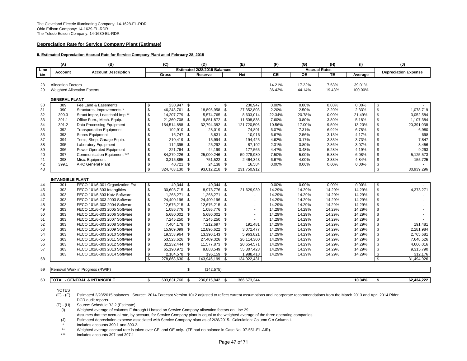#### **Depreciation Rate for Service Company Plant (Estimate)**

#### **II. Estimated Depreciation Accrual Rate for Service Company Plant as of February 28, 2015**

|          | (A)                                                             | (B)                                     |              | (C)            |            | (D)                          |          | (E)            | (F)              | (G)                  | (H)             | (1)               |              | (J)                         |
|----------|-----------------------------------------------------------------|-----------------------------------------|--------------|----------------|------------|------------------------------|----------|----------------|------------------|----------------------|-----------------|-------------------|--------------|-----------------------------|
| Line     | Account                                                         | <b>Account Description</b>              |              |                |            | Estimated 2/28/2015 Balances |          |                |                  | <b>Accrual Rates</b> |                 |                   |              | <b>Depreciation Expense</b> |
| No.      |                                                                 |                                         |              | Gross          |            | Reserve                      |          | <b>Net</b>     | CEI              | <b>OE</b>            | <b>TE</b>       | Average           |              |                             |
| 28<br>29 | <b>Allocation Factors</b><br><b>Weighted Allocation Factors</b> |                                         |              |                |            |                              |          |                | 14.21%<br>36.43% | 17.22%<br>44.14%     | 7.58%<br>19.43% | 39.01%<br>100.00% |              |                             |
|          | <b>GENERAL PLANT</b>                                            |                                         |              |                |            |                              |          |                |                  |                      |                 |                   |              |                             |
| 30       | 389                                                             | Fee Land & Easements                    | \$           | 230,947 \$     |            |                              | \$       | 230,947        | 0.00%            | 0.00%                | 0.00%           | 0.00%             | \$           |                             |
| 31       | 390                                                             | Structures, Improvements *              | \$           | 46,248,761     | $^{\circ}$ | 18,895,958                   | \$       | 27,352,803     | 2.20%            | 2.50%                | 2.20%           | 2.33%             | $\mathbb{S}$ | 1,078,719                   |
| 32       | 390.3                                                           | Struct Imprv, Leasehold Imp**           | \$           | 14,207,779 \$  |            | 5,574,765 \$                 |          | 8,633,014      | 22.34%           | 20.78%               | 0.00%           | 21.49%            | \$           | 3,052,584                   |
| 33       | 391.1                                                           | Office Furn., Mech. Equip.              | \$           | 21,360,708     | - \$       | 9,851,872 \$                 |          | 11,508,835     | 7.60%            | 3.80%                | 3.80%           | 5.18%             | \$           | 1,107,384                   |
| 34       | 391.2                                                           | Data Processing Equipment               | \$           | 154,514,888 \$ |            | 32,794,382                   | - \$     | 121,720,506    | 10.56%           | 17.00%               | 9.50%           | 13.20%            | \$           | 20,391,038                  |
| 35       | 392                                                             | <b>Transportation Equipment</b>         | \$           | 102,910 \$     |            | 28,019 \$                    |          | 74,891         | 6.07%            | 7.31%                | 6.92%           | 6.78%             | \$           | 6,980                       |
| 36       | 393                                                             | <b>Stores Equipment</b>                 | \$           | 16,747 \$      |            | 5,831                        | - \$     | 10,916         | 6.67%            | 2.56%                | 3.13%           | 4.17%             | \$           | 698                         |
| 37       | 394                                                             | Tools, Shop, Garage Equip.              | \$           | 210,419 \$     |            | 15,994                       | \$       | 194,425        | 4.62%            | 3.17%                | 3.33%           | 3.73%             | \$           | 7,847                       |
| 38       | 395                                                             | Laboratory Equipment                    | \$           | 112,395 \$     |            | 25,292                       | - \$     | 87,102         | 2.31%            | 3.80%                | 2.86%           | 3.07%             | \$           | 3,456                       |
| 39       | 396                                                             | Power Operated Equipment                | \$           | 221,764 \$     |            | 44,199 \$                    |          | 177,565        | 4.47%            | 3.48%                | 5.28%           | 4.19%             | \$           | 9,293                       |
| 40       | 397                                                             | Communication Equipment ***             | \$           | 84,279,226 \$  |            | 25,000,246 \$                |          | 59,278,980     | 7.50%            | 5.00%                | 5.88%           | 6.08%             | \$           | 5,125,573                   |
| 41       | 398                                                             | Misc. Equipment                         | \$           | 3,215,865 \$   |            | 751,522 \$                   |          | 2,464,343      | 6.67%            | 4.00%                | 3.33%           | 4.84%             | \$           | 155,725                     |
| 42       | 399.1                                                           | <b>ARC General Plant</b>                | \$           | 40,721 \$      |            | 24,138 \$                    |          | 16,584         | 0.00%            | 0.00%                | 0.00%           | 0.00%             | \$           |                             |
| 43       |                                                                 |                                         | $\mathbf{s}$ | 324.763.130 \$ |            | 93,012,218 \$                |          | 231,750,912    |                  |                      |                 |                   | \$           | 30,939,296                  |
|          |                                                                 |                                         |              |                |            |                              |          |                |                  |                      |                 |                   |              |                             |
|          | <b>INTANGIBLE PLANT</b>                                         |                                         |              |                |            |                              |          |                |                  |                      |                 |                   |              |                             |
| 44       | 301                                                             | FECO 101/6-301 Organization Fst         | \$           | 49,344 \$      |            | $49,344$ \$                  |          |                | 0.00%            | 0.00%                | 0.00%           | 0.00%             | \$           |                             |
| 45       | 303                                                             | FECO 101/6 303 Intangibles              | \$           | 30,603,715 \$  |            | 8,973,776                    | <b>S</b> | 21,629,939     | 14.29%           | 14.29%               | 14.29%          | 14.29%            | \$           | 4,373,271                   |
| 46       | 303                                                             | FECO 101/6 303 Katz Software            | \$           | 1,268,271 \$   |            | 1,268,271 \$                 |          |                | 14.29%           | 14.29%               | 14.29%          | 14.29%            | \$           |                             |
| 47       | 303                                                             | FECO 101/6-303 2003 Software            | \$           | 24,400,196     | - \$       | 24,400,196                   | - \$     |                | 14.29%           | 14.29%               | 14.29%          | 14.29%            | \$           |                             |
| 48       | 303                                                             | FECO 101/6-303 2004 Software            | \$           | 12,676,215 \$  |            | 12,676,215                   | - \$     |                | 14.29%           | 14.29%               | 14.29%          | 14.29%            | \$           |                             |
| 49       | 303                                                             | FECO 101/6-303 2005 Software            | \$           | 1,086,776 \$   |            | 1,086,776                    | - \$     | ÷.             | 14.29%           | 14.29%               | 14.29%          | 14.29%            | $\mathbb{S}$ |                             |
| 50       | 303                                                             | FECO 101/6-303 2006 Software            | \$           | 5,680,002 \$   |            | 5,680,002                    | - \$     | $\blacksquare$ | 14.29%           | 14.29%               | 14.29%          | 14.29%            | \$           |                             |
| 51       | 303                                                             | FECO 101/6-303 2007 Software            | \$           | 7,245,250 \$   |            | 7,245,250 \$                 |          | $\blacksquare$ | 14.29%           | 14.29%               | 14.29%          | 14.29%            | \$           |                             |
| 52       | 303                                                             | FECO 101/6-303 2008 Software            | \$           | 7,404,178 \$   |            | 7,212,697 \$                 |          | 191,481        | 14.29%           | 14.29%               | 14.29%          | 14.29%            | $\mathbb{S}$ | 191,481                     |
| 53       | 303                                                             | FECO 101/6-303 2009 Software            | \$           | 15,969,099 \$  |            | 12,896,622 \$                |          | 3,072,477      | 14.29%           | 14.29%               | 14.29%          | 14.29%            | \$           | 2,281,984                   |
| 54       | 303                                                             | FECO 101/6-303 2010 Software            | \$           | 19,353,964 \$  |            | 13.390.143 \$                |          | 5,963,821      | 14.29%           | 14.29%               | 14.29%          | 14.29%            | \$           | 2,765,681                   |
| 55       | 303                                                             | FECO 101/6-303 2011 Software            | \$           | 53,523,626 \$  |            | 27,409,326                   | - \$     | 26,114,300     | 14.29%           | 14.29%               | 14.29%          | 14.29%            | \$           | 7,648,526                   |
| 56       | 303                                                             | FECO 101/6-303 2012 Software            | \$           | 32,232,444 \$  |            | 11,577,873 \$                |          | 20,654,571     | 14.29%           | 14.29%               | 14.29%          | 14.29%            | \$           | 4,606,016                   |
| 57       | 303                                                             | FECO 101/6-303 2013 Software            | \$           | 65,190,972 \$  |            | 9,883,549 \$                 |          | 55,307,423     | 14.29%           | 14.29%               | 14.29%          | 14.29%            | \$           | 9,315,790                   |
|          | 303                                                             | FECO 101/6-303 2014 Software            | \$           | 2,184,578 \$   |            | 196,159 \$                   |          | 1,988,418      | 14.29%           | 14.29%               | 14.29%          | 14.29%            | \$           | 312,176                     |
| 58       |                                                                 |                                         | $\mathbf{s}$ | 278,868,630    | -\$        | 143,946,199                  | - \$     | 134,922,431    |                  |                      |                 |                   | s            | 31,494,926                  |
| 59       |                                                                 | Removal Work in Progress (RWIP)         |              |                | \$         | (142, 575)                   |          |                |                  |                      |                 |                   |              |                             |
|          |                                                                 |                                         |              |                |            |                              |          |                |                  |                      |                 |                   |              |                             |
| 60       |                                                                 | <b>TOTAL - GENERAL &amp; INTANGIBLE</b> | \$           | 603.631.760 \$ |            | 236.815.842 \$               |          | 366.673.344    |                  |                      |                 | 10.34%            | \$           | 62.434.222                  |

NOTES

(F) - (H) Source: Schedule B3.2 (Estimate).

(I) Weighted average of columns F through H based on Service Company allocation factors on Line 29.

Assumes that the accrual rate, by account, for Service Company plant is equal to the weighted average of the three operating companies.

(J) Estimated depreciation expense associated with Service Company plant as of 2/28/2015. Calculation: Column C x Column I.

Includes accounts 390.1 and 390.2.

\*\*Weighted average accrual rate is taken over CEI and OE only. (TE had no balance in Case No. 07-551-EL-AIR).

\*\*\*Includes accounts 397 and 397.1

(C) - (E) Estimated 2/28/2015 balances. Source: 2014 Forecast Version 10+2 adjusted to reflect current assumptions and incorporate recommendations from the March 2013 and April 2014 Rider DCR audit reports.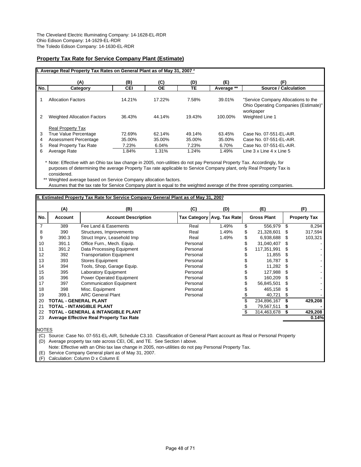### **Property Tax Rate for Service Company Plant (Estimate)**

|     | II. Average Real Property Tax Rates on General Plant as of May 31, 2007 * |            |        |        |            |                                                                                          |
|-----|---------------------------------------------------------------------------|------------|--------|--------|------------|------------------------------------------------------------------------------------------|
|     | (A)                                                                       | (B)        | (C)    | (D)    | (E)        | (F)                                                                                      |
| No. | Category                                                                  | <b>CEI</b> | ОE     | ТE     | Average ** | Source / Calculation                                                                     |
|     | <b>Allocation Factors</b>                                                 | 14.21%     | 17.22% | 7.58%  | 39.01%     | "Service Company Allocations to the<br>Ohio Operating Companies (Estimate)"<br>workpaper |
|     | <b>Weighted Allocation Factors</b>                                        | 36.43%     | 44.14% | 19.43% | 100.00%    | Weighted Line 1                                                                          |
|     | <b>Real Property Tax</b>                                                  |            |        |        |            |                                                                                          |
| 3   | True Value Percentage                                                     | 72.69%     | 62.14% | 49.14% | 63.45%     | Case No. 07-551-EL-AIR.                                                                  |
| 4   | Assessment Percentage                                                     | 35.00%     | 35.00% | 35.00% | 35.00%     | Case No. 07-551-EL-AIR.                                                                  |
| 5   | Real Property Tax Rate                                                    | 7.23%      | 6.04%  | 7.23%  | 6.70%      | Case No. 07-551-EL-AIR.                                                                  |
| 6   | Average Rate                                                              | 1.84%      | 1.31%  | 1.24%  | 1.49%      | Line $3 \times$ Line $4 \times$ Line $5$                                                 |

\* Note: Effective with an Ohio tax law change in 2005, non-utilities do not pay Personal Property Tax. Accordingly, for purposes of determining the average Property Tax rate applicable to Service Company plant, only Real Property Tax is considered.

\*\* Weighted average based on Service Company allocation factors.

Assumes that the tax rate for Service Company plant is equal to the weighted average of the three operating companies.

### **II. Estimated Property Tax Rate for Service Company General Plant as of May 31, 2007**

|                | (A)            | (B)                                             | (C)      | (D)                          |    | (E)                |     | (F)                 |
|----------------|----------------|-------------------------------------------------|----------|------------------------------|----|--------------------|-----|---------------------|
| No.            | <b>Account</b> | <b>Account Description</b>                      |          | Tax Category   Avg. Tax Rate |    | <b>Gross Plant</b> |     | <b>Property Tax</b> |
| $\overline{7}$ | 389            | Fee Land & Easements                            | Real     | 1.49%                        | \$ | 556,979            | S   | 8,294               |
| 8              | 390            | Structures, Improvements                        | Real     | 1.49%                        | S  | 21,328,601         |     | 317,594             |
| 9              | 390.3          | Struct Imprv, Leasehold Imp                     | Real     | 1.49%                        |    | 6,938,688          |     | 103,321             |
| 10             | 391.1          | Office Furn., Mech. Equip.                      | Personal |                              |    | 31,040,407         |     |                     |
| 11             | 391.2          | Data Processing Equipment                       | Personal |                              |    | 117,351,991        |     |                     |
| 12             | 392            | <b>Transportation Equipment</b>                 | Personal |                              |    | 11,855             |     |                     |
| 13             | 393            | <b>Stores Equipment</b>                         | Personal |                              |    | 16.787             |     |                     |
| 14             | 394            | Tools, Shop, Garage Equip.                      | Personal |                              |    | 11,282             |     |                     |
| 15             | 395            | <b>Laboratory Equipment</b>                     | Personal |                              |    | 127,988            |     |                     |
| 16             | 396            | Power Operated Equipment                        | Personal |                              |    | 160.209            |     |                     |
| 17             | 397            | <b>Communication Equipment</b>                  | Personal |                              |    | 56,845,501         |     |                     |
| 18             | 398            | Misc. Equipment                                 | Personal |                              |    | 465,158            |     |                     |
| 19             | 399.1          | <b>ARC General Plant</b>                        | Personal |                              |    | 40,721             | \$. |                     |
| 20             |                | TOTAL - GENERAL PLANT                           |          |                              |    | 234,896,167        |     | 429,208             |
| 21             |                | TOTAL - INTANGIBLE PLANT                        |          |                              |    | 79,567,511         |     |                     |
| 22             |                | TOTAL - GENERAL & INTANGIBLE PLANT              |          |                              |    | 314,463,678        |     | 429,208             |
| 23             |                | <b>Average Effective Real Property Tax Rate</b> |          |                              |    |                    |     | 0.14%               |
|                |                |                                                 |          |                              |    |                    |     |                     |

NOTES

(C) Source: Case No. 07-551-EL-AIR, Schedule C3.10. Classification of General Plant account as Real or Personal Property (D) Average property tax rate across CEI, OE, and TE. See Section I above.

Note: Effective with an Ohio tax law change in 2005, non-utilities do not pay Personal Property Tax.

(E) Service Company General plant as of May 31, 2007.

(F) Calculation: Column D x Column E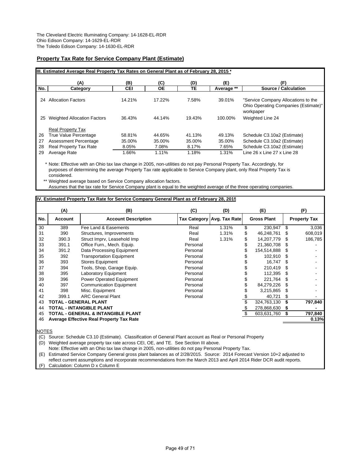### **Property Tax Rate for Service Company Plant (Estimate)**

|     | IIII. Estimated Average Real Property Tax Rates on General Plant as of February 28, 2015 * |        |           |        |            |                                                                                          |
|-----|--------------------------------------------------------------------------------------------|--------|-----------|--------|------------|------------------------------------------------------------------------------------------|
|     | (A)                                                                                        | (B)    | (C)       | (D)    | (E)        | (F)                                                                                      |
| No. | Category                                                                                   | CEI    | <b>OE</b> | TΕ     | Average ** | Source / Calculation                                                                     |
| 24  | <b>Allocation Factors</b>                                                                  | 14.21% | 17.22%    | 7.58%  | 39.01%     | "Service Company Allocations to the<br>Ohio Operating Companies (Estimate)"<br>workpaper |
| 25  | <b>Weighted Allocation Factors</b>                                                         | 36.43% | 44.14%    | 19.43% | 100.00%    | Weighted Line 24                                                                         |
| 26  | <b>Real Property Tax</b><br>True Value Percentage                                          | 58.81% | 44.65%    | 41.13% | 49.13%     | Schedule C3.10a2 (Estimate)                                                              |
| 27  | <b>Assessment Percentage</b>                                                               | 35.00% | 35.00%    | 35.00% | 35.00%     | Schedule C3.10a2 (Estimate)                                                              |
| 28  | <b>Real Property Tax Rate</b>                                                              | 8.05%  | 7.08%     | 8.17%  | 7.65%      | Schedule C3.10a2 (Estimate)                                                              |
| 29  | Average Rate                                                                               | 1.66%  | 1.11%     | 1.18%  | 1.31%      | Line 26 x Line 27 x Line 28                                                              |

\* Note: Effective with an Ohio tax law change in 2005, non-utilities do not pay Personal Property Tax. Accordingly, for purposes of determining the average Property Tax rate applicable to Service Company plant, only Real Property Tax is considered.

Weighted average based on Service Company allocation factors.

Assumes that the tax rate for Service Company plant is equal to the weighted average of the three operating companies.

#### **IV. Estimated Property Tax Rate for Service Company General Plant as of February 28, 2015**

|     | (A)     | (B)                                             | (C)      | (D)                          |    | (E)                |     | (F)                 |
|-----|---------|-------------------------------------------------|----------|------------------------------|----|--------------------|-----|---------------------|
| No. | Account | <b>Account Description</b>                      |          | Tax Category   Avg. Tax Rate |    | <b>Gross Plant</b> |     | <b>Property Tax</b> |
| 30  | 389     | Fee Land & Easements                            | Real     | 1.31%                        | \$ | 230,947            | \$  | 3,036               |
| 31  | 390     | Structures, Improvements                        | Real     | 1.31%                        | \$ | 46,248,761         | S   | 608,019             |
| 32  | 390.3   | Struct Imprv, Leasehold Imp                     | Real     | 1.31%                        | \$ | 14,207,779         |     | 186,785             |
| 33  | 391.1   | Office Furn., Mech. Equip.                      | Personal |                              | S  | 21,360,708         |     |                     |
| 34  | 391.2   | Data Processing Equipment                       | Personal |                              |    | 154,514,888        |     |                     |
| 35  | 392     | <b>Transportation Equipment</b>                 | Personal |                              |    | 102,910            | \$. |                     |
| 36  | 393     | <b>Stores Equipment</b>                         | Personal |                              |    | 16.747             |     |                     |
| 37  | 394     | Tools, Shop, Garage Equip.                      | Personal |                              |    | 210,419            |     |                     |
| 38  | 395     | Laboratory Equipment                            | Personal |                              |    | 112,395            |     |                     |
| 39  | 396     | <b>Power Operated Equipment</b>                 | Personal |                              | S  | 221,764            |     |                     |
| 40  | 397     | <b>Communication Equipment</b>                  | Personal |                              |    | 84,279,226         |     |                     |
| 41  | 398     | Misc. Equipment                                 | Personal |                              |    | 3,215,865          |     |                     |
| 42  | 399.1   | <b>ARC General Plant</b>                        | Personal |                              |    | 40,721             |     |                     |
| 43  |         | <b>TOTAL - GENERAL PLANT</b>                    |          |                              |    | 324,763,130        |     | 797,840             |
| 44  |         | <b>TOTAL - INTANGIBLE PLANT</b>                 |          |                              |    | 278,868,630        | S   |                     |
| 45  |         | <b>TOTAL - GENERAL &amp; INTANGIBLE PLANT</b>   |          |                              |    | 603,631,760        |     | 797,840             |
| 46  |         | <b>Average Effective Real Property Tax Rate</b> |          |                              |    |                    |     | 0.13%               |
|     |         |                                                 |          |                              |    |                    |     |                     |

**NOTES** 

(C) Source: Schedule C3.10 (Estimate). Classification of General Plant account as Real or Personal Property

(D) Weighted average property tax rate across CEI, OE, and TE. See Section III above.

Note: Effective with an Ohio tax law change in 2005, non-utilities do not pay Personal Property Tax.

(E) Estimated Service Company General gross plant balances as of 2/28/2015. Source: 2014 Forecast Version 10+2 adjusted to reflect current assumptions and incorporate recommendations from the March 2013 and April 2014 Rider DCR audit reports. (F) Calculation: Column D x Column E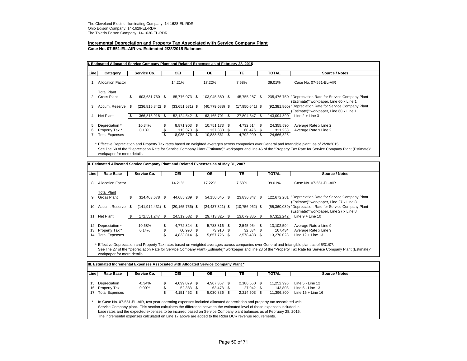# **Incremental Depreciation and Property Tax Associated with Service Company Plant**

**Case No. 07-551-EL-AIR vs. Estimated 2/28/2015 Balances**

| Line | Category                 |      | Service Co.          | <b>CEI</b>          |      | <b>OE</b>         |      | <b>TE</b>         | <b>TOTAL</b>   | Source / Notes                                                                          |
|------|--------------------------|------|----------------------|---------------------|------|-------------------|------|-------------------|----------------|-----------------------------------------------------------------------------------------|
|      | <b>Allocation Factor</b> |      |                      | 14.21%              |      | 17.22%            |      | 7.58%             | 39.01%         | Case No. 07-551-EL-AIR                                                                  |
|      | <b>Total Plant</b>       |      |                      |                     |      |                   |      |                   |                |                                                                                         |
|      | Gross Plant              | \$   | 603.631.760 \$       | 85.776.073 \$       |      | 103,945,389 \$    |      | 45.755.287 \$     | 235.476.750    | "Depreciation Rate for Service Company Plant<br>(Estimate)" workpaper, Line 60 x Line 1 |
| 3    | Accum, Reserve           | - \$ | $(236, 815, 842)$ \$ | $(33,651,531)$ \$   |      | $(40,779,688)$ \$ |      | $(17,950,641)$ \$ | (92, 381, 860) | "Depreciation Rate for Service Company Plant<br>(Estimate)" workpaper, Line 60 x Line 1 |
| 4    | Net Plant                | \$   | 366.815.918          | \$<br>52.124.542 \$ |      | 63.165.701        | - \$ | 27,804,647        | 143,094,890    | Line $2 +$ Line 3                                                                       |
| 5    | Depreciation *           |      | 10.34%               | \$<br>8.871.903 \$  |      | 10.751.173 \$     |      | 4,732,514 \$      | 24,355,590     | Average Rate x Line 2                                                                   |
| 6    | Property Tax *           |      | 0.13%                | 113.373 \$          |      | 137.388 \$        |      | 60.476 \$         | 311,238        | Average Rate x Line 2                                                                   |
|      | <b>Total Expenses</b>    |      |                      | \$<br>8,985,276     | - \$ | 10,888,561        | \$   | 4,792,990 \$      | 24,666,828     |                                                                                         |

\* Effective Depreciation and Property Tax rates based on weighted averages across companies over General and Intangible plant, as of 2/28/2015. See line 60 of the "Depreciation Rate for Service Company Plant (Estimate)" workpaper and line 46 of the "Property Tax Rate for Service Company Plant (Estimate)" workpaper for more details.

| Line | <b>Rate Base</b>         | Service Co.          | <b>CEI</b>          | ОE                  | TE                |     | <b>TOTAL</b> | Source / Notes                                                                          |
|------|--------------------------|----------------------|---------------------|---------------------|-------------------|-----|--------------|-----------------------------------------------------------------------------------------|
| 8    | <b>Allocation Factor</b> |                      | 14.21%              | 17.22%              | 7.58%             |     | 39.01%       | Case No. 07-551-EL-AIR                                                                  |
|      | <b>Total Plant</b>       |                      |                     |                     |                   |     |              |                                                                                         |
| 9    | <b>Gross Plant</b>       | \$<br>314.463.678 \$ | 44.685.289 \$       | 54.150.645 \$       | 23.836.347        | \$. | 122.672.281  | "Depreciation Rate for Service Company Plant<br>(Estimate)" workpaper, Line 27 x Line 8 |
| 10   | Accum. Reserve \$        | $(141, 912, 431)$ \$ | $(20, 165, 756)$ \$ | $(24, 437, 321)$ \$ | $(10,756,962)$ \$ |     | (55,360,039) | "Depreciation Rate for Service Company Plant                                            |
|      |                          |                      |                     |                     |                   |     |              | (Estimate)" workpaper, Line 27 x Line 8                                                 |
| 11   | Net Plant                | 172,551,247          | \$<br>24.519.532 \$ | 29,713,325 \$       | 13,079,385        | \$. | 67.312.242   | Line $9 +$ Line 10                                                                      |
| 12   | Depreciation *           | 10.68%               | \$<br>4,772,824 \$  | 5,783,816 \$        | 2.545.954 \$      |     | 13,102,594   | Average Rate x Line 9                                                                   |
| 13   | Property Tax *           | 0.14%                | \$<br>60,990 \$     | 73,910 \$           | 32.534 \$         |     | 167,434      | Average Rate x Line 9                                                                   |
| 14   | <b>Total Expenses</b>    |                      | \$<br>4,833,814     | \$<br>5,857,726 \$  | 2,578,488         | \$. | 13.270.028   | Line $12 +$ Line $13$                                                                   |

\* Effective Depreciation and Property Tax rates based on weighted averages across companies over General and Intangible plant as of 5/31/07. See line 27 of the "Depreciation Rate for Service Company Plant (Estimate)" workpaper and line 23 of the "Property Tax Rate for Service Company Plant (Estimate)" workpaper for more details.

| Line | <b>Rate Base</b>      | Service Co. | CEI                | OE.          | TE           | <b>TOTAL</b> | Source / Notes      |
|------|-----------------------|-------------|--------------------|--------------|--------------|--------------|---------------------|
| 15   | Depreciation          | $-0.34%$    | \$<br>4.099.079 \$ | 4,967,357 \$ | 2,186,560 \$ | 11,252,996   | Line 5 - Line 12    |
| 16   | Property Tax          | $0.00\%$    | 52,383 \$          | 63.478 \$    | 27,942 \$    | 143,803      | Line 6 - Line 13    |
| 17   | <b>Total Expenses</b> |             | 4.151.462 \$       | 5.030.836 \$ | 2.214.503 \$ | 11.396.800   | Line $15 +$ Line 16 |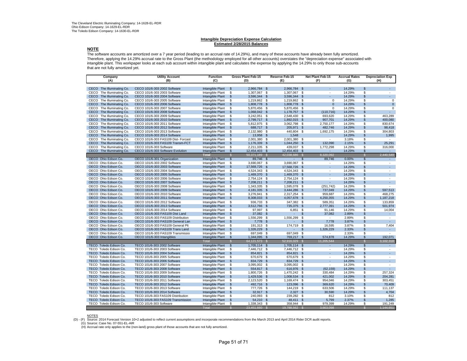#### **Intangible Depreciation Expense Calculation Estimated 2/28/2015 Balances**

**NOTE** The software accounts are amortized over a 7 year period (leading to an accrual rate of 14.29%), and many of these accounts have already been fully amortized. Therefore, applying the 14.29% accrual rate to the Gross Plant (the methodology employed for all other accounts) overstates the "depreciation expense" associated with intangible plant. This workpaper looks at each sub account within intangible plant and calculates the expense by applying the 14.29% to only those sub-accounts that are not fully amortized yet.

| Company<br>(A)                               | <b>Utility Account</b><br>(B)                                         | <b>Function</b><br>(C)               |                         | Gross Plant Feb-15<br>(D) |               | Reserve Feb-15<br>(E) |                      | Net Plant Feb-15<br>(F) | <b>Accrual Rates</b><br>(G) |                          | <b>Depreciation Exp</b><br>(H) |
|----------------------------------------------|-----------------------------------------------------------------------|--------------------------------------|-------------------------|---------------------------|---------------|-----------------------|----------------------|-------------------------|-----------------------------|--------------------------|--------------------------------|
|                                              |                                                                       |                                      |                         |                           |               |                       |                      |                         |                             |                          |                                |
| CECO The Illuminating Co.                    | CECO 101/6-303 2002 Software                                          | Intangible Plant                     | \$                      | 2,966,784 \$              |               | 2,966,784 \$          |                      |                         | 14.29%                      | \$.                      |                                |
| CECO The Illuminating Co.                    | CECO 101/6-303 2003 Software                                          | Intangible Plant                     | \$                      | 1,307,067 \$              |               | 1,307,067 \$          |                      | $\sim$                  | 14.29%                      | \$                       |                                |
| The Illuminating Co.<br><b>CECO</b>          | CECO 101/6-303 2004 Software                                          | Intangible Plant                     | \$                      | 3,596,344 \$              |               | 3,596,344             | $\mathbf{\hat{s}}$   |                         | 14.29%                      | \$                       |                                |
| The Illuminating Co.<br>CECO                 | CECO 101/6-303 2005 Software                                          | Intangible Plant                     | \$                      | 1,219,862 \$              |               | 1,219,862 \$          |                      | 0                       | 14.29%                      | \$                       | $\mathbf 0$                    |
| The Illuminating Co.<br>CECO                 | CECO 101/6-303 2006 Software                                          | Intangible Plant                     | $\mathfrak{s}$          | 1,808,778 \$              |               | 1,808,778             | \$                   | $\Omega$                | 14.29%                      | $\mathbf{\hat{s}}$       | $\mathbf{0}$                   |
| The Illuminating Co.<br>CECO                 | CECO 101/6-303 2007 Software                                          | Intangible Plant                     | \$                      | 5,870,456 \$              |               | 5,870,456             | - \$                 | 0                       | 14.29%                      | S                        | $\Omega$                       |
| The Illuminating Co.<br>CECO                 | CECO 101/6-303 2008 Software                                          | Intangible Plant                     | $\frac{2}{3}$           | 1,068,042 \$              |               | 1,178,757             | \$                   | (110, 716)              | 14.29%                      | $\mathbf{\hat{s}}$       |                                |
| The Illuminating Co.<br>CECO                 | CECO 101/6-303 2009 Software                                          | Intangible Plant                     | \$                      | 3,242,051 \$              |               | 2,548,430             | \$                   | 693,620                 | 14.29%                      | \$                       | 463.289                        |
| The Illuminating Co.<br>CECO                 | CECO 101/6-303 2010 Software                                          | Intangible Plant                     | $\mathfrak{s}$          | 2,799,717 \$              |               | 1,892,015             | -\$                  | 907,701                 | 14.29%                      | \$                       | 400.080                        |
| The Illuminating Co.<br>CECO                 | CECO 101/6-303 2011 Software                                          | Intangible Plant                     | \$                      | 5,812,975                 | - \$          | 3,062,798             | \$                   | 2.750.177               | 14.29%                      | S                        | 830.674                        |
| The Illuminating Co.<br>CECO                 | CECO 101/6-303 2012 Software                                          | Intangible Plant                     | $\mathfrak{s}$          | 688,717 \$                |               | 205,971               | $\mathbb{S}$         | 482,746                 | 14.29%                      | \$                       | 98,418                         |
| The Illuminating Co.<br>CECO                 | CECO 101/6-303 2013 Software                                          | Intangible Plant                     | \$                      | $2,132,980$ \$            |               | 440,804 \$            |                      | 1,692,175               | 14.29%                      | \$                       | 304,803                        |
| The Illuminating Co.<br>CECO                 | CECO 101/6-303 2014 Software                                          | Intangible Plant                     | $\frac{2}{3}$           | 13,958 \$                 |               | 1,548                 |                      |                         | 14.29%                      | \$                       | 1,995                          |
| The Illuminating Co.<br>CECO                 | CECO 101/6-303 FAS109 Dist- Forcast                                   | Intangible Plant                     | \$                      | 2,001,380                 | - \$          | 2,001,380             | \$                   |                         | 3.18%                       | S                        |                                |
| The Illuminating Co.<br>CECO                 | CECO 101/6-303 FAS109 Transm-FCT                                      | Intangible Plant                     | $\mathfrak{S}$          | 1,176,339 \$              |               | 1,044,250             | $\mathbb{S}$         | 132.090                 | 2.15%                       | $\mathbf{\hat{s}}$       | 25.291                         |
| The Illuminating Co.<br>CECO                 | CECO 101/6-303 Software                                               | Intangible Plant                     | \$                      | 2,211,335 \$              |               | 439,037 \$            |                      | 1,772,298               | 14.29%                      | \$                       | 316,000                        |
| CECO<br>The Illuminating Co.                 | CECO 101/6-303 Software Evolution                                     | Intangible Plant                     | $\sqrt[6]{3}$           | 12,454,403 \$             |               | 12,454,403            | -\$                  | ÷.                      | 14.29%                      | $\mathsf{\$}$            | $\mathcal{L}^{\mathcal{A}}$    |
|                                              |                                                                       | Total                                | S                       | 50,371,189 \$             |               | 42,038,686            | -S                   | 8,320,092               |                             | S                        | 2,440,549                      |
| OECO Ohio Edison Co.                         | OECO 101/6-301 Organization                                           | <b>Intangible Plant</b>              | \$                      | 89,746 \$                 |               |                       | $\mathbb{S}$         | 89,746                  | 0.00%                       | \$                       |                                |
| OECO Ohio Edison Co.                         | OECO 101/6-303 2002 Software                                          | Intangible Plant                     | $\overline{\mathbb{S}}$ | 3,690,067 \$              |               | 3,690,067             | <b>S</b>             | $\sim$                  | 14.29%                      | S                        |                                |
| OECO Ohio Edison Co.                         | OECO 101/6-303 2003 Software                                          | Intangible Plant                     | \$                      | 17,568,726 \$             |               | 17,568,726            | $\mathbf{\$}$        | $\sim$                  | 14.29%                      | \$                       | ×.                             |
| OECO Ohio Edison Co.                         | OECO 101/6-303 2004 Software                                          | Intangible Plant                     | \$                      | 4,524,343                 | - \$          | 4,524,343             | -S                   |                         | 14.29%                      | S                        |                                |
| OECO Ohio Edison Co.                         | OECO 101/6-303 2005 Software                                          | Intangible Plant                     | $\mathfrak{S}$          | 1,469,370 \$              |               | 1,469,370             | -S                   |                         | 14.29%                      | $\mathbf{\hat{s}}$       |                                |
| OECO Ohio Edison Co.                         | OECO 101/6-303 2006 Software                                          | Intangible Plant                     | \$                      | 2,754,124 \$              |               | 2,754,124 \$          |                      | ٠                       | 14.29%                      | \$                       | $\overline{\phantom{a}}$       |
| OECO Ohio Edison Co.                         | OECO 101/6-303 2007 Software                                          | Intangible Plant                     | $\mathfrak s$           | 7,208,211 \$              |               | 7,208,211             | $\mathbf{\$}$        | ÷.                      | 14.29%                      | \$                       | $\sim$                         |
| OECO Ohio Edison Co.                         | OECO 101/6-303 2008 Software                                          | Intangible Plant                     | \$                      | 1,343,335 \$              |               | 1,595,078             | \$                   | (251, 742)              | 14.29%                      | \$                       |                                |
| OECO Ohio Edison Co.                         | OECO 101/6-303 2009 Software                                          | Intangible Plant                     | $\mathfrak{S}$          | 4,181,335 \$              |               | 3,444,286             | -S                   | 737.049                 | 14.29%                      | \$                       | 597.513                        |
| OECO Ohio Edison Co.                         | OECO 101/6-303 2010 Software                                          | Intangible Plant                     | \$                      | 3,276,941 \$              |               | 2,317,254 \$          |                      | 959,687                 | 14.29%                      | S                        | 468,275                        |
| OECO Ohio Edison Co.                         | OECO 101/6-303 2011 Software                                          | Intangible Plant                     | $\sqrt[6]{3}$           | 8,308,033 \$              |               | 4,057,678 \$          |                      | 4,250,355               | 14.29%                      | \$                       | 1,187,218                      |
| OECO Ohio Edison Co.                         | OECO 101/6-303 2012 Software                                          | Intangible Plant                     | \$                      | 936,733 \$                |               | 347,382               | - \$                 | 589,351                 | 14.29%                      | \$                       | 133,859                        |
| OECO Ohio Edison Co.                         | OECO 101/6-303 2013 Software                                          | Intangible Plant                     | $\mathfrak{s}$          | 3,512,766 \$              |               | 735,375               | \$                   | 2,777,391               | 14.29%                      | \$                       | 501,974                        |
| OECO Ohio Edison Co.                         | OECO 101/6-303 2014 Software                                          | Intangible Plant                     | \$                      | 97,997 \$                 |               | 6,851 \$              |                      | 91,146                  | 14.29%                      | \$<br>$\mathbf{\hat{s}}$ | 14,004<br>$\sim$               |
| OECO Ohio Edison Co.<br>OECO Ohio Edison Co. | OECO 101/6-303 FAS109 Dist Land<br>OECO 101/6-303 FAS109 Distribution | Intangible Plant                     | \$                      | 37,082 \$                 |               |                       | $\mathfrak{s}$<br>\$ | 37,082<br>$\epsilon$    | 2.89%<br>2.89%              | \$                       | $\sim$                         |
| OECO Ohio Edison Co.                         | OECO 101/6-303 FAS109 General Lan                                     | Intangible Plant<br>Intangible Plant | \$<br>$\frac{2}{3}$     | 1,556,299<br>7,778 \$     | - \$          | 1,556,299<br>٠        | \$                   |                         | 3.87%                       | \$                       | $\sim$                         |
| OECO Ohio Edison Co.                         | OECO 101/6-303 FAS109 General Plt                                     | Intangible Plant                     | \$                      | 191,313 \$                |               | 174,719               | \$                   | 7,778<br>16,595         | 3.87%                       | S                        | 7,404                          |
| OECO Ohio Edison Co.                         | OECO 101/6-303 FAS109 Trans Land                                      | Intangible Plant                     | \$                      | 1,326,229 \$              |               |                       | \$.                  | 1,326,229               | 2.33%                       | \$                       | ÷.                             |
| OECO Ohio Edison Co.                         | OECO 101/6-303 FAS109 Transmissio                                     | Intangible Plant                     | \$                      | 697,049 \$                |               | 697,049               | - \$                 |                         | 2.33%                       | S                        |                                |
| OECO Ohio Edison Co.                         | OECO 101/6-303 Intangibles                                            | Intangible Plant                     | $$\mathbb{S}$$          | 1,344,095 \$              |               | 769,217               | $\mathfrak{s}$       | 574,878                 | 14.29%                      | \$                       | 192,071                        |
|                                              |                                                                       | Total                                | $\mathbb{S}$            | 64,121,573                | - \$          | 52.916.029            |                      | 11.205.544              |                             | S                        | 3,102,318                      |
| TECO Toledo Edison Co.                       | TECO 101/6-303 2002 Software                                          | Intangible Plant                     | $\mathbf{\hat{s}}$      | 1,705,114 \$              |               | 1,705,114             | $\mathbf{\hat{s}}$   | ÷                       | 14.29%                      | \$                       | $\sim$                         |
| TECO Toledo Edison Co.                       | TECO 101/6-303 2003 Software                                          | Intangible Plant                     | \$                      | 7,446,712                 | - \$          | 7,446,712             | -\$                  | ٠                       | 14.29%                      | \$                       | ٠                              |
| TECO Toledo Edison Co.                       | TECO 101/6-303 2004 Software                                          | Intangible Plant                     | $\mathfrak{S}$          | 854,821 \$                |               | 854,821               | $\mathbf{\$}$        | ٠                       | 14.29%                      | \$                       | ÷                              |
| TECO Toledo Edison Co.                       | TECO 101/6-303 2005 Software                                          | Intangible Plant                     | \$                      | 670,679 \$                |               | 670,679               | -S                   | ٠                       | 14.29%                      | S                        | $\overline{\phantom{a}}$       |
| TECO Toledo Edison Co.                       | TECO 101/6-303 2006 Software                                          | Intangible Plant                     | $\mathfrak{s}$          | 834,729 \$                |               | 834,729               | <b>S</b>             | ÷.                      | 14.29%                      | $\mathbf{\hat{s}}$       | ×.                             |
| TECO Toledo Edison Co.                       | TECO 101/6-303 2007 Software                                          | Intangible Plant                     | \$                      | 3,095,002 \$              |               | 3,095,002             | - \$                 |                         | 14.29%                      | \$                       | $\sim$                         |
| TECO Toledo Edison Co.                       | TECO 101/6-303 2008 Software                                          | Intangible Plant                     | $\frac{2}{3}$           | 554,817 \$                |               | 616,976               | \$                   | (62, 159)               | 14.29%                      | \$                       | $\mathcal{L}^{\mathcal{A}}$    |
| TECO Toledo Edison Co.                       | TECO 101/6-303 2009 Software                                          | Intangible Plant                     | \$                      | 1,800,726 \$              |               | 1,470,242 \$          |                      | 330,484                 | 14.29%                      | S                        | 257,324                        |
| TECO Toledo Edison Co.                       | TECO 101/6-303 2010 Software                                          | Intangible Plant                     | \$                      | 1,429,536 \$              |               | 1,008,534             | $\mathbf{\$}$        | 421,002                 | 14.29%                      | $\mathbf{\hat{s}}$       | 204,281                        |
| TECO Toledo Edison Co.                       | TECO 101/6-303 2011 Software                                          | Intangible Plant                     | \$                      | 2,123,520                 | - \$          | 1,169,474             | - \$                 | 954,046                 | 14.29%                      | S                        | 303,451                        |
| TECO Toledo Edison Co.                       | TECO 101/6-303 2012 Software                                          | Intangible Plant                     | $\mathfrak{S}$          | 492,716 \$                |               | 123,096               | \$                   | 369,620                 | 14.29%                      | \$                       | 70,409                         |
| TECO Toledo Edison Co.                       | TECO 101/6-303 2013 Software                                          | Intangible Plant                     | \$                      | 777,726 \$                |               | 144,219 \$            |                      | 633,506                 | 14.29%                      | S                        | 111,137                        |
| TECO Toledo Edison Co.                       | TECO 101/6-303 2014 Software                                          | Intangible Plant                     | \$                      | 32,917 \$                 |               | 2,327                 | $\mathbf{\$}$        | 30,590                  | 14.29%                      | \$                       | 4,704                          |
| TECO Toledo Edison Co.                       | TECO 101/6-303 FAS109 Distribution                                    | Intangible Plant                     | \$                      | 240,093 \$                |               | 239,282 \$            |                      | 812                     | 3.10%                       | S                        | 812                            |
| TECO Toledo Edison Co.                       | TECO 101/6-303 FAS109 Transmission                                    | Intangible Plant                     | \$                      | 54,210 \$                 |               | 48,411                | \$                   | 5,799                   | 2.37%                       | \$                       | 1.285                          |
| TECO Toledo Edison Co.                       | TECO 101/6-303 Software                                               | Intangible Plant                     | \$                      | 1,338,343 \$              |               | 358,944 \$            |                      | 979,399                 | 14.29%                      | S                        | 191,249                        |
|                                              |                                                                       | Total                                |                         | 23,451,660                | $\mathcal{S}$ | 19,788,562            | -S                   | 3,663,098               |                             |                          | 1,144,651                      |

NOTES

(D) - (F) Source: 2014 Forecast Version 10+2 adjusted to reflect current assumptions and incorporate recommendations from the March 2013 and April 2014 Rider DCR audit reports. (G) Source: Case No. 07-551-EL-AIR

(H) Accrual rate only applies to the (non-land) gross plant of those accounts that are not fully amortized.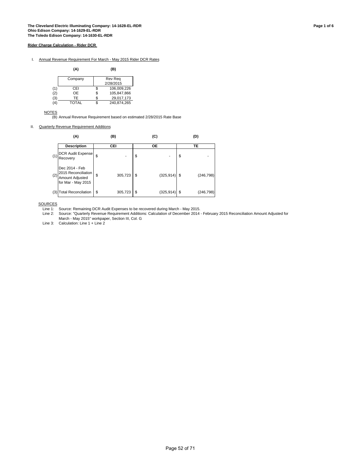I. Annual Revenue Requirement For March - May 2015 Rider DCR Rates

|     | (A)     |   | (B)            |
|-----|---------|---|----------------|
|     | Company |   | <b>Rev Reg</b> |
|     |         |   | 2/28/2015      |
| (1) | CEI     | S | 106,009,226    |
| (2) | OE      | S | 105,847,866    |
| (3) | TF      |   | 29,017,173     |
| (4) | TOTAL   |   | 240.874.265    |

**NOTES** 

(B) Annual Revenue Requirement based on estimated 2/28/2015 Rate Base

II. Quarterly Revenue Requirement Additions

|     | (A)                                                                                  | (B)           |    | (C)        | (D) |            |  |  |
|-----|--------------------------------------------------------------------------------------|---------------|----|------------|-----|------------|--|--|
|     | <b>Description</b>                                                                   | CEI           |    | <b>OE</b>  |     | TE         |  |  |
| (1) | DCR Audit Expense<br>Recovery                                                        |               | \$ |            | \$  |            |  |  |
|     | Dec 2014 - Feb<br>2015 Reconciliation<br>$(2)$ Amount Adjusted<br>for Mar - May 2015 | \$<br>305,723 | -S | (325, 914) |     | (246, 798) |  |  |
| (3) | <b>Total Reconcilation</b>                                                           | \$<br>305,723 | \$ | (325, 914) | S   | (246, 798) |  |  |

**SOURCES** 

Line 1: Source: Remaining DCR Audit Expenses to be recovered during March - May 2015.

Line 2: Source: "Quarterly Revenue Requirement Additions: Calculation of December 2014 - February 2015 Reconciliation Amount Adjusted for March - May 2015" workpaper, Section III, Col. G

Line 3: Calculation: Line 1 + Line 2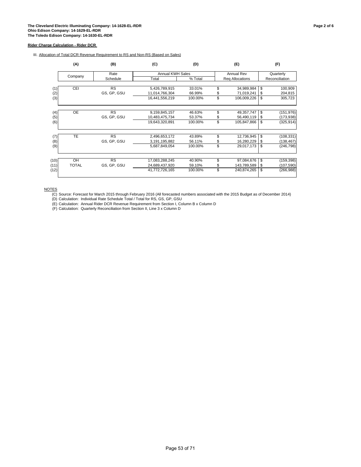III. Allocation of Total DCR Revenue Requirement to RS and Non-RS (Based on Sales)

|      | (A)          | (B)         | (C)                     | (D)     | (E)               | (F)              |
|------|--------------|-------------|-------------------------|---------|-------------------|------------------|
|      |              | Rate        | <b>Annual KWH Sales</b> |         | <b>Annual Rev</b> | Quarterly        |
|      | Company      | Schedule    | Total                   | % Total | Reg Allocations   | Reconciliation   |
|      |              |             |                         |         |                   |                  |
| (1)  | <b>CEI</b>   | <b>RS</b>   | 5,426,789,915           | 33.01%  | \$<br>34,989,984  | \$<br>100,909    |
| (2)  |              | GS, GP, GSU | 11,014,766,304          | 66.99%  | \$<br>71,019,241  | \$<br>204,815    |
| (3)  |              |             | 16,441,556,219          | 100.00% | \$<br>106,009,226 | \$<br>305,723    |
|      |              |             |                         |         |                   |                  |
| (4)  | <b>OE</b>    | <b>RS</b>   | 9,159,845,157           | 46.63%  | \$<br>49,357,747  | \$<br>(151,976)  |
| (5)  |              | GS, GP, GSU | 10,483,475,734          | 53.37%  | \$<br>56,490,119  | \$<br>(173,938)  |
| (6)  |              |             | 19,643,320,891          | 100.00% | \$<br>105,847,866 | \$<br>(325, 914) |
| (7)  | TE           | <b>RS</b>   | 2,496,653,172           | 43.89%  | \$<br>12,736,945  | \$<br>(108, 331) |
| (8)  |              | GS, GP, GSU | 3,191,195,882           | 56.11%  | \$<br>16,280,229  | \$<br>(138, 467) |
| (9)  |              |             | 5,687,849,054           | 100.00% | \$<br>29,017,173  | \$<br>(246,798)  |
|      |              |             |                         |         |                   |                  |
| (10) | OH           | <b>RS</b>   | 17,083,288,245          | 40.90%  | \$<br>97,084,676  | \$<br>(159,398)  |
| (11) | <b>TOTAL</b> | GS, GP, GSU | 24,689,437,920          | 59.10%  | \$<br>143,789,589 | \$<br>(107,590)  |
| (12) |              |             | 41,772,726,165          | 100.00% | \$<br>240,874,265 | \$<br>(266, 988) |
|      |              |             |                         |         |                   |                  |

NOTES

(C) Source: Forecast for March 2015 through February 2016 (All forecasted numbers associated with the 2015 Budget as of December 2014)

(D) Calculation: Individual Rate Schedule Total / Total for RS, GS, GP, GSU

(E) Calculation: Annual Rider DCR Revenue Requirement from Section I, Column B x Column D

(F) Calculation: Quarterly Reconciliation from Section II, Line 3 x Column D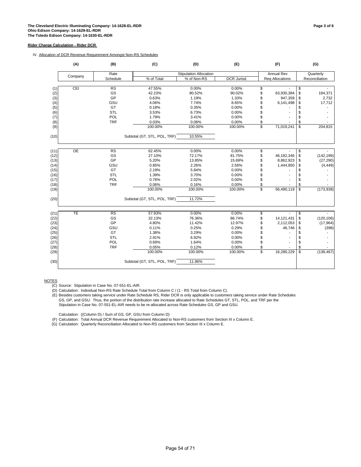IV. Allocation of DCR Revenue Requirement Amongst Non-RS Schedules

|              | (A)             | (B)        | (C)                          | (D)                           | (E)                |                         | (F)                      |                          | (G)            |
|--------------|-----------------|------------|------------------------------|-------------------------------|--------------------|-------------------------|--------------------------|--------------------------|----------------|
|              | Company         | Rate       |                              | <b>Stipulation Allocation</b> |                    |                         | <b>Annual Rev</b>        |                          | Quarterly      |
|              |                 | Schedule   | % of Total                   | % of Non-RS                   | <b>DCR Jurisd.</b> |                         | <b>Reg Allocations</b>   |                          | Reconciliation |
|              |                 |            |                              |                               |                    |                         |                          |                          |                |
| (1)          | CEI             | <b>RS</b>  | 47.55%                       | 0.00%                         | 0.00%              | \$                      |                          | \$                       |                |
| (2)          |                 | GS         | 42.23%                       | 80.52%                        | 90.02%             | \$                      | 63,930,384               | \$                       | 184,371        |
| (3)          |                 | GP         | 0.63%                        | 1.19%                         | 1.33%              | \$                      | 947,359                  | \$                       | 2,732          |
| (4)          |                 | GSU        | 4.06%                        | 7.74%                         | 8.65%              | \$                      | 6,141,498                | \$                       | 17,712         |
| (5)          |                 | GT         | 0.18%                        | 0.35%                         | 0.00%              | \$                      |                          |                          |                |
| (6)          |                 | <b>STL</b> | 3.53%                        | 6.73%                         | 0.00%              | \$                      |                          | \$                       |                |
| (7)          |                 | POL        | 1.79%                        | 3.41%                         | 0.00%              | \$                      |                          | \$                       |                |
| (8)          |                 | <b>TRF</b> | 0.03%                        | 0.06%                         | 0.00%              | \$                      |                          | \$                       |                |
| (9)          |                 |            | 100.00%                      | 100.00%                       | 100.00%            | \$                      | 71,019,241               | \$                       | 204,815        |
| (10)         |                 |            | Subtotal (GT, STL, POL, TRF) | 10.55%                        |                    |                         |                          |                          |                |
|              | $\overline{OE}$ | <b>RS</b>  | 62.45%                       | 0.00%                         | 0.00%              |                         |                          |                          |                |
| (11)<br>(12) |                 | GS         | 27.10%                       | 72.17%                        | 81.75%             | \$<br>\$                | 46,182,346               | \$<br>$\sqrt{3}$         | (142, 199)     |
| (13)         |                 | GP         | 5.20%                        | 13.85%                        | 15.69%             |                         | 8,862,923                |                          | (27, 290)      |
|              |                 | GSU        | 0.85%                        | 2.26%                         | 2.56%              | \$<br>\$                | 1,444,850                | \$<br>\$                 |                |
| (14)<br>(15) |                 | GT         | 2.19%                        | 5.84%                         | 0.00%              |                         |                          | \$                       | (4, 449)       |
| (16)         |                 | STL        | 1.39%                        | 3.70%                         | 0.00%              | \$<br>\$                |                          | \$                       |                |
| (17)         |                 | POL        | 0.76%                        | 2.02%                         | 0.00%              | \$                      |                          | \$                       |                |
| (18)         |                 | <b>TRF</b> | 0.06%                        | 0.16%                         | 0.00%              | \$                      |                          | \$                       |                |
| (19)         |                 |            | 100.00%                      | 100.00%                       | 100.00%            | \$                      | 56,490,119               | $\overline{\mathbf{S}}$  | (173, 938)     |
| (20)         |                 |            | Subtotal (GT, STL, POL, TRF) | 11.72%                        |                    |                         |                          |                          |                |
|              |                 |            |                              |                               |                    |                         |                          |                          |                |
| (21)         | TE              | <b>RS</b>  | 57.93%                       | 0.00%                         | 0.00%              | \$                      | $\overline{\phantom{a}}$ | $\overline{\mathcal{S}}$ |                |
| (22)         |                 | GS         | 32.13%                       | 76.36%                        | 86.74%             | \$                      | 14,121,431               | \$                       | (120, 106)     |
| (23)         |                 | GP         | 4.80%                        | 11.42%                        | 12.97%             | \$                      | 2,112,053                | \$                       | (17, 964)      |
| (24)         |                 | GSU        | 0.11%                        | 0.25%                         | 0.29%              | \$                      | 46,746                   | \$                       | (398)          |
| (25)         |                 | GT         | 1.38%                        | 3.29%                         | 0.00%              |                         |                          | \$                       |                |
| (26)         |                 | <b>STL</b> | 2.91%                        | 6.92%                         | 0.00%              | \$                      |                          | \$                       |                |
| (27)         |                 | POL        | 0.69%                        | 1.64%                         | 0.00%              | \$                      |                          | \$                       |                |
| (28)         |                 | <b>TRF</b> | 0.05%                        | 0.12%                         | 0.00%              | \$                      |                          | \$                       |                |
| (29)         |                 |            | 100.00%                      | 100.00%                       | 100.00%            | $\overline{\mathbb{S}}$ | 16,280,229               | $\mathbf{\hat{s}}$       | (138, 467)     |
| (30)         |                 |            | Subtotal (GT, STL, POL, TRF) | 11.96%                        |                    |                         |                          |                          |                |
|              |                 |            |                              |                               |                    |                         |                          |                          |                |

NOTES

(E) Besides customers taking service under Rate Schedule RS, Rider DCR is only applicable to customers taking service under Rate Schedules GS, GP, and GSU. Thus, the portion of the distribution rate increase allocated to Rate Schedules GT, STL, POL, and TRF per the Stipulation in Case No. 07-551-EL-AIR needs to be re-allocated across Rate Schedules GS, GP and GSU.

Calculation: ((Column D) / Sum of GS, GP, GSU from Column D)

(F) Calculation: Total Annual DCR Revenue Requirement Allocated to Non-RS customers from Section III x Column E.

(G) Calculation: Quarterly Reconciliation Allocated to Non-RS customers from Section III x Column E.

<sup>(</sup>C) Source: Stipulation in Case No. 07-551-EL-AIR.

<sup>(</sup>D) Calculation: Individual Non-RS Rate Schedule Total from Column C / (1 - RS Total from Column C).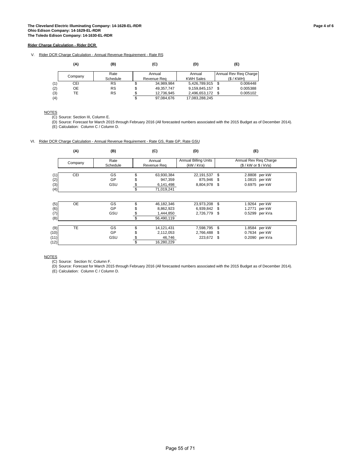V. Rider DCR Charge Calculation - Annual Revenue Requirement - Rate RS

|     | (A)       | (B)       |    | (C)         | (D)              |      | (E)                   |
|-----|-----------|-----------|----|-------------|------------------|------|-----------------------|
|     |           | Rate      |    | Annual      | Annual           |      | Annual Rev Reg Charge |
|     | Company   | Schedule  |    | Revenue Rea | <b>KWH Sales</b> |      | (S/KWH)               |
| (1) | CEI       | <b>RS</b> | Φ  | 34,989,984  | 5,426,789,915    | - \$ | 0.006448              |
| (2) | <b>OE</b> | <b>RS</b> | \$ | 49.357.747  | 9,159,845,157    | £.   | 0.005388              |
| (3) | TE        | <b>RS</b> |    | 12.736.945  | 2,496,653,172    |      | 0.005102              |
| (4) |           |           | \$ | 97.084.676  | 17.083.288.245   |      |                       |

**NOTES** 

(C) Source: Section III, Column E.

(D) Source: Forecast for March 2015 through February 2016 (All forecasted numbers associated with the 2015 Budget as of December 2014).

(E) Calculation: Column C / Column D.

#### VI. Rider DCR Charge Calculation - Annual Revenue Requirement - Rate GS, Rate GP, Rate GSU

|      | (A)        | (B)      | (C)              | (D)                         |      | (E)                   |
|------|------------|----------|------------------|-----------------------------|------|-----------------------|
|      |            | Rate     | Annual           | <b>Annual Billing Units</b> |      | Annual Rev Reg Charge |
|      | Company    | Schedule | Revenue Req      | (kW / kVa)                  |      | (S / kW or \$ / KVa)  |
|      |            |          |                  |                             |      |                       |
| (1)  | <b>CEI</b> | GS       | 63,930,384       | 22,191,537                  | \$   | 2.8808 per kW         |
| (2)  |            | GP       | 947,359          | 875,946 \$                  |      | 1.0815 per kW         |
| (3)  |            | GSU      | 6,141,498        | 8,804,978                   | - \$ | 0.6975 per kW         |
| (4)  |            |          | \$<br>71,019,241 |                             |      |                       |
|      |            |          |                  |                             |      |                       |
| (5)  | <b>OE</b>  | GS       | 46,182,346       | 23,973,208                  | \$   | 1.9264 per kW         |
| (6)  |            | GP       | 8,862,923        | 6,939,842 \$                |      | 1.2771 per kW         |
| (7)  |            | GSU      | 1,444,850        | 2,726,779 \$                |      | 0.5299 per kVa        |
| (8)  |            |          | \$<br>56,490,119 |                             |      |                       |
|      |            |          |                  |                             |      |                       |
| (9)  | <b>TE</b>  | GS       | \$<br>14,121,431 | 7,598,795                   | \$   | 1.8584 per kW         |
| (10) |            | GP       | 2,112,053        | 2,766,488 \$                |      | 0.7634 per kW         |
| (11) |            | GSU      | 46,746           | 223,672 \$                  |      | 0.2090 per kVa        |
| (12) |            |          | \$<br>16,280,229 |                             |      |                       |

NOTES

(C) Source: Section IV, Column F.

(D) Source: Forecast for March 2015 through February 2016 (All forecasted numbers associated with the 2015 Budget as of December 2014).

(E) Calculation: Column C / Column D.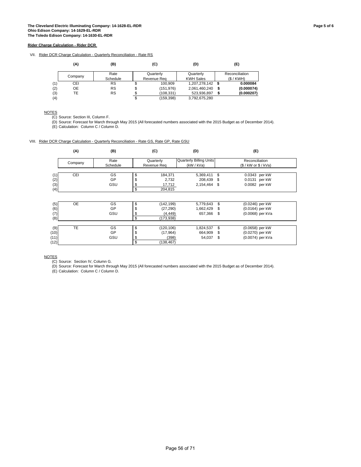VII. Rider DCR Charge Calculation - Quarterly Reconciliation - Rate RS

|     | (A)     | (B)      |    | (C)         | (D)              | (E)              |
|-----|---------|----------|----|-------------|------------------|------------------|
|     |         | Rate     |    | Quarterly   | Quarterly        | Reconciliation   |
|     | Company | Schedule |    | Revenue Rea | <b>KWH Sales</b> | (S/KWH)          |
| (1) | CEI     | RS       |    | 100.909     | 1,207,278,142 \$ | 0.000084         |
| (2) | OE      | RS       | \$ | (151, 976)  | 2,061,460,240    | \$<br>(0.000074) |
| (3) | ТE      | RS       | σ  | (108, 331)  | 523,936,897      | (0.000207)       |
| (4) |         |          | \$ | (159, 398)  | 3,792,675,280    |                  |

**NOTES** 

(C) Source: Section III, Column F.

(D) Source: Forecast for March through May 2015 (All forecasted numbers associated with the 2015 Budget as of December 2014).

(E) Calculation: Column C / Column D.

VIII. Rider DCR Charge Calculation - Quarterly Reconciliation - Rate GS, Rate GP, Rate GSU

|      | (A)       | (B)      |    | (C)         | (D)                            |     | (E)                 |  |
|------|-----------|----------|----|-------------|--------------------------------|-----|---------------------|--|
|      |           | Rate     |    | Quarterly   | <b>Quarterly Billing Units</b> |     | Reconciliation      |  |
|      | Company   | Schedule |    | Revenue Reg | (kW / kVa)                     |     | (S / kW or S / kVa) |  |
|      |           |          |    |             |                                |     |                     |  |
| (1)  | CEI       | GS       | \$ | 184,371     | 5,369,411                      | \$  | 0.0343 per kW       |  |
| (2)  |           | GP       | \$ | 2,732       | 208,439                        | -\$ | 0.0131 per kW       |  |
| (3)  |           | GSU      | S  | 17,712      | 2,154,464                      | -\$ | 0.0082 per kW       |  |
| (4)  |           |          | \$ | 204,815     |                                |     |                     |  |
|      |           |          |    |             |                                |     |                     |  |
| (5)  | <b>OE</b> | GS       | \$ | (142, 199)  | 5,779,643                      | \$  | (0.0246) per kW     |  |
| (6)  |           | GP       | \$ | (27, 290)   | 1,662,429                      | S   | (0.0164) per kW     |  |
| (7)  |           | GSU      | S  | (4, 449)    | 657,366                        | \$  | (0.0068) per kVa    |  |
| (8)  |           |          | \$ | (173, 938)  |                                |     |                     |  |
|      |           |          |    |             |                                |     |                     |  |
| (9)  | <b>TE</b> | GS       | \$ | (120, 106)  | 1,824,537                      | \$  | (0.0658) per kW     |  |
| (10) |           | GP       | \$ | (17, 964)   | 664,909                        | \$  | (0.0270) per kW     |  |
| (11) |           | GSU      | \$ | (398)       | 54,037                         | \$  | (0.0074) per kVa    |  |
| (12) |           |          | \$ | (138, 467)  |                                |     |                     |  |

NOTES

(C) Source: Section IV, Column G.

(D) Source: Forecast for March through May 2015 (All forecasted numbers associated with the 2015 Budget as of December 2014).

(E) Calculation: Column C / Column D.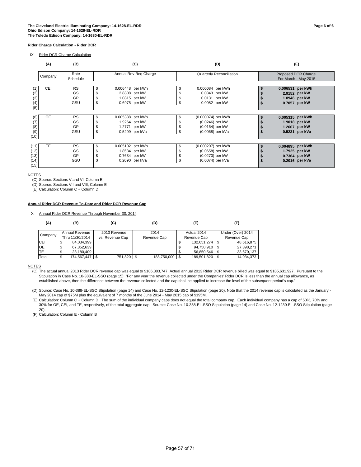IX. Rider DCR Charge Calculation

|                                      | (A)        | (B)                          |    | (C)                                                                  |          | (D)                                                                          | (E)                                                                  |  |
|--------------------------------------|------------|------------------------------|----|----------------------------------------------------------------------|----------|------------------------------------------------------------------------------|----------------------------------------------------------------------|--|
|                                      | Company    | Rate<br>Schedule             |    | Annual Rev Reg Charge                                                |          | <b>Quarterly Reconciliation</b>                                              | Proposed DCR Charge<br>For March - May 2015                          |  |
| (2)<br>(3)<br>(4)<br>(5)             | <b>CEI</b> | <b>RS</b><br>GS<br>GP<br>GSU | S  | 0.006448 per kWh<br>2.8808 per kW<br>1.0815 per kW<br>0.6975 per kW  | \$<br>S  | 0.000084 per kWh<br>0.0343 per kW<br>0.0131 per kW<br>0.0082 per kW          | 0.006531 per kWh<br>2.9152 per kW<br>1.0946 per kW<br>0.7057 per kW  |  |
| (6)<br>(7)<br>(8)<br>(9)<br>(10)     | <b>OE</b>  | <b>RS</b><br>GS<br>GP<br>GSU | \$ | 0.005388 per kWh<br>1.9264 per kW<br>1.2771 per kW<br>0.5299 per kVa | \$<br>\$ | (0.000074) per kWh<br>(0.0246) per kW<br>(0.0164) per kW<br>(0.0068) per kVa | 0.005315 per kWh<br>1.9018 per kW<br>1.2607 per kW<br>0.5231 per kVa |  |
| (11)<br>(12)<br>(13)<br>(14)<br>(15) | TE         | <b>RS</b><br>GS<br>GP<br>GSU | S  | 0.005102 per kWh<br>1.8584 per kW<br>0.7634 per kW<br>0.2090 per kVa | \$<br>\$ | (0.000207) per kWh<br>(0.0658) per kW<br>(0.0270) per kW<br>(0.0074) per kVa | 0.004895 per kWh<br>1.7925 per kW<br>0.7364 per kW<br>0.2016 per kVa |  |

**NOTES** 

(C) Source: Sections V and VI, Column E

(D) Source: Sections VII and VIII, Column E

(E) Calculation: Column C + Column D.

#### **Annual Rider DCR Revenue To-Date and Rider DCR Revenue Cap**

X. Annual Rider DCR Revenue Through November 30, 2014

| (A)       | (B)             | (C)             | (D)                | (E)               | (F)               |
|-----------|-----------------|-----------------|--------------------|-------------------|-------------------|
| Company   | Annual Revenue  | 2013 Revenue    | 2014               | Actual 2014       | Under (Over) 2014 |
|           | Thru 11/30/2014 | vs. Revenue Cap | Revenue Cap        | Revenue Cap       | Revenue Cap       |
| CEI       | 84,034,399<br>จ |                 |                    | \$<br>132,651,274 | 48,616,875        |
| <b>OE</b> | 67,352,639<br>S |                 |                    | \$<br>94,750,910  | 27,398,271        |
| TE        | 23,180,409<br>Φ |                 |                    | 56,850,546        | 33,670,137        |
| Total     | 174,567,447     | 751,820         | 188,750,000<br>1 S | 189,501,820       | 14.934.373        |

**NOTES** 

(C) The actual annual 2013 Rider DCR revenue cap was equal to \$186,383,747. Actual annual 2013 Rider DCR revenue billed was equal to \$185,631,927. Pursuant to the Stipulation in Case No. 10-388-EL-SSO (page 15): "For any year the revenue collected under the Companies' Rider DCR is less than the annual cap allowance, as established above, then the difference between the revenue collected and the cap shall be applied to increase the level of the subsequent period's cap."

(D) Source: Case No. 10-388-EL-SSO Stipulation (page 14) and Case No. 12-1230-EL-SSO Stipulation (page 20). Note that the 2014 revenue cap is calculated as the January - May 2014 cap of \$75M plus the equivalent of 7 months of the June 2014 - May 2015 cap of \$195M.

(E) Calculation: Column C + Column D. The sum of the individual company caps does not equal the total company cap. Each individual company has a cap of 50%, 70% and 30% for OE, CEI, and TE, respectively, of the total aggregate cap. Source: Case No. 10-388-EL-SSO Stipulation (page 14) and Case No. 12-1230-EL-SSO Stipulation (page 20).

(F) Calculation: Column E - Column B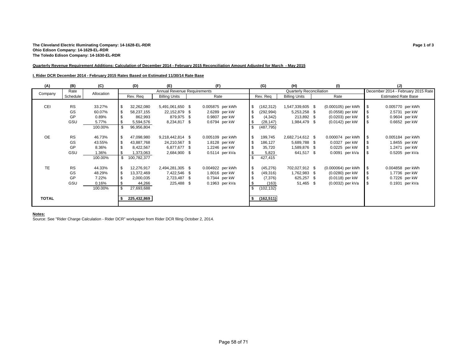#### **The Cleveland Electric Illuminating Company: 14-1628-EL-RDR Page 1 of 3 Ohio Edison Company: 14-1629-EL-RDR The Toledo Edison Company: 14-1630-EL-RDR**

#### **Quarterly Revenue Requirement Additions: Calculation of December 2014 - February 2015 Reconciliation Amount Adjusted for March - May 2015**

#### **I. Rider DCR December 2014 - February 2015 Rates Based on Estimated 11/30/14 Rate Base**

| (A)          | (B)       | (C)        | (E)<br>(D)               |                             | (F)              |          | (G)        | (H)                             | (1)                |     | (J)                                |
|--------------|-----------|------------|--------------------------|-----------------------------|------------------|----------|------------|---------------------------------|--------------------|-----|------------------------------------|
| Company      | Rate      | Allocation |                          | Annual Revenue Requirements |                  |          |            | <b>Quarterly Reconciliation</b> |                    |     | December 2014 - February 2015 Rate |
|              | Schedule  |            | Rev. Reg                 | <b>Billing Units</b>        | Rate             |          | Rev. Reg   | <b>Billing Units</b>            | Rate               |     | <b>Estimated Rate Base</b>         |
|              |           |            |                          |                             |                  |          |            |                                 |                    |     |                                    |
| CEI          | <b>RS</b> | 33.27%     | \$<br>32,262,080         | 5,491,061,650 \$            | 0.005875 per kWh | l \$     | (162, 312) | 1,547,339,605 \$                | (0.000105) per kWh | \$  | 0.005770 per kWh                   |
|              | GS        | 60.07%     | <b>S</b><br>58,237,155   | 22,152,879<br>- \$          | 2.6289 per kW    | l \$     | (292, 994) | 5,253,258 \$                    | (0.0558) per kW    |     | 2.5731 per kW                      |
|              | GP        | 0.89%      | \$<br>862,993            | 879,975 \$                  | 0.9807 per kW    | <b>S</b> | (4, 342)   | 213,892 \$                      | (0.0203) per kW    |     | 0.9604 per kW                      |
|              | GSU       | 5.77%      | l \$<br>5,594,576        | 8,234,817 \$                | 0.6794 per kW    |          | (28, 147)  | 1,984,479 \$                    | (0.0142) per kW    | -\$ | 0.6652 per kW                      |
|              |           | 100.00%    | \$<br>96,956,804         |                             |                  |          | (487, 795) |                                 |                    |     |                                    |
|              |           |            |                          |                             |                  |          |            |                                 |                    |     |                                    |
| <b>OE</b>    | <b>RS</b> | 46.73%     | $\sqrt{3}$<br>47,098,980 | 9,218,442,814 \$            | 0.005109 per kWh | l \$     | 199,745    | 2,682,714,612 \$                | 0.000074 per kWh   | \$  | 0.005184 per kWh                   |
|              | GS        | 43.55%     | <b>S</b><br>43,887,768   | 24,210,567 \$               | 1.8128 per kW    | l \$     | 186,127    | 5,689,788 \$                    | 0.0327 per kW      |     | 1.8455 per kW                      |
|              | GP        | 8.36%      | - \$<br>8,422,567        | 6,877,677 \$                | 1.2246 per kW    |          | 35,720     | 1,589,876 \$                    | 0.0225 per kW      |     | 1.2471 per kW                      |
|              | GSU       | 1.36%      | \$<br>1,373,063          | 2,684,900 \$                | $0.5114$ per kVa | -\$      | 5,823      | 641,517 \$                      | 0.0091 per kVa     | -\$ | 0.5205 per kVa                     |
|              |           | 100.00%    | \$<br>100,782,377        |                             |                  | - \$     | 427,415    |                                 |                    |     |                                    |
|              |           |            |                          |                             |                  |          |            |                                 |                    |     |                                    |
| <b>TE</b>    | <b>RS</b> | 44.33%     | $\sqrt{3}$<br>12,276,917 | 2,494,281,305 \$            | 0.004922 per kWh | l \$     | (45, 276)  | 702,027,912 \$                  | (0.000064) per kWh | \$  | 0.004858 per kWh                   |
|              | GS        | 48.29%     | <b>S</b><br>13,372,469   | 7,422,546 \$                | 1.8016 per kW    | l \$     | (49, 316)  | 1,762,983 \$                    | (0.0280) per kW    |     | 1.7736 per kW                      |
|              | GP        | 7.22%      | \$<br>2,000,035          | 2,723,487 \$                | 0.7344 per kW    | l \$     | (7, 376)   | 625,257 \$                      | (0.0118) per kW    | -\$ | 0.7226 per kW                      |
|              | GSU       | 0.16%      | <b>S</b><br>44,266       | 225,488 \$                  | 0.1963 per kVa   | l \$     | (163)      | 51,465 \$                       | (0.0032) per kVa   | \$  | 0.1931 per kVa                     |
|              |           | 100.00%    | l \$<br>27,693,688       |                             |                  | -9       | (102, 132) |                                 |                    |     |                                    |
|              |           |            |                          |                             |                  |          |            |                                 |                    |     |                                    |
| <b>TOTAL</b> |           |            | 225,432,869              |                             |                  |          | (162, 511) |                                 |                    |     |                                    |
|              |           |            |                          |                             |                  |          |            |                                 |                    |     |                                    |

#### **Notes:**

Source: See "Rider Charge Calculation - Rider DCR" workpaper from Rider DCR filing October 2, 2014.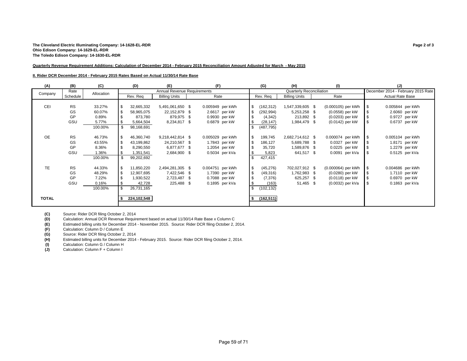#### **The Cleveland Electric Illuminating Company: 14-1628-EL-RDR Page 2 of 3 Ohio Edison Company: 14-1629-EL-RDR The Toledo Edison Company: 14-1630-EL-RDR**

#### **Quarterly Revenue Requirement Additions: Calculation of December 2014 - February 2015 Reconciliation Amount Adjusted for March - May 2015**

#### **II. Rider DCR December 2014 - February 2015 Rates Based on Actual 11/30/14 Rate Base**

| (A)          | (B)       | (C)        | (D)<br>(E)   |             |                                    | (F)  |                  | (G)<br>(H) |           | (1)        |                                 | (J) |                    |      |                                    |
|--------------|-----------|------------|--------------|-------------|------------------------------------|------|------------------|------------|-----------|------------|---------------------------------|-----|--------------------|------|------------------------------------|
| Company      | Rate      | Allocation |              |             | <b>Annual Revenue Requirements</b> |      |                  |            |           |            | <b>Quarterly Reconciliation</b> |     |                    |      | December 2014 - February 2015 Rate |
|              | Schedule  |            |              | Rev. Req    | <b>Billing Units</b>               |      | Rate             |            |           | Rev. Req   | <b>Billing Units</b>            |     | Rate               |      | <b>Actual Rate Base</b>            |
|              |           |            |              |             |                                    |      |                  |            |           |            |                                 |     |                    |      |                                    |
| <b>CEI</b>   | <b>RS</b> | 33.27%     | \$           | 32,665,332  | 5,491,061,650 \$                   |      | 0.005949 per kWh |            | \$        | (162, 312) | 1,547,339,605 \$                |     | (0.000105) per kWh | - \$ | 0.005844 per kWh                   |
|              | GS        | 60.07%     | $\sqrt{3}$   | 58,965,075  | 22,152,879                         | \$   | 2.6617 per kW    |            | l \$      | (292, 994) | 5,253,258 \$                    |     | (0.0558) per kW    |      | 2.6060 per kW                      |
|              | GP        | 0.89%      | - \$         | 873,780     | 879,975 \$                         |      | 0.9930 per kW    |            | l \$      | (4, 342)   | 213,892 \$                      |     | (0.0203) per kW    |      | 0.9727 per kW                      |
|              | GSU       | 5.77%      | <b>S</b>     | 5,664,504   | 8,234,817                          | - \$ | 0.6879 per kW    |            | l \$      | (28, 147)  | 1,984,479 \$                    |     | (0.0142) per kW    | - \$ | 0.6737 per kW                      |
|              |           | 100.00%    | \$           | 98,168,691  |                                    |      |                  |            |           | (487, 795) |                                 |     |                    |      |                                    |
|              |           |            |              |             |                                    |      |                  |            |           |            |                                 |     |                    |      |                                    |
| <b>OE</b>    | <b>RS</b> | 46.73%     | $\sqrt{3}$   | 46,360,740  | 9,218,442,814 \$                   |      | 0.005029 per kWh |            | <b>\$</b> | 199,745    | 2,682,714,612 \$                |     | 0.000074 per kWh   | \$   | 0.005104 per kWh                   |
|              | GS        | 43.55%     | l \$         | 43,199,862  | 24,210,567 \$                      |      | 1.7843 per kW    |            | l \$      | 186,127    | 5,689,788 \$                    |     | 0.0327 per kW      |      | 1.8171 per kW                      |
|              | GP        | 8.36%      | \$           | 8,290,550   | 6,877,677 \$                       |      | 1.2054 per kW    |            | \$        | 35,720     | 1,589,876 \$                    |     | 0.0225 per kW      |      | 1.2279 per kW                      |
|              | GSU       | 1.36%      | <b>S</b>     | 1,351,541   | 2,684,900 \$                       |      | 0.5034 per kVa   |            | \$        | 5,823      | 641,517 \$                      |     | 0.0091 per kVa     | l \$ | 0.5125 per kVa                     |
|              |           | 100.00%    | \$           | 99,202,692  |                                    |      |                  |            | -9        | 427,415    |                                 |     |                    |      |                                    |
|              |           |            |              |             |                                    |      |                  |            |           |            |                                 |     |                    |      |                                    |
| <b>TE</b>    | <b>RS</b> | 44.33%     | <b>S</b>     | 11,850,220  | 2,494,281,305 \$                   |      | 0.004751 per kWh |            | <b>\$</b> | (45, 276)  | 702,027,912 \$                  |     | (0.000064) per kWh | l \$ | 0.004686 per kWh                   |
|              | GS        | 48.29%     | l \$         | 12,907,695  | 7,422,546 \$                       |      | 1.7390 per kW    |            | l \$      | (49,316)   | 1,762,983 \$                    |     | (0.0280) per kW    |      | 1.7110 per kW                      |
|              | GP        | 7.22%      | \$           | 1,930,522   | 2,723,487                          | -\$  | 0.7088 per kW    |            | \$        | (7, 376)   | 625,257 \$                      |     | (0.0118) per kW    |      | 0.6970 per kW                      |
|              | GSU       | 0.16%      | l \$         | 42,728      | 225,488 \$                         |      | 0.1895 per kVa   |            | -\$       | (163)      | 51,465 \$                       |     | (0.0032) per kVa   | -S   | 0.1863 per kVa                     |
|              |           | 100.00%    | $\mathbf{s}$ | 26,731,165  |                                    |      |                  |            | -9        | (102, 132) |                                 |     |                    |      |                                    |
|              |           |            |              |             |                                    |      |                  |            |           |            |                                 |     |                    |      |                                    |
| <b>TOTAL</b> |           |            |              | 224,102,548 |                                    |      |                  |            |           | (162, 511) |                                 |     |                    |      |                                    |
|              |           |            |              |             |                                    |      |                  |            |           |            |                                 |     |                    |      |                                    |

**(C)** Source: Rider DCR filing October 2, 2014 **(D)** Calculation: Annual DCR Revenue Requirement based on actual 11/30/14 Rate Base x Column C

**(E)** Estimated billing units for December 2014 - November 2015. Source: Rider DCR filing October 2, 2014.

**(F)** Calculation: Column D / Column E<br>**(G)** Source: Rider DCR filing October 2 Source: Rider DCR filing October 2, 2014

**(H)** Estimated billing units for December 2014 - February 2015. Source: Rider DCR filing October 2, 2014.

(I) Calculation: Column G / Column H<br>
(J) Calculation: Column F + Column I

**(J)** Calculation: Column F + Column I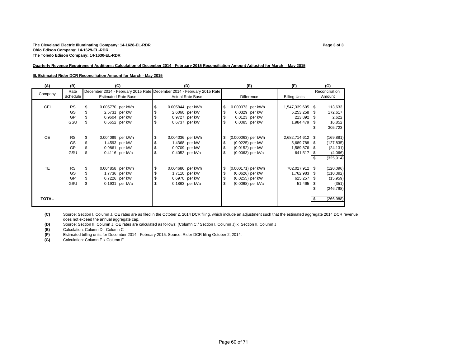#### **The Cleveland Electric Illuminating Company: 14-1628-EL-RDR Page 3 of 3 Ohio Edison Company: 14-1629-EL-RDR The Toledo Edison Company: 14-1630-EL-RDR**

#### **Quarterly Revenue Requirement Additions: Calculation of December 2014 - February 2015 Reconciliation Amount Adjusted for March - May 2015**

#### **III. Estimated Rider DCR Reconciliation Amount for March - May 2015**

| (A)          | (B)       | (C)                        | (D)                                                                   |                          | (E)              | (F)                  |      | (G)            |
|--------------|-----------|----------------------------|-----------------------------------------------------------------------|--------------------------|------------------|----------------------|------|----------------|
| Company      | Rate      |                            | December 2014 - February 2015 Rate December 2014 - February 2015 Rate |                          |                  |                      |      | Reconciliation |
|              | Schedule  | <b>Estimated Rate Base</b> | <b>Actual Rate Base</b>                                               |                          | Difference       | <b>Billing Units</b> |      | Amount         |
|              |           |                            |                                                                       |                          |                  |                      |      |                |
| CEI          | <b>RS</b> | 0.005770 per kWh           | \$<br>0.005844 per kWh                                                | \$<br>0.000073 per kWh   |                  | 1,547,339,605 \$     |      | 113,633        |
|              | GS        | 2.5731 per kW              | \$<br>2.6060 per kW                                                   | \$                       | 0.0329 per kW    | 5,253,258            | - \$ | 172,617        |
|              | GP        | 0.9604 per kW              | \$<br>0.9727 per kW                                                   | \$                       | 0.0123 per kW    | 213,892 \$           |      | 2,622          |
|              | GSU       | \$<br>0.6652 per kW        | \$<br>0.6737 per kW                                                   | \$                       | 0.0085 per kW    | 1,984,479            | S.   | 16,852         |
|              |           |                            |                                                                       |                          |                  |                      |      | 305,723        |
|              |           |                            |                                                                       |                          |                  |                      |      |                |
| OE           | <b>RS</b> | \$<br>0.004099 per kWh     | \$<br>0.004036 per kWh                                                | \$<br>(0.000063) per kWh |                  | 2,682,714,612 \$     |      | (169, 881)     |
|              | GS        | 1.4593 per kW              | \$<br>1.4368 per kW                                                   | \$<br>$(0.0225)$ per kW  |                  | 5,689,788            | -S   | (127, 835)     |
|              | GP        | 0.9861 per kW              | 0.9709 per kW                                                         | \$<br>(0.0152) per kW    |                  | 1,589,876            | - \$ | (24, 131)      |
|              | GSU       | 0.4116 per kVa             | \$<br>0.4052 per kVa                                                  | \$                       | (0.0063) per kVa | 641,517              | - \$ | (4,066)        |
|              |           |                            |                                                                       |                          |                  |                      |      | (325, 914)     |
|              |           |                            |                                                                       |                          |                  |                      |      |                |
| TE           | <b>RS</b> | \$<br>0.004858 per kWh     | \$<br>0.004686 per kWh                                                | \$<br>(0.000171) per kWh |                  | 702,027,912 \$       |      | (120, 096)     |
|              | GS        | 1.7736 per kW              | \$<br>1.7110 per kW                                                   | \$<br>(0.0626) per kW    |                  | 1,762,983            | -S   | (110, 392)     |
|              | GP        | 0.7226 per kW              | \$<br>0.6970 per kW                                                   | \$<br>(0.0255) per kW    |                  | 625,257              | - \$ | (15,959)       |
|              | GSU       | \$<br>0.1931 per kVa       | \$<br>0.1863 per kVa                                                  | \$                       | (0.0068) per kVa | 51,465               | - \$ | (351)          |
|              |           |                            |                                                                       |                          |                  |                      |      | (246, 798)     |
|              |           |                            |                                                                       |                          |                  |                      |      |                |
| <b>TOTAL</b> |           |                            |                                                                       |                          |                  |                      |      | (266, 988)     |
|              |           |                            |                                                                       |                          |                  |                      |      |                |

**(C)** Source: Section I, Column J. OE rates are as filed in the October 2, 2014 DCR filing, which include an adjustment such that the estimated aggregate 2014 DCR revenue does not exceed the annual aggregate cap.

**(D)** Source: Section II, Column J. OE rates are calculated as follows: (Column C / Section I, Column J) x Section II, Column J

**(E)** Calculation: Column D - Column C **(F)** Estimated billing units for December 2014 - February 2015. Source: Rider DCR filing October 2, 2014.

**(G)** Calculation: Column E x Column F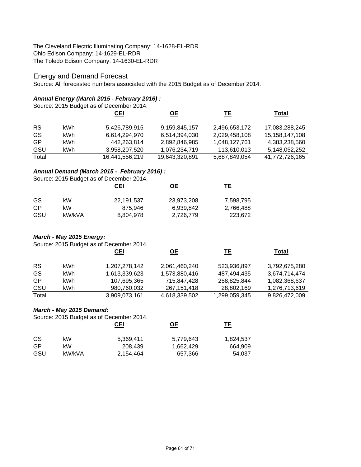The Cleveland Electric Illuminating Company: 14-1628-EL-RDR Ohio Edison Company: 14-1629-EL-RDR The Toledo Edison Company: 14-1630-EL-RDR

# Energy and Demand Forecast

Source: All forecasted numbers associated with the 2015 Budget as of December 2014.

# *Annual Energy (March 2015 - February 2016) :*

Source: 2015 Budget as of December 2014.

|           |     | <u>CEI</u>     | <u>OE</u>      | <u>ТЕ</u>     | Total          |
|-----------|-----|----------------|----------------|---------------|----------------|
| <b>RS</b> | kWh | 5,426,789,915  | 9,159,845,157  | 2,496,653,172 | 17,083,288,245 |
| GS        | kWh | 6,614,294,970  | 6,514,394,030  | 2,029,458,108 | 15,158,147,108 |
| GP        | kWh | 442.263.814    | 2,892,846,985  | 1,048,127,761 | 4,383,238,560  |
| GSU       | kWh | 3,958,207,520  | 1,076,234,719  | 113,610,013   | 5,148,052,252  |
| Total     |     | 16,441,556,219 | 19,643,320,891 | 5,687,849,054 | 41,772,726,165 |

### *Annual Demand (March 2015 - February 2016) :*

Source: 2015 Budget as of December 2014.

|     |        | CEI        | <u>OE</u>  | TЕ        |
|-----|--------|------------|------------|-----------|
| GS  | kW     | 22,191,537 | 23,973,208 | 7,598,795 |
| GP  | kW     | 875.946    | 6,939,842  | 2,766,488 |
| GSU | kW/kVA | 8,804,978  | 2,726,779  | 223,672   |

## *March - May 2015 Energy:*

Source: 2015 Budget as of December 2014.

|           |      | <u>CEI</u>    | <u>OE</u>     | TЕ            | Total         |
|-----------|------|---------------|---------------|---------------|---------------|
| <b>RS</b> | kWh. | 1,207,278,142 | 2,061,460,240 | 523,936,897   | 3,792,675,280 |
| GS        | kWh  | 1,613,339,623 | 1,573,880,416 | 487,494,435   | 3,674,714,474 |
| <b>GP</b> | kWh  | 107,695,365   | 715,847,428   | 258,825,844   | 1,082,368,637 |
| GSU       | kWh  | 980,760,032   | 267, 151, 418 | 28,802,169    | 1,276,713,619 |
| Total     |      | 3,909,073,161 | 4,618,339,502 | 1,299,059,345 | 9,826,472,009 |

### *March - May 2015 Demand:*

Source: 2015 Budget as of December 2014.

|     |        | CEI       | <u>ОЕ</u> | TЕ        |
|-----|--------|-----------|-----------|-----------|
| GS  | kW     | 5,369,411 | 5,779,643 | 1,824,537 |
| GP  | kW     | 208.439   | 1,662,429 | 664.909   |
| GSU | kW/kVA | 2,154,464 | 657,366   | 54.037    |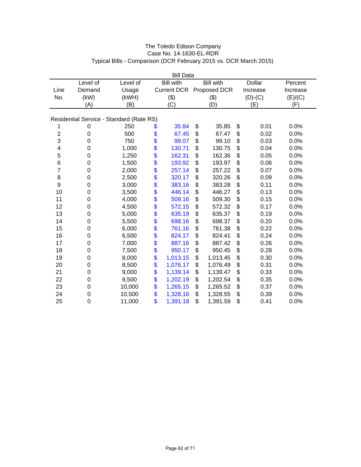|                                          |                |          |          | <b>Bill Data</b>   |    |                  |    |               |          |
|------------------------------------------|----------------|----------|----------|--------------------|----|------------------|----|---------------|----------|
|                                          | Level of       | Level of |          | <b>Bill with</b>   |    | <b>Bill with</b> |    | <b>Dollar</b> | Percent  |
| Line                                     | Demand         | Usage    |          | <b>Current DCR</b> |    | Proposed DCR     |    | Increase      | Increase |
| No.                                      | (kW)           | (kWH)    |          | (3)                |    | (3)              |    | $(D)-(C)$     | (E)/(C)  |
|                                          | (A)            | (B)      |          | (C)                |    | (D)              |    | (E)           | (F)      |
| Residential Service - Standard (Rate RS) |                |          |          |                    |    |                  |    |               |          |
| 1                                        | 0              | 250      | \$       | 35.84              | \$ | 35.85            | \$ | 0.01          | 0.0%     |
| $\overline{c}$                           | 0              | 500      | \$       | 67.45              | \$ | 67.47            | \$ | 0.02          | 0.0%     |
| 3                                        | $\overline{0}$ | 750      | \$       | 99.07              | \$ | 99.10            | \$ | 0.03          | 0.0%     |
| 4                                        | 0              | 1,000    | \$       | 130.71             | \$ | 130.75           | \$ | 0.04          | 0.0%     |
| 5                                        | 0              | 1,250    | \$       | 162.31             | \$ | 162.36           | \$ | 0.05          | 0.0%     |
| 6                                        | 0              | 1,500    | \$       | 193.92             | \$ | 193.97           | \$ | 0.06          | 0.0%     |
| $\overline{7}$                           | 0              | 2,000    | \$       | 257.14             | \$ | 257.22           | \$ | 0.07          | 0.0%     |
| 8                                        | 0              | 2,500    | \$       | 320.17             | \$ | 320.26           | \$ | 0.09          | 0.0%     |
| 9                                        | 0              | 3,000    |          | 383.16             | \$ | 383.28           | \$ | 0.11          | 0.0%     |
| 10                                       | 0              | 3,500    | \$<br>\$ | 446.14             | \$ | 446.27           | \$ | 0.13          | 0.0%     |
| 11                                       | 0              | 4,000    | \$       | 509.16             | \$ | 509.30           | \$ | 0.15          | 0.0%     |
| 12                                       | 0              | 4,500    | \$       | 572.15             | \$ | 572.32           | \$ | 0.17          | 0.0%     |
| 13                                       | 0              | 5,000    | \$       | 635.19             | \$ | 635.37           | \$ | 0.19          | 0.0%     |
| 14                                       | 0              | 5,500    | \$       | 698.16             | \$ | 698.37           | \$ | 0.20          | 0.0%     |
| 15                                       | 0              | 6,000    |          | 761.16             | \$ | 761.38           | \$ | 0.22          | 0.0%     |
| 16                                       | 0              | 6,500    | \$\$     | 824.17             | \$ | 824.41           | \$ | 0.24          | 0.0%     |
| 17                                       | 0              | 7,000    |          | 887.16             | \$ | 887.42           | \$ | 0.26          | 0.0%     |
| 18                                       | 0              | 7,500    | \$       | 950.17             | \$ | 950.45           | \$ | 0.28          | 0.0%     |
| 19                                       | 0              | 8,000    | \$       | 1,013.15           | \$ | 1,013.45         | \$ | 0.30          | 0.0%     |
| 20                                       | 0              | 8,500    | \$       | 1,076.17           | \$ | 1,076.49         | \$ | 0.31          | 0.0%     |
| 21                                       | 0              | 9,000    | \$       | 1,139.14           | \$ | 1,139.47         | \$ | 0.33          | 0.0%     |
| 22                                       | $\mathbf 0$    | 9,500    | \$       | 1,202.19           | \$ | 1,202.54         | \$ | 0.35          | 0.0%     |
| 23                                       | 0              | 10,000   | \$       | 1,265.15           | \$ | 1,265.52         | \$ | 0.37          | 0.0%     |
| 24                                       | 0              | 10,500   | \$       | 1,328.16           | \$ | 1,328.55         | \$ | 0.39          | 0.0%     |
| 25                                       | $\mathbf 0$    | 11,000   | \$       | 1,391.18           | \$ | 1,391.59         | \$ | 0.41          | 0.0%     |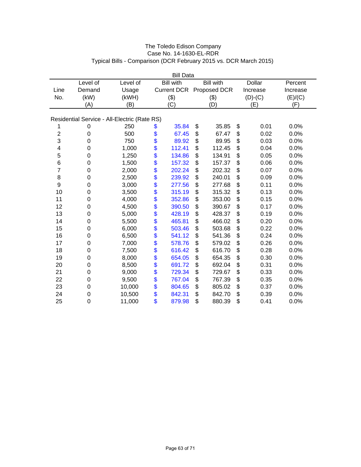|                |             |                                              | <b>Bill Data</b>   |                  |               |          |
|----------------|-------------|----------------------------------------------|--------------------|------------------|---------------|----------|
|                | Level of    | Level of                                     | <b>Bill with</b>   | <b>Bill</b> with | <b>Dollar</b> | Percent  |
| Line           | Demand      | Usage                                        | <b>Current DCR</b> | Proposed DCR     | Increase      | Increase |
| No.            | (kW)        | (kWH)                                        | (3)                | (3)              | $(D)-(C)$     | (E)/(C)  |
|                | (A)         | (B)                                          | (C)                | (D)              | (E)           | (F)      |
|                |             | Residential Service - All-Electric (Rate RS) |                    |                  |               |          |
| 1              | 0           | 250                                          | \$<br>35.84        | \$<br>35.85      | \$<br>0.01    | 0.0%     |
| $\overline{c}$ | $\mathbf 0$ | 500                                          | \$<br>67.45        | \$<br>67.47      | \$<br>0.02    | 0.0%     |
| 3              | $\mathbf 0$ | 750                                          | \$<br>89.92        | \$<br>89.95      | \$<br>0.03    | 0.0%     |
| 4              | 0           | 1,000                                        | \$<br>112.41       | \$<br>112.45     | \$<br>0.04    | 0.0%     |
| 5              | 0           | 1,250                                        | \$<br>134.86       | \$<br>134.91     | \$<br>0.05    | 0.0%     |
| 6              | $\mathbf 0$ | 1,500                                        | \$<br>157.32       | \$<br>157.37     | \$<br>0.06    | 0.0%     |
| $\overline{7}$ | $\mathbf 0$ | 2,000                                        | \$<br>202.24       | \$<br>202.32     | \$<br>0.07    | 0.0%     |
| 8              | $\mathbf 0$ | 2,500                                        | \$<br>239.92       | \$<br>240.01     | \$<br>0.09    | 0.0%     |
| 9              | $\mathbf 0$ | 3,000                                        | \$<br>277.56       | \$<br>277.68     | \$<br>0.11    | 0.0%     |
| 10             | $\mathbf 0$ | 3,500                                        | \$<br>315.19       | \$<br>315.32     | \$<br>0.13    | 0.0%     |
| 11             | 0           | 4,000                                        | \$<br>352.86       | \$<br>353.00     | \$<br>0.15    | 0.0%     |
| 12             | $\mathbf 0$ | 4,500                                        | \$<br>390.50       | \$<br>390.67     | \$<br>0.17    | 0.0%     |
| 13             | $\mathbf 0$ | 5,000                                        | \$<br>428.19       | \$<br>428.37     | \$<br>0.19    | 0.0%     |
| 14             | $\mathbf 0$ | 5,500                                        | \$<br>465.81       | \$<br>466.02     | \$<br>0.20    | 0.0%     |
| 15             | 0           | 6,000                                        | \$<br>503.46       | \$<br>503.68     | \$<br>0.22    | 0.0%     |
| 16             | 0           | 6,500                                        | \$<br>541.12       | \$<br>541.36     | \$<br>0.24    | 0.0%     |
| 17             | $\mathbf 0$ | 7,000                                        | \$<br>578.76       | \$<br>579.02     | \$<br>0.26    | 0.0%     |
| 18             | $\mathbf 0$ | 7,500                                        | \$<br>616.42       | \$<br>616.70     | \$<br>0.28    | 0.0%     |
| 19             | $\mathbf 0$ | 8,000                                        | \$<br>654.05       | \$<br>654.35     | \$<br>0.30    | 0.0%     |
| 20             | $\mathbf 0$ | 8,500                                        | \$<br>691.72       | \$<br>692.04     | \$<br>0.31    | 0.0%     |
| 21             | $\mathbf 0$ | 9,000                                        | \$<br>729.34       | \$<br>729.67     | \$<br>0.33    | 0.0%     |
| 22             | $\mathbf 0$ | 9,500                                        | \$<br>767.04       | \$<br>767.39     | \$<br>0.35    | 0.0%     |
| 23             | $\mathbf 0$ | 10,000                                       | \$<br>804.65       | \$<br>805.02     | \$<br>0.37    | 0.0%     |
| 24             | 0           | 10,500                                       | \$<br>842.31       | \$<br>842.70     | \$<br>0.39    | 0.0%     |
| 25             | 0           | 11,000                                       | \$<br>879.98       | \$<br>880.39     | \$<br>0.41    | 0.0%     |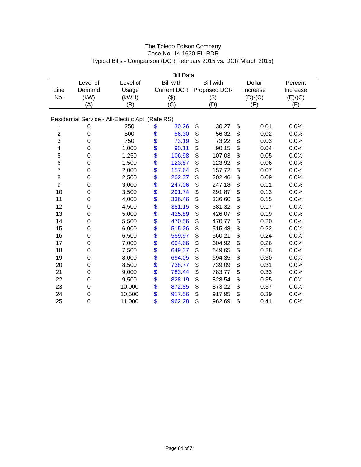|                |          |                                                   |    | <b>Bill Data</b>   |    |                  |    |               |          |  |  |
|----------------|----------|---------------------------------------------------|----|--------------------|----|------------------|----|---------------|----------|--|--|
|                | Level of | Level of                                          |    | <b>Bill with</b>   |    | <b>Bill with</b> |    | <b>Dollar</b> | Percent  |  |  |
| Line           | Demand   | Usage                                             |    | <b>Current DCR</b> |    | Proposed DCR     |    | Increase      | Increase |  |  |
| No.            | (kW)     | (kWH)                                             |    | (3)                |    | (3)              |    | $(D)-(C)$     | (E)/(C)  |  |  |
|                | (A)      | (B)                                               |    | (C)                |    | (D)              |    | (E)           | (F)      |  |  |
|                |          |                                                   |    |                    |    |                  |    |               |          |  |  |
|                |          | Residential Service - All-Electric Apt. (Rate RS) |    |                    |    |                  |    |               |          |  |  |
| 1              | 0        | 250                                               | \$ | 30.26              | \$ | 30.27            | \$ | 0.01          | 0.0%     |  |  |
| $\overline{2}$ | 0        | 500                                               | \$ | 56.30              | \$ | 56.32            | \$ | 0.02          | 0.0%     |  |  |
| 3              | 0        | 750                                               | \$ | 73.19              | \$ | 73.22            | \$ | 0.03          | 0.0%     |  |  |
| 4              | 0        | 1,000                                             | \$ | 90.11              | \$ | 90.15            | \$ | 0.04          | 0.0%     |  |  |
| 5              | 0        | 1,250                                             | \$ | 106.98             | \$ | 107.03           | \$ | 0.05          | 0.0%     |  |  |
| 6              | 0        | 1,500                                             | \$ | 123.87             | \$ | 123.92           | \$ | 0.06          | 0.0%     |  |  |
| $\overline{7}$ | 0        | 2,000                                             | \$ | 157.64             | \$ | 157.72           | \$ | 0.07          | 0.0%     |  |  |
| 8              | 0        | 2,500                                             | \$ | 202.37             | \$ | 202.46           | \$ | 0.09          | 0.0%     |  |  |
| 9              | 0        | 3,000                                             |    | 247.06             | \$ | 247.18           | \$ | 0.11          | 0.0%     |  |  |
| 10             | 0        | 3,500                                             | \$ | 291.74             | \$ | 291.87           | \$ | 0.13          | 0.0%     |  |  |
| 11             | 0        | 4,000                                             | \$ | 336.46             | \$ | 336.60           | \$ | 0.15          | 0.0%     |  |  |
| 12             | 0        | 4,500                                             | \$ | 381.15             | \$ | 381.32           | \$ | 0.17          | 0.0%     |  |  |
| 13             | 0        | 5,000                                             | \$ | 425.89             | \$ | 426.07           | \$ | 0.19          | 0.0%     |  |  |
| 14             | 0        | 5,500                                             | \$ | 470.56             | \$ | 470.77           | \$ | 0.20          | 0.0%     |  |  |
| 15             | 0        | 6,000                                             | \$ | 515.26             | \$ | 515.48           | \$ | 0.22          | 0.0%     |  |  |
| 16             | 0        | 6,500                                             |    | 559.97             | \$ | 560.21           | \$ | 0.24          | 0.0%     |  |  |
| 17             | 0        | 7,000                                             | \$ | 604.66             | \$ | 604.92           | \$ | 0.26          | 0.0%     |  |  |
| 18             | 0        | 7,500                                             | \$ | 649.37             | \$ | 649.65           | \$ | 0.28          | 0.0%     |  |  |
| 19             | 0        | 8,000                                             | \$ | 694.05             | \$ | 694.35           | \$ | 0.30          | 0.0%     |  |  |
| 20             | 0        | 8,500                                             | \$ | 738.77             | \$ | 739.09           | \$ | 0.31          | 0.0%     |  |  |
| 21             | 0        | 9,000                                             | \$ | 783.44             | \$ | 783.77           | \$ | 0.33          | 0.0%     |  |  |
| 22             | 0        | 9,500                                             | \$ | 828.19             | \$ | 828.54           | \$ | 0.35          | 0.0%     |  |  |
| 23             | 0        | 10,000                                            | \$ | 872.85             | \$ | 873.22           | \$ | 0.37          | 0.0%     |  |  |
| 24             | 0        | 10,500                                            | \$ | 917.56             | \$ | 917.95           | \$ | 0.39          | 0.0%     |  |  |
| 25             | 0        | 11,000                                            | \$ | 962.28             | \$ | 962.69           | \$ | 0.41          | 0.0%     |  |  |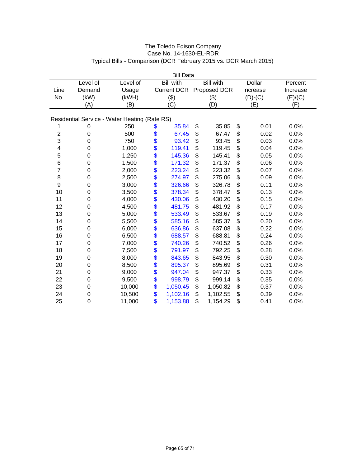|                |          |                                               |               | <b>Bill Data</b> |    |                          |    |               |          |  |
|----------------|----------|-----------------------------------------------|---------------|------------------|----|--------------------------|----|---------------|----------|--|
|                | Level of | Level of                                      |               | <b>Bill with</b> |    | <b>Bill with</b>         |    | <b>Dollar</b> | Percent  |  |
| Line           | Demand   | Usage                                         |               |                  |    | Current DCR Proposed DCR |    | Increase      | Increase |  |
| No.            | (kW)     | (kWH)                                         |               | (3)              |    | (3)                      |    | $(D)-(C)$     | (E)/(C)  |  |
|                | (A)      | (B)                                           |               | (C)              |    | (D)                      |    | (E)           | (F)      |  |
|                |          |                                               |               |                  |    |                          |    |               |          |  |
|                |          | Residential Service - Water Heating (Rate RS) |               |                  |    |                          |    |               |          |  |
| 1              | 0        | 250                                           | \$            | 35.84            | \$ | 35.85                    | \$ | 0.01          | 0.0%     |  |
| $\overline{2}$ | 0        | 500                                           | \$            | 67.45            | \$ | 67.47                    | \$ | 0.02          | 0.0%     |  |
| 3              | 0        | 750                                           | \$            | 93.42            | \$ | 93.45                    | \$ | 0.03          | 0.0%     |  |
| 4              | 0        | 1,000                                         | \$            | 119.41           | \$ | 119.45                   | \$ | 0.04          | 0.0%     |  |
| 5              | 0        | 1,250                                         | \$            | 145.36           | \$ | 145.41                   | \$ | 0.05          | 0.0%     |  |
| 6              | 0        | 1,500                                         | \$            | 171.32           | \$ | 171.37                   | \$ | 0.06          | 0.0%     |  |
| $\overline{7}$ | 0        | 2,000                                         | \$            | 223.24           | \$ | 223.32                   | \$ | 0.07          | 0.0%     |  |
| 8              | 0        | 2,500                                         | \$            | 274.97           | \$ | 275.06                   | \$ | 0.09          | 0.0%     |  |
| 9              | 0        | 3,000                                         |               | 326.66           | \$ | 326.78                   | \$ | 0.11          | 0.0%     |  |
| 10             | 0        | 3,500                                         | \$<br>\$      | 378.34           | \$ | 378.47                   | \$ | 0.13          | 0.0%     |  |
| 11             | 0        | 4,000                                         | \$            | 430.06           | \$ | 430.20                   | \$ | 0.15          | 0.0%     |  |
| 12             | 0        | 4,500                                         | \$            | 481.75           | \$ | 481.92                   | \$ | 0.17          | 0.0%     |  |
| 13             | 0        | 5,000                                         |               | 533.49           | \$ | 533.67                   | \$ | 0.19          | 0.0%     |  |
| 14             | 0        | 5,500                                         | $\frac{6}{3}$ | 585.16           | \$ | 585.37                   | \$ | 0.20          | 0.0%     |  |
| 15             | 0        | 6,000                                         | \$            | 636.86           | \$ | 637.08                   | \$ | 0.22          | 0.0%     |  |
| 16             | 0        | 6,500                                         |               | 688.57           | \$ | 688.81                   | \$ | 0.24          | 0.0%     |  |
| 17             | 0        | 7,000                                         | \$<br>\$      | 740.26           | \$ | 740.52                   | \$ | 0.26          | 0.0%     |  |
| 18             | 0        | 7,500                                         | \$            | 791.97           | \$ | 792.25                   | \$ | 0.28          | 0.0%     |  |
| 19             | 0        | 8,000                                         | \$            | 843.65           | \$ | 843.95                   | \$ | 0.30          | 0.0%     |  |
| 20             | 0        | 8,500                                         | \$            | 895.37           | \$ | 895.69                   | \$ | 0.31          | 0.0%     |  |
| 21             | 0        | 9,000                                         | \$            | 947.04           | \$ | 947.37                   | \$ | 0.33          | 0.0%     |  |
| 22             | 0        | 9,500                                         | \$            | 998.79           | \$ | 999.14                   | \$ | 0.35          | 0.0%     |  |
| 23             | 0        | 10,000                                        | \$            | 1,050.45         | \$ | 1,050.82                 | \$ | 0.37          | 0.0%     |  |
| 24             | 0        | 10,500                                        | \$            | 1,102.16         | \$ | 1,102.55                 | \$ | 0.39          | 0.0%     |  |
| 25             | 0        | 11,000                                        | \$            | 1,153.88         | \$ | 1,154.29                 | \$ | 0.41          | 0.0%     |  |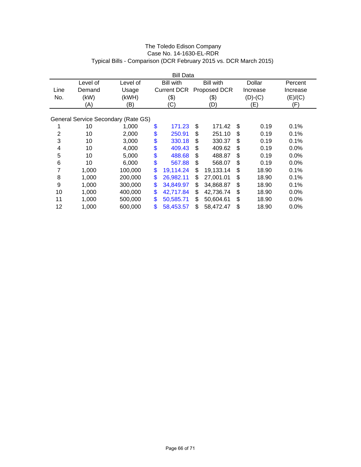|      |          |                                     | <b>Bill Data</b>   |                  |    |           |          |
|------|----------|-------------------------------------|--------------------|------------------|----|-----------|----------|
|      | Level of | Level of                            | <b>Bill with</b>   | <b>Bill with</b> |    | Dollar    | Percent  |
| Line | Demand   | Usage                               | <b>Current DCR</b> | Proposed DCR     |    | Increase  | Increase |
| No.  | (kW)     | (kWH)                               | $(\$)$             | (\$)             |    | $(D)-(C)$ | (E)/(C)  |
|      | (A)      | (B)                                 | (C)                | (D)              |    | (E)       | (F)      |
|      |          |                                     |                    |                  |    |           |          |
|      |          | General Service Secondary (Rate GS) |                    |                  |    |           |          |
|      | 10       | 1,000                               | \$<br>171.23       | \$<br>171.42     | \$ | 0.19      | 0.1%     |
| 2    | 10       | 2,000                               | \$<br>250.91       | \$<br>251.10     | S  | 0.19      | 0.1%     |
| 3    | 10       | 3,000                               | \$<br>330.18       | \$<br>330.37     | \$ | 0.19      | 0.1%     |
| 4    | 10       | 4,000                               | \$<br>409.43       | \$<br>409.62     | \$ | 0.19      | $0.0\%$  |
| 5    | 10       | 5,000                               | \$<br>488.68       | \$<br>488.87     | \$ | 0.19      | $0.0\%$  |
| 6    | 10       | 6,000                               | \$<br>567.88       | \$<br>568.07     | \$ | 0.19      | $0.0\%$  |
| 7    | 1,000    | 100,000                             | \$<br>19,114.24    | \$<br>19,133.14  | \$ | 18.90     | 0.1%     |
| 8    | 1,000    | 200,000                             | \$<br>26,982.11    | \$<br>27,001.01  | \$ | 18.90     | 0.1%     |
| 9    | 1,000    | 300,000                             | \$<br>34,849.97    | \$<br>34,868.87  | \$ | 18.90     | 0.1%     |
| 10   | 1,000    | 400,000                             | \$<br>42,717.84    | \$<br>42,736.74  | \$ | 18.90     | $0.0\%$  |
| 11   | 1,000    | 500,000                             | \$<br>50,585.71    | \$<br>50,604.61  | \$ | 18.90     | $0.0\%$  |
| 12   | 1,000    | 600,000                             | \$<br>58,453.57    | \$<br>58,472.47  | \$ | 18.90     | $0.0\%$  |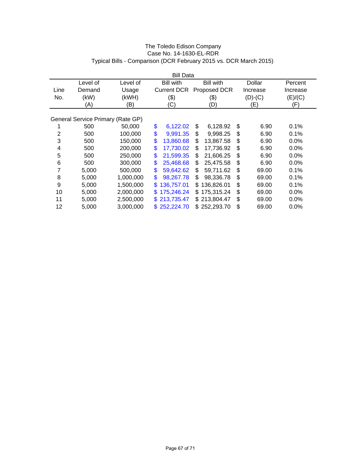|      |                                   |           |    | <b>Bill Data</b>   |     |                  |             |          |  |
|------|-----------------------------------|-----------|----|--------------------|-----|------------------|-------------|----------|--|
|      | Level of                          | Level of  |    | <b>Bill with</b>   |     | <b>Bill with</b> | Dollar      | Percent  |  |
| Line | Demand                            | Usage     |    | <b>Current DCR</b> |     | Proposed DCR     | Increase    | Increase |  |
| No.  | (kW)                              | (kWH)     |    | (\$)               |     | (\$)             | $(D)-(C)$   | (E)/(C)  |  |
|      | (A)                               | (B)       |    | (C)                |     | (D)              | (E)         | (F)      |  |
|      |                                   |           |    |                    |     |                  |             |          |  |
|      | General Service Primary (Rate GP) |           |    |                    |     |                  |             |          |  |
|      | 500                               | 50,000    | \$ | 6,122.02           | \$  | 6,128.92         | \$<br>6.90  | 0.1%     |  |
| 2    | 500                               | 100,000   | \$ | 9,991.35           | \$  | 9,998.25         | \$<br>6.90  | 0.1%     |  |
| 3    | 500                               | 150,000   | \$ | 13,860.68          | \$  | 13,867.58        | \$<br>6.90  | $0.0\%$  |  |
| 4    | 500                               | 200,000   | \$ | 17,730.02          | \$  | 17.736.92        | \$<br>6.90  | $0.0\%$  |  |
| 5    | 500                               | 250,000   | \$ | 21,599.35          | \$  | 21,606.25        | \$<br>6.90  | 0.0%     |  |
| 6    | 500                               | 300,000   | \$ | 25,468.68          | \$  | 25,475.58        | \$<br>6.90  | $0.0\%$  |  |
| 7    | 5,000                             | 500,000   | \$ | 59,642.62          | \$  | 59,711.62        | \$<br>69.00 | 0.1%     |  |
| 8    | 5,000                             | 1,000,000 | \$ | 98,267.78          | \$  | 98,336.78        | \$<br>69.00 | $0.1\%$  |  |
| 9    | 5,000                             | 1,500,000 | \$ | 136,757.01         | \$. | 136,826.01       | \$<br>69.00 | $0.1\%$  |  |
| 10   | 5,000                             | 2,000,000 | S  | 175,246.24         | \$  | 175,315.24       | \$<br>69.00 | $0.0\%$  |  |
| 11   | 5,000                             | 2,500,000 | S. | 213,735.47         |     | \$213,804.47     | \$<br>69.00 | $0.0\%$  |  |
| 12   | 5,000                             | 3,000,000 |    | \$252,224.70       |     | \$252,293.70     | \$<br>69.00 | 0.0%     |  |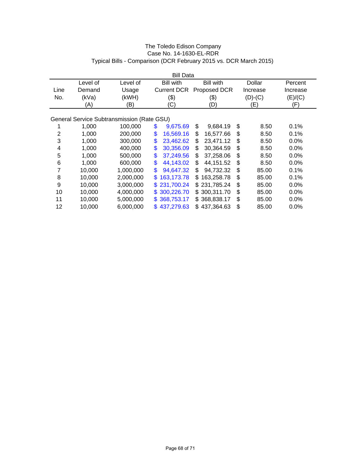|                |          |                                            | <b>Bill Data</b>   |     |                  |             |          |  |
|----------------|----------|--------------------------------------------|--------------------|-----|------------------|-------------|----------|--|
|                | Level of | Level of                                   | <b>Bill with</b>   |     | <b>Bill with</b> | Dollar      | Percent  |  |
| Line           | Demand   | Usage                                      | <b>Current DCR</b> |     | Proposed DCR     | Increase    | Increase |  |
| No.            | (kVa)    | (kWH)                                      | (3)                |     | (\$)             | $(D)-(C)$   | (E)/(C)  |  |
|                | (A)      | (B)                                        | (C)                |     | (D)              | (E)         | (F)      |  |
|                |          |                                            |                    |     |                  |             |          |  |
|                |          | General Service Subtransmission (Rate GSU) |                    |     |                  |             |          |  |
|                | 1,000    | 100,000                                    | \$<br>9,675.69     | \$  | 9,684.19         | \$<br>8.50  | 0.1%     |  |
| $\overline{2}$ | 1,000    | 200,000                                    | \$<br>16.569.16    | S   | 16.577.66        | \$<br>8.50  | 0.1%     |  |
| 3              | 1,000    | 300,000                                    | \$<br>23,462.62    | \$  | 23,471.12        | \$<br>8.50  | $0.0\%$  |  |
| 4              | 1,000    | 400,000                                    | \$<br>30,356.09    | \$  | 30,364.59        | \$<br>8.50  | 0.0%     |  |
| 5              | 1,000    | 500,000                                    | \$<br>37,249.56    | \$  | 37,258.06        | \$<br>8.50  | 0.0%     |  |
| 6              | 1,000    | 600,000                                    | \$<br>44,143.02    | \$  | 44,151.52        | \$<br>8.50  | 0.0%     |  |
| 7              | 10,000   | 1,000,000                                  | \$<br>94,647.32    | \$  | 94,732.32        | \$<br>85.00 | 0.1%     |  |
| 8              | 10,000   | 2,000,000                                  | \$<br>163,173.78   | \$. | 163,258.78       | \$<br>85.00 | 0.1%     |  |
| 9              | 10,000   | 3,000,000                                  | \$<br>231,700.24   |     | \$231,785.24     | \$<br>85.00 | $0.0\%$  |  |
| 10             | 10,000   | 4,000,000                                  | \$<br>300,226.70   |     | \$300,311.70     | \$<br>85.00 | $0.0\%$  |  |
| 11             | 10,000   | 5,000,000                                  | \$<br>368,753.17   |     | \$368,838.17     | \$<br>85.00 | $0.0\%$  |  |
| 12             | 10,000   | 6,000,000                                  | \$437,279.63       |     | \$437,364.63     | \$<br>85.00 | $0.0\%$  |  |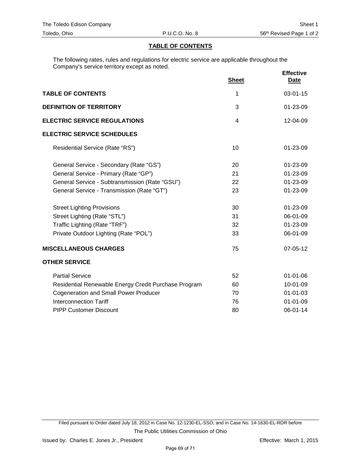# **TABLE OF CONTENTS**

The following rates, rules and regulations for electric service are applicable throughout the Company's service territory except as noted.

|                                                      | <b>Sheet</b> | <b>Effective</b><br><b>Date</b> |
|------------------------------------------------------|--------------|---------------------------------|
| <b>TABLE OF CONTENTS</b>                             | 1            | $03 - 01 - 15$                  |
| <b>DEFINITION OF TERRITORY</b>                       | 3            | 01-23-09                        |
| <b>ELECTRIC SERVICE REGULATIONS</b>                  | 4            | 12-04-09                        |
| <b>ELECTRIC SERVICE SCHEDULES</b>                    |              |                                 |
| Residential Service (Rate "RS")                      | 10           | $01 - 23 - 09$                  |
| General Service - Secondary (Rate "GS")              | 20           | 01-23-09                        |
| General Service - Primary (Rate "GP")                | 21           | 01-23-09                        |
| General Service - Subtransmission (Rate "GSU")       | 22           | 01-23-09                        |
| General Service - Transmission (Rate "GT")           | 23           | 01-23-09                        |
| <b>Street Lighting Provisions</b>                    | 30           | 01-23-09                        |
| Street Lighting (Rate "STL")                         | 31           | 06-01-09                        |
| Traffic Lighting (Rate "TRF")                        | 32           | 01-23-09                        |
| Private Outdoor Lighting (Rate "POL")                | 33           | 06-01-09                        |
| <b>MISCELLANEOUS CHARGES</b>                         | 75           | 07-05-12                        |
| <b>OTHER SERVICE</b>                                 |              |                                 |
| <b>Partial Service</b>                               | 52           | $01 - 01 - 06$                  |
| Residential Renewable Energy Credit Purchase Program | 60           | 10-01-09                        |
| <b>Cogeneration and Small Power Producer</b>         | 70           | $01 - 01 - 03$                  |
| <b>Interconnection Tariff</b>                        | 76           | $01 - 01 - 09$                  |
| <b>PIPP Customer Discount</b>                        | 80           | 06-01-14                        |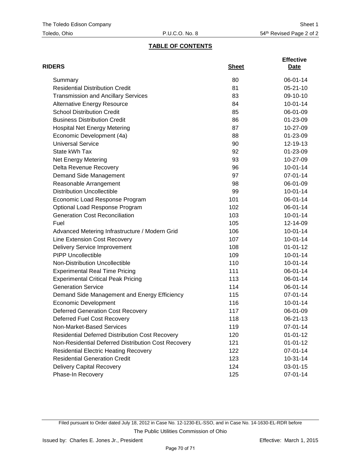# **TABLE OF CONTENTS**

| <b>RIDERS</b>                                          | <b>Sheet</b> | <b>Effective</b><br><b>Date</b> |
|--------------------------------------------------------|--------------|---------------------------------|
| Summary                                                | 80           | 06-01-14                        |
| <b>Residential Distribution Credit</b>                 | 81           | $05 - 21 - 10$                  |
| <b>Transmission and Ancillary Services</b>             | 83           | 09-10-10                        |
| <b>Alternative Energy Resource</b>                     | 84           | $10 - 01 - 14$                  |
| <b>School Distribution Credit</b>                      | 85           | 06-01-09                        |
| <b>Business Distribution Credit</b>                    | 86           | 01-23-09                        |
| <b>Hospital Net Energy Metering</b>                    | 87           | 10-27-09                        |
| Economic Development (4a)                              | 88           | 01-23-09                        |
| <b>Universal Service</b>                               | 90           | 12-19-13                        |
| State kWh Tax                                          | 92           | 01-23-09                        |
| Net Energy Metering                                    | 93           | 10-27-09                        |
| Delta Revenue Recovery                                 | 96           | $10-01-14$                      |
| Demand Side Management                                 | 97           | 07-01-14                        |
| Reasonable Arrangement                                 | 98           | 06-01-09                        |
| <b>Distribution Uncollectible</b>                      | 99           | $10 - 01 - 14$                  |
| Economic Load Response Program                         | 101          | 06-01-14                        |
| Optional Load Response Program                         | 102          | 06-01-14                        |
| <b>Generation Cost Reconciliation</b>                  | 103          | $10 - 01 - 14$                  |
| Fuel                                                   | 105          | 12-14-09                        |
| Advanced Metering Infrastructure / Modern Grid         | 106          | $10 - 01 - 14$                  |
| Line Extension Cost Recovery                           | 107          | $10-01-14$                      |
| <b>Delivery Service Improvement</b>                    | 108          | $01 - 01 - 12$                  |
| <b>PIPP Uncollectible</b>                              | 109          | $10 - 01 - 14$                  |
| Non-Distribution Uncollectible                         | 110          | $10 - 01 - 14$                  |
| <b>Experimental Real Time Pricing</b>                  | 111          | 06-01-14                        |
| <b>Experimental Critical Peak Pricing</b>              | 113          | 06-01-14                        |
| <b>Generation Service</b>                              | 114          | 06-01-14                        |
| Demand Side Management and Energy Efficiency           | 115          | 07-01-14                        |
| <b>Economic Development</b>                            | 116          | $10 - 01 - 14$                  |
| <b>Deferred Generation Cost Recovery</b>               | 117          | 06-01-09                        |
| Deferred Fuel Cost Recovery                            | 118          | 06-21-13                        |
| Non-Market-Based Services                              | 119          | 07-01-14                        |
| <b>Residential Deferred Distribution Cost Recovery</b> | 120          | $01 - 01 - 12$                  |
| Non-Residential Deferred Distribution Cost Recovery    | 121          | $01 - 01 - 12$                  |
| <b>Residential Electric Heating Recovery</b>           | 122          | 07-01-14                        |
| <b>Residential Generation Credit</b>                   | 123          | $10-31-14$                      |
| <b>Delivery Capital Recovery</b>                       | 124          | 03-01-15                        |
| Phase-In Recovery                                      | 125          | 07-01-14                        |

Filed pursuant to Order dated July 18, 2012 in Case No. 12-1230-EL-SSO, and in Case No. 14-1630-EL-RDR before The Public Utilities Commission of Ohio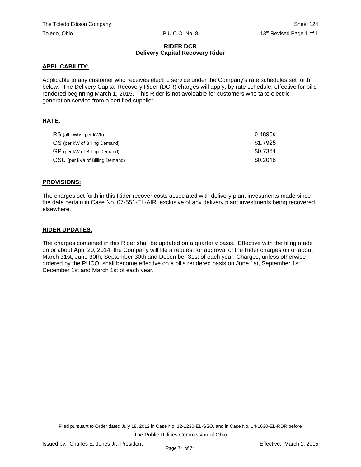## **RIDER DCR Delivery Capital Recovery Rider**

## **APPLICABILITY:**

Applicable to any customer who receives electric service under the Company's rate schedules set forth below. The Delivery Capital Recovery Rider (DCR) charges will apply, by rate schedule, effective for bills rendered beginning March 1, 2015. This Rider is not avoidable for customers who take electric generation service from a certified supplier.

## **RATE:**

| RS (all kWhs, per kWh)          | 0.4895c  |
|---------------------------------|----------|
| GS (per kW of Billing Demand)   | \$1.7925 |
| GP (per kW of Billing Demand)   | \$0.7364 |
| GSU (per kVa of Billing Demand) | \$0.2016 |

## **PROVISIONS:**

The charges set forth in this Rider recover costs associated with delivery plant investments made since the date certain in Case No. 07-551-EL-AIR, exclusive of any delivery plant investments being recovered elsewhere.

## **RIDER UPDATES:**

The charges contained in this Rider shall be updated on a quarterly basis. Effective with the filing made on or about April 20, 2014, the Company will file a request for approval of the Rider charges on or about March 31st, June 30th, September 30th and December 31st of each year. Charges, unless otherwise ordered by the PUCO, shall become effective on a bills rendered basis on June 1st, September 1st, December 1st and March 1st of each year.